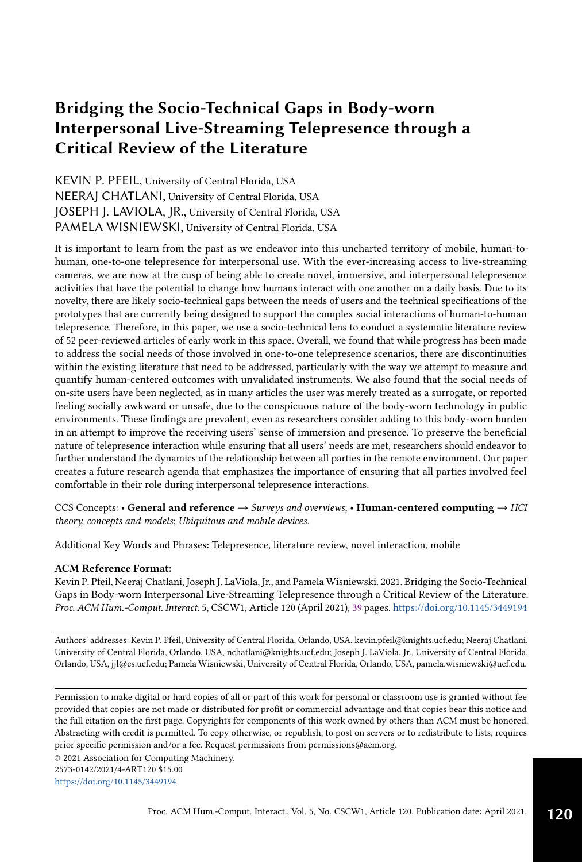# Bridging the Socio-Technical Gaps in Body-worn Interpersonal Live-Streaming Telepresence through a Critical Review of the Literature

KEVIN P. PFEIL, University of Central Florida, USA NEERAJ CHATLANI, University of Central Florida, USA JOSEPH J. LAVIOLA, JR., University of Central Florida, USA PAMELA WISNIEWSKI, University of Central Florida, USA

It is important to learn from the past as we endeavor into this uncharted territory of mobile, human-tohuman, one-to-one telepresence for interpersonal use. With the ever-increasing access to live-streaming cameras, we are now at the cusp of being able to create novel, immersive, and interpersonal telepresence activities that have the potential to change how humans interact with one another on a daily basis. Due to its novelty, there are likely socio-technical gaps between the needs of users and the technical specifications of the prototypes that are currently being designed to support the complex social interactions of human-to-human telepresence. Therefore, in this paper, we use a socio-technical lens to conduct a systematic literature review of 52 peer-reviewed articles of early work in this space. Overall, we found that while progress has been made to address the social needs of those involved in one-to-one telepresence scenarios, there are discontinuities within the existing literature that need to be addressed, particularly with the way we attempt to measure and quantify human-centered outcomes with unvalidated instruments. We also found that the social needs of on-site users have been neglected, as in many articles the user was merely treated as a surrogate, or reported feeling socially awkward or unsafe, due to the conspicuous nature of the body-worn technology in public environments. These findings are prevalent, even as researchers consider adding to this body-worn burden in an attempt to improve the receiving users' sense of immersion and presence. To preserve the beneficial nature of telepresence interaction while ensuring that all users' needs are met, researchers should endeavor to further understand the dynamics of the relationship between all parties in the remote environment. Our paper creates a future research agenda that emphasizes the importance of ensuring that all parties involved feel comfortable in their role during interpersonal telepresence interactions.

CCS Concepts: • General and reference  $\rightarrow$  Surveys and overviews; • Human-centered computing  $\rightarrow$  HCI theory, concepts and models; Ubiquitous and mobile devices.

Additional Key Words and Phrases: Telepresence, literature review, novel interaction, mobile

#### ACM Reference Format:

Kevin P. Pfeil, Neeraj Chatlani, Joseph J. LaViola, Jr., and Pamela Wisniewski. 2021. Bridging the Socio-Technical Gaps in Body-worn Interpersonal Live-Streaming Telepresence through a Critical Review of the Literature. Proc. ACM Hum.-Comput. Interact. 5, CSCW1, Article 120 (April 2021), [39](#page-38-0) pages. <https://doi.org/10.1145/3449194>

Authors' addresses: Kevin P. Pfeil, University of Central Florida, Orlando, USA, kevin.pfeil@knights.ucf.edu; Neeraj Chatlani, University of Central Florida, Orlando, USA, nchatlani@knights.ucf.edu; Joseph J. LaViola, Jr., University of Central Florida, Orlando, USA, jjl@cs.ucf.edu; Pamela Wisniewski, University of Central Florida, Orlando, USA, pamela.wisniewski@ucf.edu.

Permission to make digital or hard copies of all or part of this work for personal or classroom use is granted without fee provided that copies are not made or distributed for profit or commercial advantage and that copies bear this notice and the full citation on the first page. Copyrights for components of this work owned by others than ACM must be honored. Abstracting with credit is permitted. To copy otherwise, or republish, to post on servers or to redistribute to lists, requires prior specific permission and/or a fee. Request permissions from permissions@acm.org.

© 2021 Association for Computing Machinery.

2573-0142/2021/4-ART120 \$15.00

<https://doi.org/10.1145/3449194>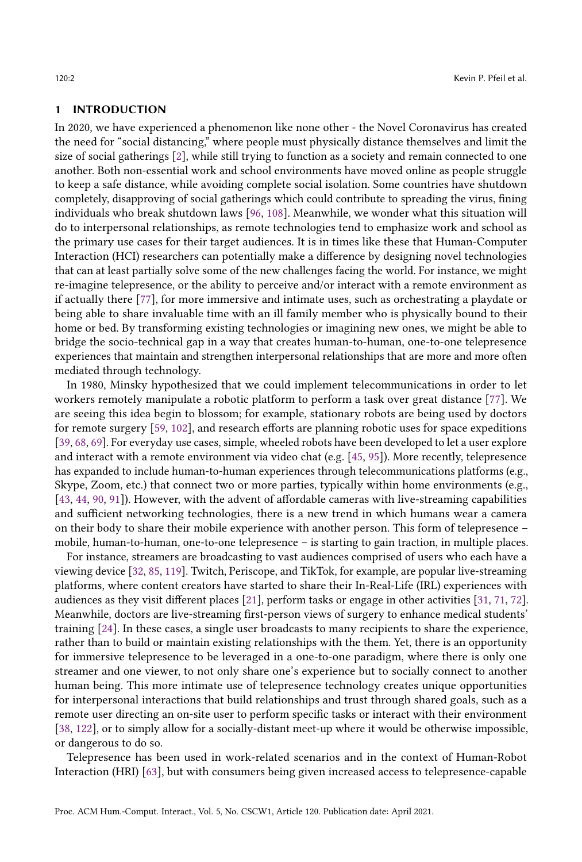#### 1 INTRODUCTION

In 2020, we have experienced a phenomenon like none other - the Novel Coronavirus has created the need for "social distancing," where people must physically distance themselves and limit the size of social gatherings [\[2\]](#page-31-0), while still trying to function as a society and remain connected to one another. Both non-essential work and school environments have moved online as people struggle to keep a safe distance, while avoiding complete social isolation. Some countries have shutdown completely, disapproving of social gatherings which could contribute to spreading the virus, fining individuals who break shutdown laws [\[96,](#page-35-0) [108\]](#page-36-0). Meanwhile, we wonder what this situation will do to interpersonal relationships, as remote technologies tend to emphasize work and school as the primary use cases for their target audiences. It is in times like these that Human-Computer Interaction (HCI) researchers can potentially make a difference by designing novel technologies that can at least partially solve some of the new challenges facing the world. For instance, we might re-imagine telepresence, or the ability to perceive and/or interact with a remote environment as if actually there [\[77\]](#page-34-0), for more immersive and intimate uses, such as orchestrating a playdate or being able to share invaluable time with an ill family member who is physically bound to their home or bed. By transforming existing technologies or imagining new ones, we might be able to bridge the socio-technical gap in a way that creates human-to-human, one-to-one telepresence experiences that maintain and strengthen interpersonal relationships that are more and more often mediated through technology.

In 1980, Minsky hypothesized that we could implement telecommunications in order to let workers remotely manipulate a robotic platform to perform a task over great distance [\[77\]](#page-34-0). We are seeing this idea begin to blossom; for example, stationary robots are being used by doctors for remote surgery [\[59,](#page-34-1) [102\]](#page-36-1), and research efforts are planning robotic uses for space expeditions [\[39,](#page-33-0) [68,](#page-34-2) [69\]](#page-34-3). For everyday use cases, simple, wheeled robots have been developed to let a user explore and interact with a remote environment via video chat (e.g. [\[45,](#page-33-1) [95\]](#page-35-1)). More recently, telepresence has expanded to include human-to-human experiences through telecommunications platforms (e.g., Skype, Zoom, etc.) that connect two or more parties, typically within home environments (e.g., [\[43,](#page-33-2) [44,](#page-33-3) [90,](#page-35-2) [91\]](#page-35-3)). However, with the advent of affordable cameras with live-streaming capabilities and sufficient networking technologies, there is a new trend in which humans wear a camera on their body to share their mobile experience with another person. This form of telepresence – mobile, human-to-human, one-to-one telepresence – is starting to gain traction, in multiple places.

For instance, streamers are broadcasting to vast audiences comprised of users who each have a viewing device [\[32,](#page-32-0) [85,](#page-35-4) [119\]](#page-37-0). Twitch, Periscope, and TikTok, for example, are popular live-streaming platforms, where content creators have started to share their In-Real-Life (IRL) experiences with audiences as they visit different places [\[21\]](#page-32-1), perform tasks or engage in other activities [\[31,](#page-32-2) [71,](#page-34-4) [72\]](#page-34-5). Meanwhile, doctors are live-streaming first-person views of surgery to enhance medical students' training [\[24\]](#page-32-3). In these cases, a single user broadcasts to many recipients to share the experience, rather than to build or maintain existing relationships with the them. Yet, there is an opportunity for immersive telepresence to be leveraged in a one-to-one paradigm, where there is only one streamer and one viewer, to not only share one's experience but to socially connect to another human being. This more intimate use of telepresence technology creates unique opportunities for interpersonal interactions that build relationships and trust through shared goals, such as a remote user directing an on-site user to perform specific tasks or interact with their environment [\[38,](#page-32-4) [122\]](#page-37-1), or to simply allow for a socially-distant meet-up where it would be otherwise impossible, or dangerous to do so.

Telepresence has been used in work-related scenarios and in the context of Human-Robot Interaction (HRI) [\[63\]](#page-34-6), but with consumers being given increased access to telepresence-capable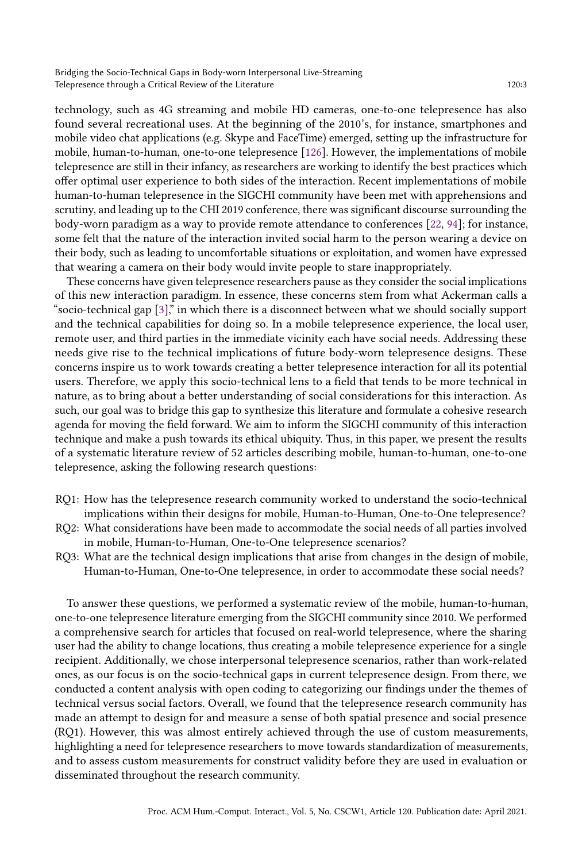Bridging the Socio-Technical Gaps in Body-worn Interpersonal Live-Streaming Telepresence through a Critical Review of the Literature 120:3

technology, such as 4G streaming and mobile HD cameras, one-to-one telepresence has also found several recreational uses. At the beginning of the 2010's, for instance, smartphones and mobile video chat applications (e.g. Skype and FaceTime) emerged, setting up the infrastructure for mobile, human-to-human, one-to-one telepresence [\[126\]](#page-37-2). However, the implementations of mobile telepresence are still in their infancy, as researchers are working to identify the best practices which offer optimal user experience to both sides of the interaction. Recent implementations of mobile human-to-human telepresence in the SIGCHI community have been met with apprehensions and scrutiny, and leading up to the CHI 2019 conference, there was significant discourse surrounding the body-worn paradigm as a way to provide remote attendance to conferences [\[22,](#page-32-5) [94\]](#page-35-5); for instance, some felt that the nature of the interaction invited social harm to the person wearing a device on their body, such as leading to uncomfortable situations or exploitation, and women have expressed that wearing a camera on their body would invite people to stare inappropriately.

These concerns have given telepresence researchers pause as they consider the social implications of this new interaction paradigm. In essence, these concerns stem from what Ackerman calls a "socio-technical gap [\[3\]](#page-31-1)," in which there is a disconnect between what we should socially support and the technical capabilities for doing so. In a mobile telepresence experience, the local user, remote user, and third parties in the immediate vicinity each have social needs. Addressing these needs give rise to the technical implications of future body-worn telepresence designs. These concerns inspire us to work towards creating a better telepresence interaction for all its potential users. Therefore, we apply this socio-technical lens to a field that tends to be more technical in nature, as to bring about a better understanding of social considerations for this interaction. As such, our goal was to bridge this gap to synthesize this literature and formulate a cohesive research agenda for moving the field forward. We aim to inform the SIGCHI community of this interaction technique and make a push towards its ethical ubiquity. Thus, in this paper, we present the results of a systematic literature review of 52 articles describing mobile, human-to-human, one-to-one telepresence, asking the following research questions:

- RQ1: How has the telepresence research community worked to understand the socio-technical implications within their designs for mobile, Human-to-Human, One-to-One telepresence?
- RQ2: What considerations have been made to accommodate the social needs of all parties involved in mobile, Human-to-Human, One-to-One telepresence scenarios?
- RQ3: What are the technical design implications that arise from changes in the design of mobile, Human-to-Human, One-to-One telepresence, in order to accommodate these social needs?

To answer these questions, we performed a systematic review of the mobile, human-to-human, one-to-one telepresence literature emerging from the SIGCHI community since 2010. We performed a comprehensive search for articles that focused on real-world telepresence, where the sharing user had the ability to change locations, thus creating a mobile telepresence experience for a single recipient. Additionally, we chose interpersonal telepresence scenarios, rather than work-related ones, as our focus is on the socio-technical gaps in current telepresence design. From there, we conducted a content analysis with open coding to categorizing our findings under the themes of technical versus social factors. Overall, we found that the telepresence research community has made an attempt to design for and measure a sense of both spatial presence and social presence (RQ1). However, this was almost entirely achieved through the use of custom measurements, highlighting a need for telepresence researchers to move towards standardization of measurements, and to assess custom measurements for construct validity before they are used in evaluation or disseminated throughout the research community.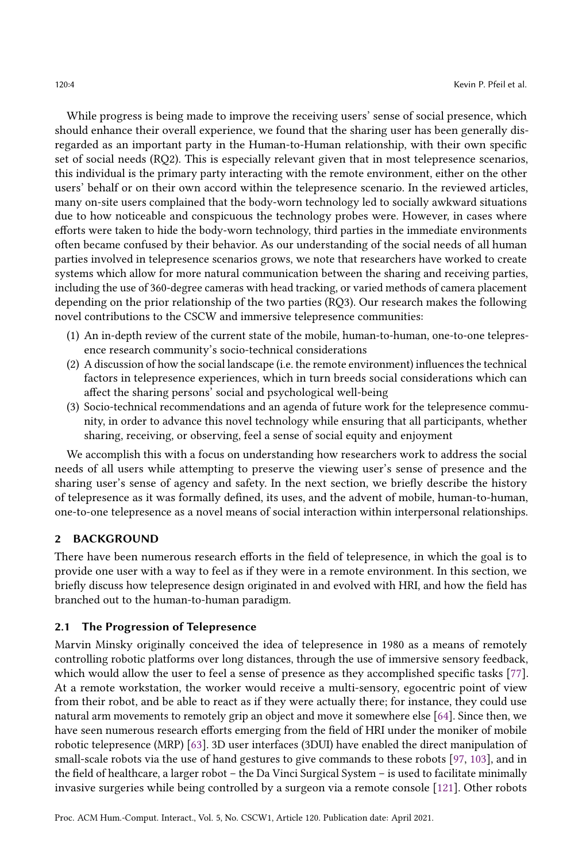While progress is being made to improve the receiving users' sense of social presence, which should enhance their overall experience, we found that the sharing user has been generally disregarded as an important party in the Human-to-Human relationship, with their own specific set of social needs (RQ2). This is especially relevant given that in most telepresence scenarios, this individual is the primary party interacting with the remote environment, either on the other users' behalf or on their own accord within the telepresence scenario. In the reviewed articles, many on-site users complained that the body-worn technology led to socially awkward situations due to how noticeable and conspicuous the technology probes were. However, in cases where efforts were taken to hide the body-worn technology, third parties in the immediate environments often became confused by their behavior. As our understanding of the social needs of all human parties involved in telepresence scenarios grows, we note that researchers have worked to create systems which allow for more natural communication between the sharing and receiving parties, including the use of 360-degree cameras with head tracking, or varied methods of camera placement depending on the prior relationship of the two parties (RQ3). Our research makes the following novel contributions to the CSCW and immersive telepresence communities:

- (1) An in-depth review of the current state of the mobile, human-to-human, one-to-one telepresence research community's socio-technical considerations
- (2) A discussion of how the social landscape (i.e. the remote environment) influences the technical factors in telepresence experiences, which in turn breeds social considerations which can affect the sharing persons' social and psychological well-being
- (3) Socio-technical recommendations and an agenda of future work for the telepresence community, in order to advance this novel technology while ensuring that all participants, whether sharing, receiving, or observing, feel a sense of social equity and enjoyment

We accomplish this with a focus on understanding how researchers work to address the social needs of all users while attempting to preserve the viewing user's sense of presence and the sharing user's sense of agency and safety. In the next section, we briefly describe the history of telepresence as it was formally defined, its uses, and the advent of mobile, human-to-human, one-to-one telepresence as a novel means of social interaction within interpersonal relationships.

## 2 BACKGROUND

There have been numerous research efforts in the field of telepresence, in which the goal is to provide one user with a way to feel as if they were in a remote environment. In this section, we briefly discuss how telepresence design originated in and evolved with HRI, and how the field has branched out to the human-to-human paradigm.

### 2.1 The Progression of Telepresence

Marvin Minsky originally conceived the idea of telepresence in 1980 as a means of remotely controlling robotic platforms over long distances, through the use of immersive sensory feedback, which would allow the user to feel a sense of presence as they accomplished specific tasks [\[77\]](#page-34-0). At a remote workstation, the worker would receive a multi-sensory, egocentric point of view from their robot, and be able to react as if they were actually there; for instance, they could use natural arm movements to remotely grip an object and move it somewhere else [\[64\]](#page-34-7). Since then, we have seen numerous research efforts emerging from the field of HRI under the moniker of mobile robotic telepresence (MRP) [\[63\]](#page-34-6). 3D user interfaces (3DUI) have enabled the direct manipulation of small-scale robots via the use of hand gestures to give commands to these robots [\[97,](#page-36-2) [103\]](#page-36-3), and in the field of healthcare, a larger robot – the Da Vinci Surgical System – is used to facilitate minimally invasive surgeries while being controlled by a surgeon via a remote console [\[121\]](#page-37-3). Other robots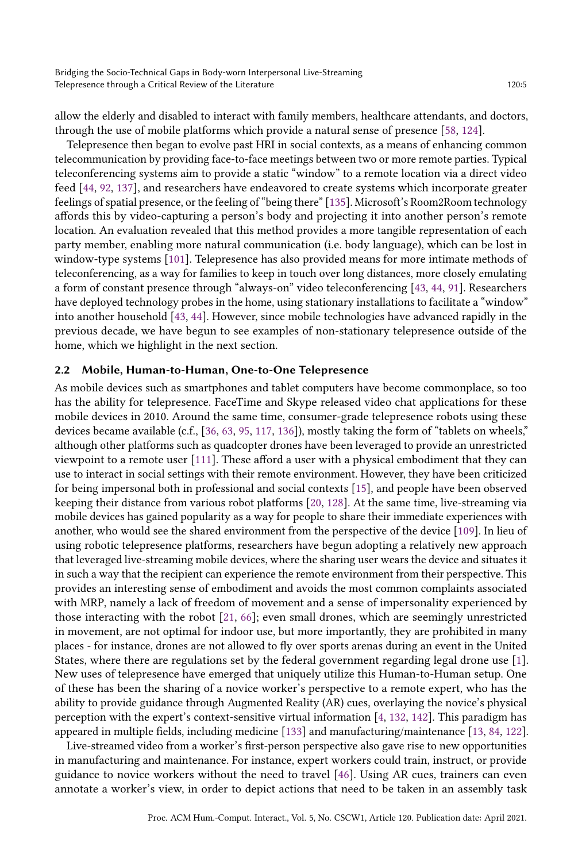allow the elderly and disabled to interact with family members, healthcare attendants, and doctors, through the use of mobile platforms which provide a natural sense of presence [\[58,](#page-34-8) [124\]](#page-37-4).

Telepresence then began to evolve past HRI in social contexts, as a means of enhancing common telecommunication by providing face-to-face meetings between two or more remote parties. Typical teleconferencing systems aim to provide a static "window" to a remote location via a direct video feed [\[44,](#page-33-3) [92,](#page-35-6) [137\]](#page-38-1), and researchers have endeavored to create systems which incorporate greater feelings of spatial presence, or the feeling of "being there" [\[135\]](#page-38-2). Microsoft's Room2Room technology affords this by video-capturing a person's body and projecting it into another person's remote location. An evaluation revealed that this method provides a more tangible representation of each party member, enabling more natural communication (i.e. body language), which can be lost in window-type systems [\[101\]](#page-36-4). Telepresence has also provided means for more intimate methods of teleconferencing, as a way for families to keep in touch over long distances, more closely emulating a form of constant presence through "always-on" video teleconferencing [\[43,](#page-33-2) [44,](#page-33-3) [91\]](#page-35-3). Researchers have deployed technology probes in the home, using stationary installations to facilitate a "window" into another household [\[43,](#page-33-2) [44\]](#page-33-3). However, since mobile technologies have advanced rapidly in the previous decade, we have begun to see examples of non-stationary telepresence outside of the home, which we highlight in the next section.

#### 2.2 Mobile, Human-to-Human, One-to-One Telepresence

As mobile devices such as smartphones and tablet computers have become commonplace, so too has the ability for telepresence. FaceTime and Skype released video chat applications for these mobile devices in 2010. Around the same time, consumer-grade telepresence robots using these devices became available (c.f., [\[36,](#page-32-6) [63,](#page-34-6) [95,](#page-35-1) [117,](#page-37-5) [136\]](#page-38-3)), mostly taking the form of "tablets on wheels," although other platforms such as quadcopter drones have been leveraged to provide an unrestricted viewpoint to a remote user [\[111\]](#page-36-5). These afford a user with a physical embodiment that they can use to interact in social settings with their remote environment. However, they have been criticized for being impersonal both in professional and social contexts [\[15\]](#page-31-2), and people have been observed keeping their distance from various robot platforms [\[20,](#page-31-3) [128\]](#page-37-6). At the same time, live-streaming via mobile devices has gained popularity as a way for people to share their immediate experiences with another, who would see the shared environment from the perspective of the device [\[109\]](#page-36-6). In lieu of using robotic telepresence platforms, researchers have begun adopting a relatively new approach that leveraged live-streaming mobile devices, where the sharing user wears the device and situates it in such a way that the recipient can experience the remote environment from their perspective. This provides an interesting sense of embodiment and avoids the most common complaints associated with MRP, namely a lack of freedom of movement and a sense of impersonality experienced by those interacting with the robot [\[21,](#page-32-1) [66\]](#page-34-9); even small drones, which are seemingly unrestricted in movement, are not optimal for indoor use, but more importantly, they are prohibited in many places - for instance, drones are not allowed to fly over sports arenas during an event in the United States, where there are regulations set by the federal government regarding legal drone use [\[1\]](#page-31-4). New uses of telepresence have emerged that uniquely utilize this Human-to-Human setup. One of these has been the sharing of a novice worker's perspective to a remote expert, who has the ability to provide guidance through Augmented Reality (AR) cues, overlaying the novice's physical perception with the expert's context-sensitive virtual information [\[4,](#page-31-5) [132,](#page-37-7) [142\]](#page-38-4). This paradigm has appeared in multiple fields, including medicine [\[133\]](#page-37-8) and manufacturing/maintenance [\[13,](#page-31-6) [84,](#page-35-7) [122\]](#page-37-1).

Live-streamed video from a worker's first-person perspective also gave rise to new opportunities in manufacturing and maintenance. For instance, expert workers could train, instruct, or provide guidance to novice workers without the need to travel [\[46\]](#page-33-4). Using AR cues, trainers can even annotate a worker's view, in order to depict actions that need to be taken in an assembly task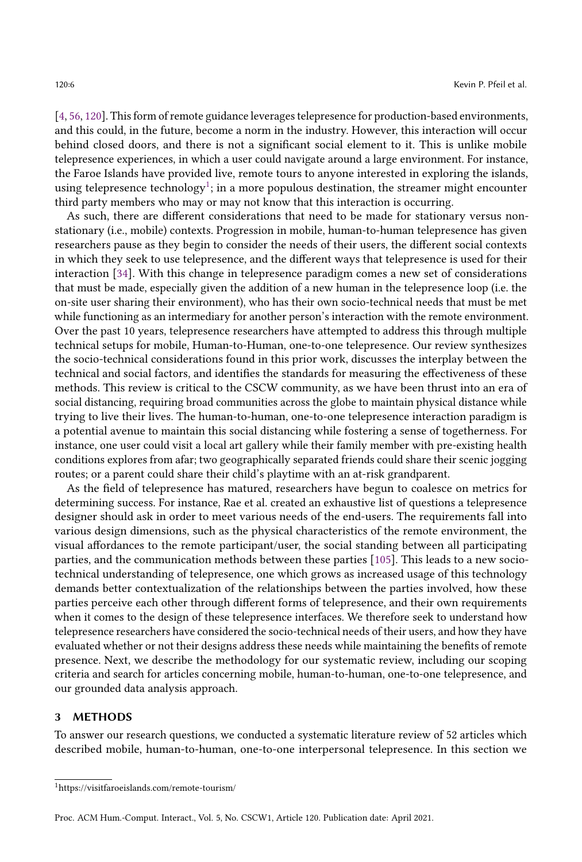[\[4,](#page-31-5) [56,](#page-33-5) [120\]](#page-37-9). This form of remote guidance leverages telepresence for production-based environments, and this could, in the future, become a norm in the industry. However, this interaction will occur behind closed doors, and there is not a significant social element to it. This is unlike mobile telepresence experiences, in which a user could navigate around a large environment. For instance, the Faroe Islands have provided live, remote tours to anyone interested in exploring the islands, using telepresence technology $^1;$  $^1;$  $^1;$  in a more populous destination, the streamer might encounter third party members who may or may not know that this interaction is occurring.

As such, there are different considerations that need to be made for stationary versus nonstationary (i.e., mobile) contexts. Progression in mobile, human-to-human telepresence has given researchers pause as they begin to consider the needs of their users, the different social contexts in which they seek to use telepresence, and the different ways that telepresence is used for their interaction [\[34\]](#page-32-7). With this change in telepresence paradigm comes a new set of considerations that must be made, especially given the addition of a new human in the telepresence loop (i.e. the on-site user sharing their environment), who has their own socio-technical needs that must be met while functioning as an intermediary for another person's interaction with the remote environment. Over the past 10 years, telepresence researchers have attempted to address this through multiple technical setups for mobile, Human-to-Human, one-to-one telepresence. Our review synthesizes the socio-technical considerations found in this prior work, discusses the interplay between the technical and social factors, and identifies the standards for measuring the effectiveness of these methods. This review is critical to the CSCW community, as we have been thrust into an era of social distancing, requiring broad communities across the globe to maintain physical distance while trying to live their lives. The human-to-human, one-to-one telepresence interaction paradigm is a potential avenue to maintain this social distancing while fostering a sense of togetherness. For instance, one user could visit a local art gallery while their family member with pre-existing health conditions explores from afar; two geographically separated friends could share their scenic jogging routes; or a parent could share their child's playtime with an at-risk grandparent.

As the field of telepresence has matured, researchers have begun to coalesce on metrics for determining success. For instance, Rae et al. created an exhaustive list of questions a telepresence designer should ask in order to meet various needs of the end-users. The requirements fall into various design dimensions, such as the physical characteristics of the remote environment, the visual affordances to the remote participant/user, the social standing between all participating parties, and the communication methods between these parties [\[105\]](#page-36-7). This leads to a new sociotechnical understanding of telepresence, one which grows as increased usage of this technology demands better contextualization of the relationships between the parties involved, how these parties perceive each other through different forms of telepresence, and their own requirements when it comes to the design of these telepresence interfaces. We therefore seek to understand how telepresence researchers have considered the socio-technical needs of their users, and how they have evaluated whether or not their designs address these needs while maintaining the benefits of remote presence. Next, we describe the methodology for our systematic review, including our scoping criteria and search for articles concerning mobile, human-to-human, one-to-one telepresence, and our grounded data analysis approach.

#### 3 METHODS

To answer our research questions, we conducted a systematic literature review of 52 articles which described mobile, human-to-human, one-to-one interpersonal telepresence. In this section we

<span id="page-5-0"></span><sup>1</sup>https://visitfaroeislands.com/remote-tourism/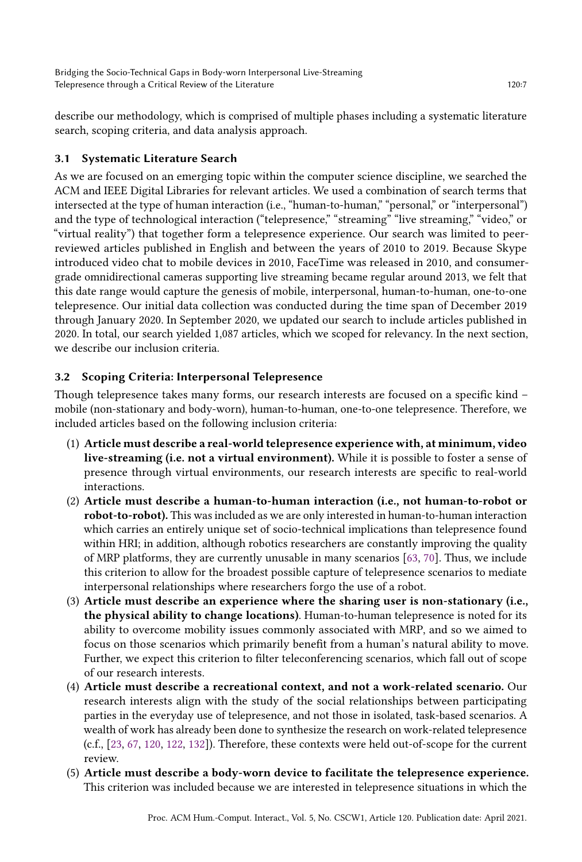describe our methodology, which is comprised of multiple phases including a systematic literature search, scoping criteria, and data analysis approach.

## 3.1 Systematic Literature Search

As we are focused on an emerging topic within the computer science discipline, we searched the ACM and IEEE Digital Libraries for relevant articles. We used a combination of search terms that intersected at the type of human interaction (i.e., "human-to-human," "personal," or "interpersonal") and the type of technological interaction ("telepresence," "streaming" "live streaming," "video," or "virtual reality") that together form a telepresence experience. Our search was limited to peerreviewed articles published in English and between the years of 2010 to 2019. Because Skype introduced video chat to mobile devices in 2010, FaceTime was released in 2010, and consumergrade omnidirectional cameras supporting live streaming became regular around 2013, we felt that this date range would capture the genesis of mobile, interpersonal, human-to-human, one-to-one telepresence. Our initial data collection was conducted during the time span of December 2019 through January 2020. In September 2020, we updated our search to include articles published in 2020. In total, our search yielded 1,087 articles, which we scoped for relevancy. In the next section, we describe our inclusion criteria.

## 3.2 Scoping Criteria: Interpersonal Telepresence

Though telepresence takes many forms, our research interests are focused on a specific kind – mobile (non-stationary and body-worn), human-to-human, one-to-one telepresence. Therefore, we included articles based on the following inclusion criteria:

- (1) Article must describe a real-world telepresence experience with, at minimum, video live-streaming (i.e. not a virtual environment). While it is possible to foster a sense of presence through virtual environments, our research interests are specific to real-world interactions.
- (2) Article must describe a human-to-human interaction (i.e., not human-to-robot or robot-to-robot). This was included as we are only interested in human-to-human interaction which carries an entirely unique set of socio-technical implications than telepresence found within HRI; in addition, although robotics researchers are constantly improving the quality of MRP platforms, they are currently unusable in many scenarios [\[63,](#page-34-6) [70\]](#page-34-10). Thus, we include this criterion to allow for the broadest possible capture of telepresence scenarios to mediate interpersonal relationships where researchers forgo the use of a robot.
- (3) Article must describe an experience where the sharing user is non-stationary (i.e., the physical ability to change locations). Human-to-human telepresence is noted for its ability to overcome mobility issues commonly associated with MRP, and so we aimed to focus on those scenarios which primarily benefit from a human's natural ability to move. Further, we expect this criterion to filter teleconferencing scenarios, which fall out of scope of our research interests.
- (4) Article must describe a recreational context, and not a work-related scenario. Our research interests align with the study of the social relationships between participating parties in the everyday use of telepresence, and not those in isolated, task-based scenarios. A wealth of work has already been done to synthesize the research on work-related telepresence (c.f., [\[23,](#page-32-8) [67,](#page-34-11) [120,](#page-37-9) [122,](#page-37-1) [132\]](#page-37-7)). Therefore, these contexts were held out-of-scope for the current review.
- (5) Article must describe a body-worn device to facilitate the telepresence experience. This criterion was included because we are interested in telepresence situations in which the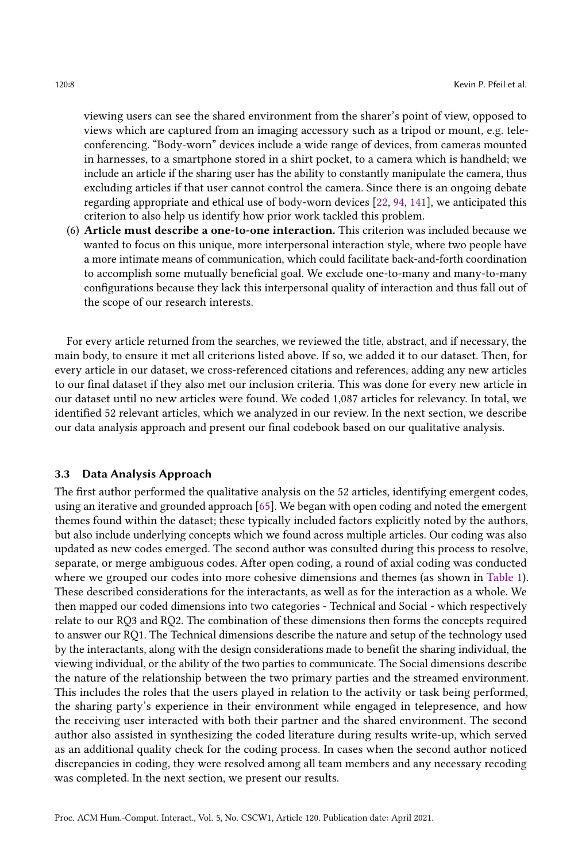viewing users can see the shared environment from the sharer's point of view, opposed to views which are captured from an imaging accessory such as a tripod or mount, e.g. teleconferencing. "Body-worn" devices include a wide range of devices, from cameras mounted in harnesses, to a smartphone stored in a shirt pocket, to a camera which is handheld; we include an article if the sharing user has the ability to constantly manipulate the camera, thus excluding articles if that user cannot control the camera. Since there is an ongoing debate regarding appropriate and ethical use of body-worn devices [\[22,](#page-32-5) [94,](#page-35-5) [141\]](#page-38-5), we anticipated this criterion to also help us identify how prior work tackled this problem.

(6) Article must describe a one-to-one interaction. This criterion was included because we wanted to focus on this unique, more interpersonal interaction style, where two people have a more intimate means of communication, which could facilitate back-and-forth coordination to accomplish some mutually beneficial goal. We exclude one-to-many and many-to-many configurations because they lack this interpersonal quality of interaction and thus fall out of the scope of our research interests.

For every article returned from the searches, we reviewed the title, abstract, and if necessary, the main body, to ensure it met all criterions listed above. If so, we added it to our dataset. Then, for every article in our dataset, we cross-referenced citations and references, adding any new articles to our final dataset if they also met our inclusion criteria. This was done for every new article in our dataset until no new articles were found. We coded 1,087 articles for relevancy. In total, we identified 52 relevant articles, which we analyzed in our review. In the next section, we describe our data analysis approach and present our final codebook based on our qualitative analysis.

#### 3.3 Data Analysis Approach

The first author performed the qualitative analysis on the 52 articles, identifying emergent codes, using an iterative and grounded approach [\[65\]](#page-34-12). We began with open coding and noted the emergent themes found within the dataset; these typically included factors explicitly noted by the authors, but also include underlying concepts which we found across multiple articles. Our coding was also updated as new codes emerged. The second author was consulted during this process to resolve, separate, or merge ambiguous codes. After open coding, a round of axial coding was conducted where we grouped our codes into more cohesive dimensions and themes (as shown in [Table 1\)](#page-8-0). These described considerations for the interactants, as well as for the interaction as a whole. We then mapped our coded dimensions into two categories - Technical and Social - which respectively relate to our RQ3 and RQ2. The combination of these dimensions then forms the concepts required to answer our RQ1. The Technical dimensions describe the nature and setup of the technology used by the interactants, along with the design considerations made to benefit the sharing individual, the viewing individual, or the ability of the two parties to communicate. The Social dimensions describe the nature of the relationship between the two primary parties and the streamed environment. This includes the roles that the users played in relation to the activity or task being performed, the sharing party's experience in their environment while engaged in telepresence, and how the receiving user interacted with both their partner and the shared environment. The second author also assisted in synthesizing the coded literature during results write-up, which served as an additional quality check for the coding process. In cases when the second author noticed discrepancies in coding, they were resolved among all team members and any necessary recoding was completed. In the next section, we present our results.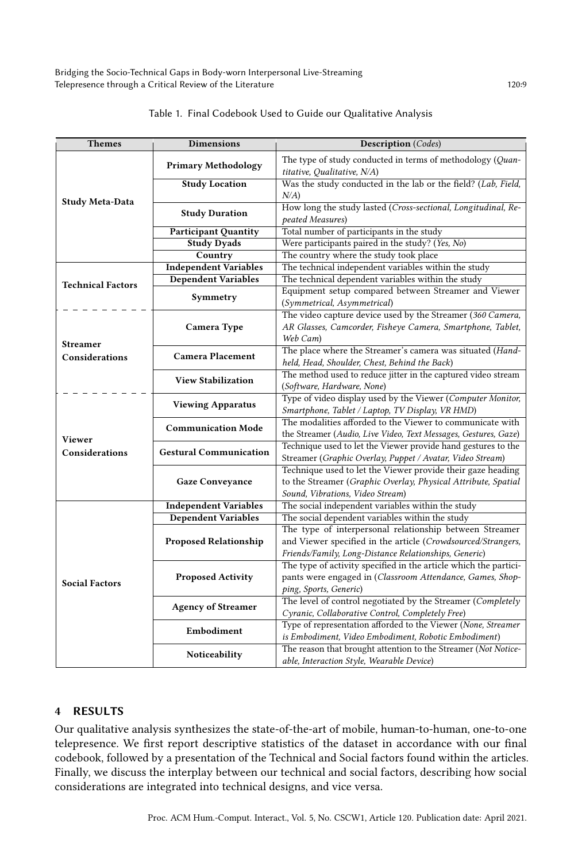<span id="page-8-0"></span>Bridging the Socio-Technical Gaps in Body-worn Interpersonal Live-Streaming Telepresence through a Critical Review of the Literature 120:9

| <b>Themes</b>            | <b>Dimensions</b>             | <b>Description</b> (Codes)                                                                                                 |  |  |  |
|--------------------------|-------------------------------|----------------------------------------------------------------------------------------------------------------------------|--|--|--|
|                          | <b>Primary Methodology</b>    | The type of study conducted in terms of methodology (Quan-<br>titative, Qualitative, N/A)                                  |  |  |  |
|                          | <b>Study Location</b>         | Was the study conducted in the lab or the field? (Lab, Field,                                                              |  |  |  |
| <b>Study Meta-Data</b>   |                               | $N/A$ )                                                                                                                    |  |  |  |
|                          | <b>Study Duration</b>         | How long the study lasted (Cross-sectional, Longitudinal, Re-                                                              |  |  |  |
|                          |                               | peated Measures)                                                                                                           |  |  |  |
|                          | <b>Participant Quantity</b>   | Total number of participants in the study                                                                                  |  |  |  |
|                          | <b>Study Dyads</b>            | Were participants paired in the study? (Yes, No)                                                                           |  |  |  |
|                          | Country                       | The country where the study took place                                                                                     |  |  |  |
|                          | <b>Independent Variables</b>  | The technical independent variables within the study                                                                       |  |  |  |
| <b>Technical Factors</b> | <b>Dependent Variables</b>    | The technical dependent variables within the study                                                                         |  |  |  |
|                          | Symmetry                      | Equipment setup compared between Streamer and Viewer<br>(Symmetrical, Asymmetrical)                                        |  |  |  |
|                          |                               | The video capture device used by the Streamer (360 Camera,                                                                 |  |  |  |
| <b>Streamer</b>          | Camera Type                   | AR Glasses, Camcorder, Fisheye Camera, Smartphone, Tablet,<br>Web Cam)                                                     |  |  |  |
|                          | <b>Camera Placement</b>       | The place where the Streamer's camera was situated (Hand-                                                                  |  |  |  |
| Considerations           |                               | held, Head, Shoulder, Chest, Behind the Back)                                                                              |  |  |  |
|                          | <b>View Stabilization</b>     | The method used to reduce jitter in the captured video stream                                                              |  |  |  |
|                          |                               | (Software, Hardware, None)                                                                                                 |  |  |  |
|                          | <b>Viewing Apparatus</b>      | Type of video display used by the Viewer (Computer Monitor,                                                                |  |  |  |
|                          |                               | Smartphone, Tablet / Laptop, TV Display, VR HMD)                                                                           |  |  |  |
|                          | <b>Communication Mode</b>     | The modalities afforded to the Viewer to communicate with                                                                  |  |  |  |
| <b>Viewer</b>            |                               | the Streamer (Audio, Live Video, Text Messages, Gestures, Gaze)                                                            |  |  |  |
| Considerations           | <b>Gestural Communication</b> | Technique used to let the Viewer provide hand gestures to the<br>Streamer (Graphic Overlay, Puppet / Avatar, Video Stream) |  |  |  |
|                          |                               | Technique used to let the Viewer provide their gaze heading                                                                |  |  |  |
|                          | <b>Gaze Conveyance</b>        | to the Streamer (Graphic Overlay, Physical Attribute, Spatial                                                              |  |  |  |
|                          |                               | Sound, Vibrations, Video Stream)                                                                                           |  |  |  |
|                          | <b>Independent Variables</b>  | The social independent variables within the study                                                                          |  |  |  |
|                          | <b>Dependent Variables</b>    | The social dependent variables within the study                                                                            |  |  |  |
|                          |                               | The type of interpersonal relationship between Streamer                                                                    |  |  |  |
|                          | <b>Proposed Relationship</b>  | and Viewer specified in the article (Crowdsourced/Strangers,                                                               |  |  |  |
|                          |                               | Friends/Family, Long-Distance Relationships, Generic)                                                                      |  |  |  |
|                          |                               | The type of activity specified in the article which the partici-                                                           |  |  |  |
| <b>Social Factors</b>    | <b>Proposed Activity</b>      | pants were engaged in (Classroom Attendance, Games, Shop-                                                                  |  |  |  |
|                          |                               | ping, Sports, Generic)                                                                                                     |  |  |  |
|                          | <b>Agency of Streamer</b>     | The level of control negotiated by the Streamer (Completely                                                                |  |  |  |
|                          |                               | Cyranic, Collaborative Control, Completely Free)                                                                           |  |  |  |
|                          | Embodiment                    | Type of representation afforded to the Viewer (None, Streamer                                                              |  |  |  |
|                          |                               | is Embodiment, Video Embodiment, Robotic Embodiment)                                                                       |  |  |  |
|                          | Noticeability                 | The reason that brought attention to the Streamer (Not Notice-                                                             |  |  |  |
|                          |                               | able, Interaction Style, Wearable Device)                                                                                  |  |  |  |

|  | Table 1. Final Codebook Used to Guide our Qualitative Analysis |  |  |  |  |
|--|----------------------------------------------------------------|--|--|--|--|
|--|----------------------------------------------------------------|--|--|--|--|

## 4 RESULTS

Our qualitative analysis synthesizes the state-of-the-art of mobile, human-to-human, one-to-one telepresence. We first report descriptive statistics of the dataset in accordance with our final codebook, followed by a presentation of the Technical and Social factors found within the articles. Finally, we discuss the interplay between our technical and social factors, describing how social considerations are integrated into technical designs, and vice versa.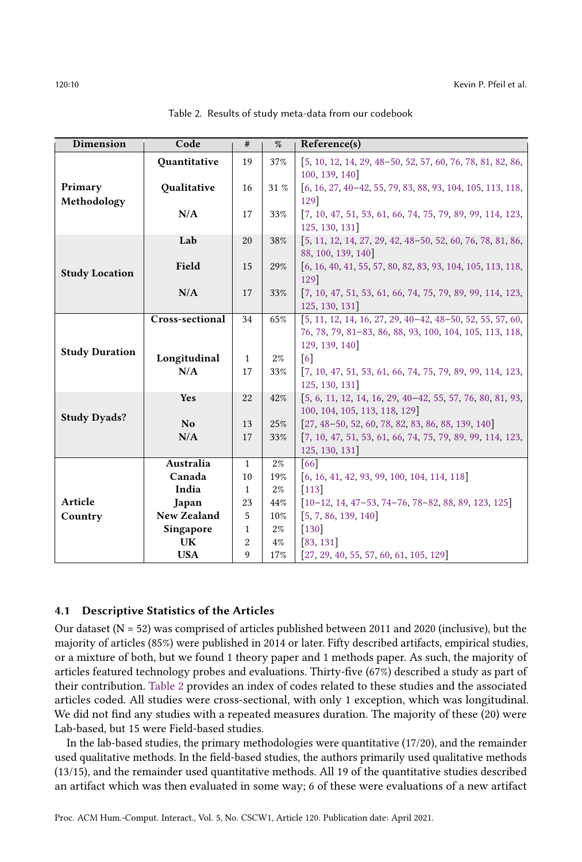<span id="page-9-0"></span>

| Dimension             | Code               | #                  | %     | Reference(s)                                                              |  |  |  |
|-----------------------|--------------------|--------------------|-------|---------------------------------------------------------------------------|--|--|--|
|                       | Quantitative       | 19                 | 37%   | [5, 10, 12, 14, 29, 48-50, 52, 57, 60, 76, 78, 81, 82, 86,                |  |  |  |
|                       |                    |                    |       | 100, 139, 140                                                             |  |  |  |
| Primary               | Qualitative        | 16                 | 31 %  | $\left[6, 16, 27, 40-42, 55, 79, 83, 88, 93, 104, 105, 113, 118, \right]$ |  |  |  |
| Methodology           |                    |                    |       | 129]                                                                      |  |  |  |
|                       | N/A                | 17                 | 33%   | [7, 10, 47, 51, 53, 61, 66, 74, 75, 79, 89, 99, 114, 123,                 |  |  |  |
|                       |                    |                    |       | 125, 130, 131                                                             |  |  |  |
|                       | Lab                | 20                 | 38%   | [5, 11, 12, 14, 27, 29, 42, 48-50, 52, 60, 76, 78, 81, 86,                |  |  |  |
|                       |                    |                    |       | 88, 100, 139, 140                                                         |  |  |  |
| <b>Study Location</b> | Field              | 15                 | 29%   | [6, 16, 40, 41, 55, 57, 80, 82, 83, 93, 104, 105, 113, 118,               |  |  |  |
|                       |                    |                    |       | 129]                                                                      |  |  |  |
|                       | N/A                | 17                 | 33%   | $[7, 10, 47, 51, 53, 61, 66, 74, 75, 79, 89, 99, 114, 123,$               |  |  |  |
|                       |                    |                    |       | 125, 130, 131                                                             |  |  |  |
|                       | Cross-sectional    | 34                 | 65%   | $[5, 11, 12, 14, 16, 27, 29, 40 - 42, 48 - 50, 52, 55, 57, 60,$           |  |  |  |
|                       |                    |                    |       | 76, 78, 79, 81-83, 86, 88, 93, 100, 104, 105, 113, 118,                   |  |  |  |
| <b>Study Duration</b> |                    |                    |       | 129, 139, 140                                                             |  |  |  |
|                       | Longitudinal       | $\mathbf{1}$       | 2%    | $\lceil 6 \rceil$                                                         |  |  |  |
|                       | N/A                | 17                 | 33%   | $[7, 10, 47, 51, 53, 61, 66, 74, 75, 79, 89, 99, 114, 123,$               |  |  |  |
|                       |                    |                    |       | 125, 130, 131                                                             |  |  |  |
|                       | Yes                | 22                 | 42%   | [5, 6, 11, 12, 14, 16, 29, 40-42, 55, 57, 76, 80, 81, 93,                 |  |  |  |
| <b>Study Dyads?</b>   |                    |                    |       | 100, 104, 105, 113, 118, 129]                                             |  |  |  |
|                       | N <sub>o</sub>     | 13                 | 25%   | $[27, 48 - 50, 52, 60, 78, 82, 83, 86, 88, 139, 140]$                     |  |  |  |
|                       | N/A                | 17                 | 33%   | [7, 10, 47, 51, 53, 61, 66, 74, 75, 79, 89, 99, 114, 123,                 |  |  |  |
|                       |                    |                    |       | 125, 130, 131                                                             |  |  |  |
|                       | Australia          | 1                  | 2%    | 66                                                                        |  |  |  |
|                       | Canada<br>India    | 10                 | 19%   | $[6, 16, 41, 42, 93, 99, 100, 104, 114, 118]$                             |  |  |  |
| Article               |                    | $\mathbf{1}$<br>23 | $2\%$ | $[113]$                                                                   |  |  |  |
|                       | Japan              |                    | 44%   | $[10-12, 14, 47-53, 74-76, 78-82, 88, 89, 123, 125]$                      |  |  |  |
| Country               | <b>New Zealand</b> | 5                  | 10%   | [5, 7, 86, 139, 140]                                                      |  |  |  |
|                       | Singapore          | 1                  | $2\%$ | $[130]$                                                                   |  |  |  |
|                       | <b>UK</b>          | 2                  | 4%    | [83, 131]                                                                 |  |  |  |
|                       | <b>USA</b>         | 9                  | 17%   | $[27, 29, 40, 55, 57, 60, 61, 105, 129]$                                  |  |  |  |

Table 2. Results of study meta-data from our codebook

### 4.1 Descriptive Statistics of the Articles

Our dataset ( $N = 52$ ) was comprised of articles published between 2011 and 2020 (inclusive), but the majority of articles (85%) were published in 2014 or later. Fifty described artifacts, empirical studies, or a mixture of both, but we found 1 theory paper and 1 methods paper. As such, the majority of articles featured technology probes and evaluations. Thirty-five (67%) described a study as part of their contribution. [Table 2](#page-9-0) provides an index of codes related to these studies and the associated articles coded. All studies were cross-sectional, with only 1 exception, which was longitudinal. We did not find any studies with a repeated measures duration. The majority of these (20) were Lab-based, but 15 were Field-based studies.

In the lab-based studies, the primary methodologies were quantitative (17/20), and the remainder used qualitative methods. In the field-based studies, the authors primarily used qualitative methods (13/15), and the remainder used quantitative methods. All 19 of the quantitative studies described an artifact which was then evaluated in some way; 6 of these were evaluations of a new artifact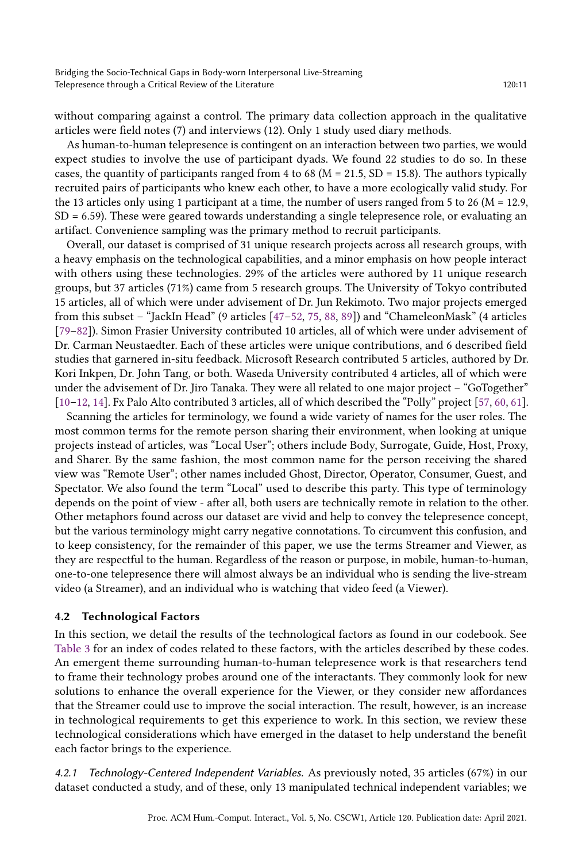without comparing against a control. The primary data collection approach in the qualitative articles were field notes (7) and interviews (12). Only 1 study used diary methods.

As human-to-human telepresence is contingent on an interaction between two parties, we would expect studies to involve the use of participant dyads. We found 22 studies to do so. In these cases, the quantity of participants ranged from 4 to 68 ( $M = 21.5$ ,  $SD = 15.8$ ). The authors typically recruited pairs of participants who knew each other, to have a more ecologically valid study. For the 13 articles only using 1 participant at a time, the number of users ranged from 5 to 26 ( $M = 12.9$ , SD = 6.59). These were geared towards understanding a single telepresence role, or evaluating an artifact. Convenience sampling was the primary method to recruit participants.

Overall, our dataset is comprised of 31 unique research projects across all research groups, with a heavy emphasis on the technological capabilities, and a minor emphasis on how people interact with others using these technologies. 29% of the articles were authored by 11 unique research groups, but 37 articles (71%) came from 5 research groups. The University of Tokyo contributed 15 articles, all of which were under advisement of Dr. Jun Rekimoto. Two major projects emerged from this subset – "JackIn Head" (9 articles [\[47–](#page-33-12)[52,](#page-33-8) [75,](#page-34-18) [88,](#page-35-14) [89\]](#page-35-16)) and "ChameleonMask" (4 articles [\[79–](#page-35-12)[82\]](#page-35-10)). Simon Frasier University contributed 10 articles, all of which were under advisement of Dr. Carman Neustaedter. Each of these articles were unique contributions, and 6 described field studies that garnered in-situ feedback. Microsoft Research contributed 5 articles, authored by Dr. Kori Inkpen, Dr. John Tang, or both. Waseda University contributed 4 articles, all of which were under the advisement of Dr. Jiro Tanaka. They were all related to one major project – "GoTogether" [\[10–](#page-31-8)[12,](#page-31-9) [14\]](#page-31-10). Fx Palo Alto contributed 3 articles, all of which described the "Polly" project [\[57,](#page-34-13) [60,](#page-34-14) [61\]](#page-34-16).

Scanning the articles for terminology, we found a wide variety of names for the user roles. The most common terms for the remote person sharing their environment, when looking at unique projects instead of articles, was "Local User"; others include Body, Surrogate, Guide, Host, Proxy, and Sharer. By the same fashion, the most common name for the person receiving the shared view was "Remote User"; other names included Ghost, Director, Operator, Consumer, Guest, and Spectator. We also found the term "Local" used to describe this party. This type of terminology depends on the point of view - after all, both users are technically remote in relation to the other. Other metaphors found across our dataset are vivid and help to convey the telepresence concept, but the various terminology might carry negative connotations. To circumvent this confusion, and to keep consistency, for the remainder of this paper, we use the terms Streamer and Viewer, as they are respectful to the human. Regardless of the reason or purpose, in mobile, human-to-human, one-to-one telepresence there will almost always be an individual who is sending the live-stream video (a Streamer), and an individual who is watching that video feed (a Viewer).

## 4.2 Technological Factors

In this section, we detail the results of the technological factors as found in our codebook. See [Table 3](#page-11-0) for an index of codes related to these factors, with the articles described by these codes. An emergent theme surrounding human-to-human telepresence work is that researchers tend to frame their technology probes around one of the interactants. They commonly look for new solutions to enhance the overall experience for the Viewer, or they consider new affordances that the Streamer could use to improve the social interaction. The result, however, is an increase in technological requirements to get this experience to work. In this section, we review these technological considerations which have emerged in the dataset to help understand the benefit each factor brings to the experience.

4.2.1 Technology-Centered Independent Variables. As previously noted, 35 articles (67%) in our dataset conducted a study, and of these, only 13 manipulated technical independent variables; we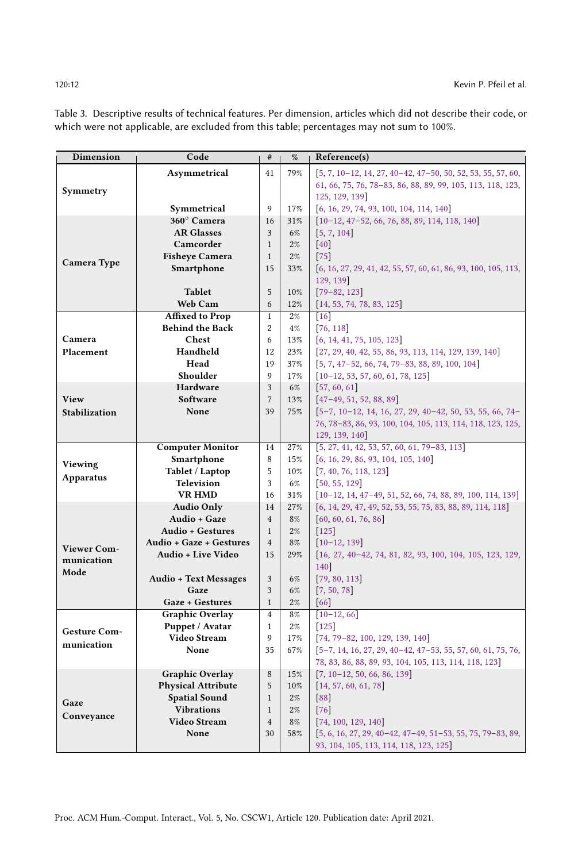| Dimension            | Code                                 | $\#$           | $\%$  | Reference(s)                                                                  |  |  |  |
|----------------------|--------------------------------------|----------------|-------|-------------------------------------------------------------------------------|--|--|--|
|                      | Asymmetrical                         | 41             | 79%   | $[5, 7, 10-12, 14, 27, 40-42, 47-50, 50, 52, 53, 55, 57, 60,$                 |  |  |  |
|                      |                                      |                |       | 61, 66, 75, 76, 78-83, 86, 88, 89, 99, 105, 113, 118, 123,                    |  |  |  |
| Symmetry             |                                      |                |       | 125, 129, 139]                                                                |  |  |  |
|                      | Symmetrical                          | 9              | 17%   | $[6, 16, 29, 74, 93, 100, 104, 114, 140]$                                     |  |  |  |
|                      | 360° Camera                          | 16             | 31%   | $[10-12, 47-52, 66, 76, 88, 89, 114, 118, 140]$                               |  |  |  |
|                      | <b>AR Glasses</b>                    | 3              | 6%    | [5, 7, 104]                                                                   |  |  |  |
|                      | Camcorder                            | $\mathbf{1}$   | 2%    | $[40]$                                                                        |  |  |  |
|                      | <b>Fisheye Camera</b>                | $\mathbf{1}$   | $2\%$ | $[75]$                                                                        |  |  |  |
| Camera Type          | Smartphone                           | 15             | 33%   | $\left[6, 16, 27, 29, 41, 42, 55, 57, 60, 61, 86, 93, 100, 105, 113, \right]$ |  |  |  |
|                      |                                      |                |       | 129, 139]                                                                     |  |  |  |
|                      | <b>Tablet</b>                        | 5              | 10%   | $[79 - 82, 123]$                                                              |  |  |  |
|                      | Web Cam                              | 6              | 12%   | [14, 53, 74, 78, 83, 125]                                                     |  |  |  |
|                      | <b>Affixed to Prop</b>               | $\mathbf{1}$   | 2%    | $\lceil 16 \rceil$                                                            |  |  |  |
|                      | <b>Behind the Back</b>               | $\overline{2}$ | $4\%$ | 76, 118                                                                       |  |  |  |
| Camera               | Chest                                | 6              | 13%   | [6, 14, 41, 75, 105, 123]                                                     |  |  |  |
| Placement            | Handheld                             | 12             | 23%   | $[27, 29, 40, 42, 55, 86, 93, 113, 114, 129, 139, 140]$                       |  |  |  |
|                      | Head                                 | 19             | 37%   | $[5, 7, 47-52, 66, 74, 79-83, 88, 89, 100, 104]$                              |  |  |  |
|                      | Shoulder                             | 9              | 17%   | $[10-12, 53, 57, 60, 61, 78, 125]$                                            |  |  |  |
|                      | Hardware                             | 3              | 6%    | [57, 60, 61]                                                                  |  |  |  |
| View                 | Software                             | $\overline{7}$ | 13%   | $[47-49, 51, 52, 88, 89]$                                                     |  |  |  |
| <b>Stabilization</b> | None                                 | 39             | 75%   | $[5-7, 10-12, 14, 16, 27, 29, 40-42, 50, 53, 55, 66, 74-$                     |  |  |  |
|                      |                                      |                |       | 76, 78-83, 86, 93, 100, 104, 105, 113, 114, 118, 123, 125,                    |  |  |  |
|                      |                                      |                |       | 129, 139, 140                                                                 |  |  |  |
|                      | <b>Computer Monitor</b>              | 14             | 27%   | $[5, 27, 41, 42, 53, 57, 60, 61, 79-83, 113]$                                 |  |  |  |
| Viewing              | Smartphone                           | 8              | 15%   | [6, 16, 29, 86, 93, 104, 105, 140]                                            |  |  |  |
| <b>Apparatus</b>     | Tablet / Laptop                      | 5              | 10%   | [7, 40, 76, 118, 123]                                                         |  |  |  |
|                      | <b>Television</b>                    | 3              | 6%    | [50, 55, 129]                                                                 |  |  |  |
|                      | <b>VR HMD</b>                        | 16             | 31%   | $[10-12, 14, 47-49, 51, 52, 66, 74, 88, 89, 100, 114, 139]$                   |  |  |  |
|                      | <b>Audio Only</b>                    | 14             | 27%   | $[6, 14, 29, 47, 49, 52, 53, 55, 75, 83, 88, 89, 114, 118]$                   |  |  |  |
|                      | Audio + Gaze                         | $\overline{4}$ | 8%    | [60, 60, 61, 76, 86]                                                          |  |  |  |
|                      | <b>Audio + Gestures</b>              | $\mathbf{1}$   | 2%    | $[125]$                                                                       |  |  |  |
| Viewer Com-          | Audio + Gaze + Gestures              | $\overline{4}$ | 8%    | $[10-12, 139]$                                                                |  |  |  |
| munication           | Audio + Live Video                   | 15             | 29%   | $[16, 27, 40-42, 74, 81, 82, 93, 100, 104, 105, 123, 129,$                    |  |  |  |
| Mode                 |                                      | 3              | 6%    | 140]<br>[79, 80, 113]                                                         |  |  |  |
|                      | <b>Audio + Text Messages</b><br>Gaze | 3              | 6%    | [7, 50, 78]                                                                   |  |  |  |
|                      | Gaze + Gestures                      | $\mathbf{1}$   | $2\%$ | [66]                                                                          |  |  |  |
|                      | <b>Graphic Overlay</b>               | $\overline{4}$ | 8%    | $[10-12, 66]$                                                                 |  |  |  |
|                      | Puppet / Avatar                      | $\mathbf{1}$   | 2%    | $[125]$                                                                       |  |  |  |
| Gesture Com-         | Video Stream                         | 9              | 17%   | $[74, 79 - 82, 100, 129, 139, 140]$                                           |  |  |  |
| munication           | None                                 | 35             | 67%   | $[5-7, 14, 16, 27, 29, 40-42, 47-53, 55, 57, 60, 61, 75, 76,$                 |  |  |  |
|                      |                                      |                |       | 78, 83, 86, 88, 89, 93, 104, 105, 113, 114, 118, 123]                         |  |  |  |
| Gaze<br>Conveyance   | <b>Graphic Overlay</b>               | 8              | 15%   | $[7, 10-12, 50, 66, 86, 139]$                                                 |  |  |  |
|                      | <b>Physical Attribute</b>            | 5              | 10%   | [14, 57, 60, 61, 78]                                                          |  |  |  |
|                      | <b>Spatial Sound</b>                 | $\mathbf{1}$   | 2%    | $[88]$                                                                        |  |  |  |
|                      | <b>Vibrations</b>                    | $\mathbf{1}$   | 2%    | [76]                                                                          |  |  |  |
|                      | <b>Video Stream</b>                  | $\overline{4}$ | 8%    | [74, 100, 129, 140]                                                           |  |  |  |
|                      | None                                 | 30             | 58%   | $[5, 6, 16, 27, 29, 40-42, 47-49, 51-53, 55, 75, 79-83, 89,$                  |  |  |  |
|                      |                                      |                |       | 93, 104, 105, 113, 114, 118, 123, 125]                                        |  |  |  |

<span id="page-11-0"></span>Table 3. Descriptive results of technical features. Per dimension, articles which did not describe their code, or which were not applicable, are excluded from this table; percentages may not sum to 100%.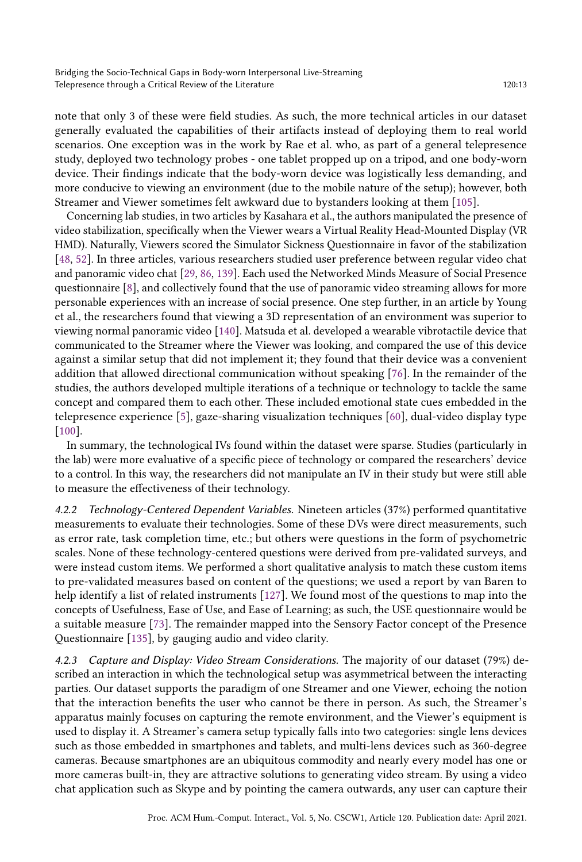note that only 3 of these were field studies. As such, the more technical articles in our dataset generally evaluated the capabilities of their artifacts instead of deploying them to real world scenarios. One exception was in the work by Rae et al. who, as part of a general telepresence study, deployed two technology probes - one tablet propped up on a tripod, and one body-worn device. Their findings indicate that the body-worn device was logistically less demanding, and more conducive to viewing an environment (due to the mobile nature of the setup); however, both Streamer and Viewer sometimes felt awkward due to bystanders looking at them [\[105\]](#page-36-7).

Concerning lab studies, in two articles by Kasahara et al., the authors manipulated the presence of video stabilization, specifically when the Viewer wears a Virtual Reality Head-Mounted Display (VR HMD). Naturally, Viewers scored the Simulator Sickness Questionnaire in favor of the stabilization [\[48,](#page-33-6) [52\]](#page-33-8). In three articles, various researchers studied user preference between regular video chat and panoramic video chat [\[29,](#page-32-9) [86,](#page-35-11) [139\]](#page-38-6). Each used the Networked Minds Measure of Social Presence questionnaire [\[8\]](#page-31-15), and collectively found that the use of panoramic video streaming allows for more personable experiences with an increase of social presence. One step further, in an article by Young et al., the researchers found that viewing a 3D representation of an environment was superior to viewing normal panoramic video [\[140\]](#page-38-7). Matsuda et al. developed a wearable vibrotactile device that communicated to the Streamer where the Viewer was looking, and compared the use of this device against a similar setup that did not implement it; they found that their device was a convenient addition that allowed directional communication without speaking [\[76\]](#page-34-15). In the remainder of the studies, the authors developed multiple iterations of a technique or technology to tackle the same concept and compared them to each other. These included emotional state cues embedded in the telepresence experience [\[5\]](#page-31-7), gaze-sharing visualization techniques [\[60\]](#page-34-14), dual-video display type [\[100\]](#page-36-8).

In summary, the technological IVs found within the dataset were sparse. Studies (particularly in the lab) were more evaluative of a specific piece of technology or compared the researchers' device to a control. In this way, the researchers did not manipulate an IV in their study but were still able to measure the effectiveness of their technology.

4.2.2 Technology-Centered Dependent Variables. Nineteen articles (37%) performed quantitative measurements to evaluate their technologies. Some of these DVs were direct measurements, such as error rate, task completion time, etc.; but others were questions in the form of psychometric scales. None of these technology-centered questions were derived from pre-validated surveys, and were instead custom items. We performed a short qualitative analysis to match these custom items to pre-validated measures based on content of the questions; we used a report by van Baren to help identify a list of related instruments [\[127\]](#page-37-16). We found most of the questions to map into the concepts of Usefulness, Ease of Use, and Ease of Learning; as such, the USE questionnaire would be a suitable measure [\[73\]](#page-34-19). The remainder mapped into the Sensory Factor concept of the Presence Questionnaire [\[135\]](#page-38-2), by gauging audio and video clarity.

4.2.3 Capture and Display: Video Stream Considerations. The majority of our dataset (79%) described an interaction in which the technological setup was asymmetrical between the interacting parties. Our dataset supports the paradigm of one Streamer and one Viewer, echoing the notion that the interaction benefits the user who cannot be there in person. As such, the Streamer's apparatus mainly focuses on capturing the remote environment, and the Viewer's equipment is used to display it. A Streamer's camera setup typically falls into two categories: single lens devices such as those embedded in smartphones and tablets, and multi-lens devices such as 360-degree cameras. Because smartphones are an ubiquitous commodity and nearly every model has one or more cameras built-in, they are attractive solutions to generating video stream. By using a video chat application such as Skype and by pointing the camera outwards, any user can capture their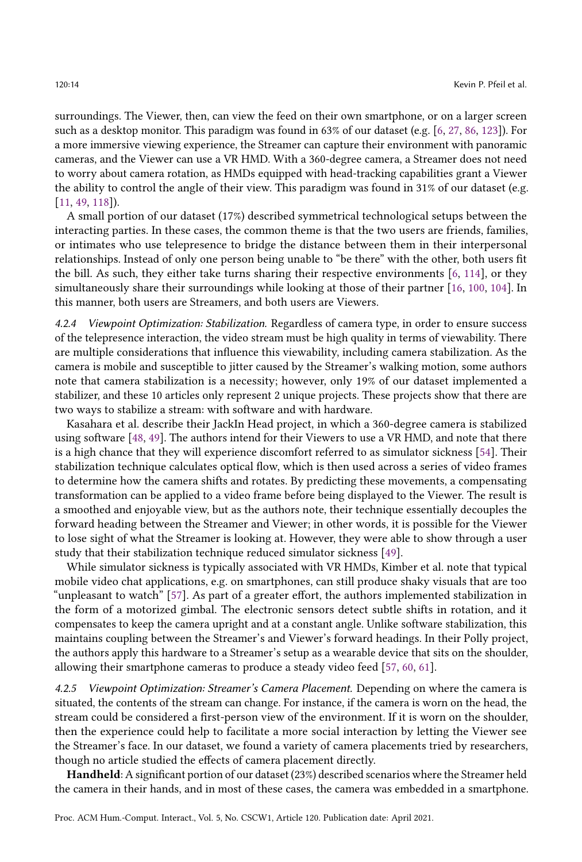surroundings. The Viewer, then, can view the feed on their own smartphone, or on a larger screen such as a desktop monitor. This paradigm was found in 63% of our dataset (e.g. [\[6,](#page-31-11) [27,](#page-32-10) [86,](#page-35-11) [123\]](#page-37-12)). For a more immersive viewing experience, the Streamer can capture their environment with panoramic cameras, and the Viewer can use a VR HMD. With a 360-degree camera, a Streamer does not need to worry about camera rotation, as HMDs equipped with head-tracking capabilities grant a Viewer the ability to control the angle of their view. This paradigm was found in 31% of our dataset (e.g. [\[11,](#page-31-14) [49,](#page-33-16) [118\]](#page-37-10)).

A small portion of our dataset (17%) described symmetrical technological setups between the interacting parties. In these cases, the common theme is that the two users are friends, families, or intimates who use telepresence to bridge the distance between them in their interpersonal relationships. Instead of only one person being unable to "be there" with the other, both users fit the bill. As such, they either take turns sharing their respective environments [\[6,](#page-31-11) [114\]](#page-36-12), or they simultaneously share their surroundings while looking at those of their partner [\[16,](#page-31-12) [100,](#page-36-8) [104\]](#page-36-9). In this manner, both users are Streamers, and both users are Viewers.

4.2.4 Viewpoint Optimization: Stabilization. Regardless of camera type, in order to ensure success of the telepresence interaction, the video stream must be high quality in terms of viewability. There are multiple considerations that influence this viewability, including camera stabilization. As the camera is mobile and susceptible to jitter caused by the Streamer's walking motion, some authors note that camera stabilization is a necessity; however, only 19% of our dataset implemented a stabilizer, and these 10 articles only represent 2 unique projects. These projects show that there are two ways to stabilize a stream: with software and with hardware.

Kasahara et al. describe their JackIn Head project, in which a 360-degree camera is stabilized using software [\[48,](#page-33-6) [49\]](#page-33-16). The authors intend for their Viewers to use a VR HMD, and note that there is a high chance that they will experience discomfort referred to as simulator sickness [\[54\]](#page-33-17). Their stabilization technique calculates optical flow, which is then used across a series of video frames to determine how the camera shifts and rotates. By predicting these movements, a compensating transformation can be applied to a video frame before being displayed to the Viewer. The result is a smoothed and enjoyable view, but as the authors note, their technique essentially decouples the forward heading between the Streamer and Viewer; in other words, it is possible for the Viewer to lose sight of what the Streamer is looking at. However, they were able to show through a user study that their stabilization technique reduced simulator sickness [\[49\]](#page-33-16).

While simulator sickness is typically associated with VR HMDs, Kimber et al. note that typical mobile video chat applications, e.g. on smartphones, can still produce shaky visuals that are too "unpleasant to watch" [\[57\]](#page-34-13). As part of a greater effort, the authors implemented stabilization in the form of a motorized gimbal. The electronic sensors detect subtle shifts in rotation, and it compensates to keep the camera upright and at a constant angle. Unlike software stabilization, this maintains coupling between the Streamer's and Viewer's forward headings. In their Polly project, the authors apply this hardware to a Streamer's setup as a wearable device that sits on the shoulder, allowing their smartphone cameras to produce a steady video feed [\[57,](#page-34-13) [60,](#page-34-14) [61\]](#page-34-16).

4.2.5 Viewpoint Optimization: Streamer's Camera Placement. Depending on where the camera is situated, the contents of the stream can change. For instance, if the camera is worn on the head, the stream could be considered a first-person view of the environment. If it is worn on the shoulder, then the experience could help to facilitate a more social interaction by letting the Viewer see the Streamer's face. In our dataset, we found a variety of camera placements tried by researchers, though no article studied the effects of camera placement directly.

Handheld: A significant portion of our dataset (23%) described scenarios where the Streamer held the camera in their hands, and in most of these cases, the camera was embedded in a smartphone.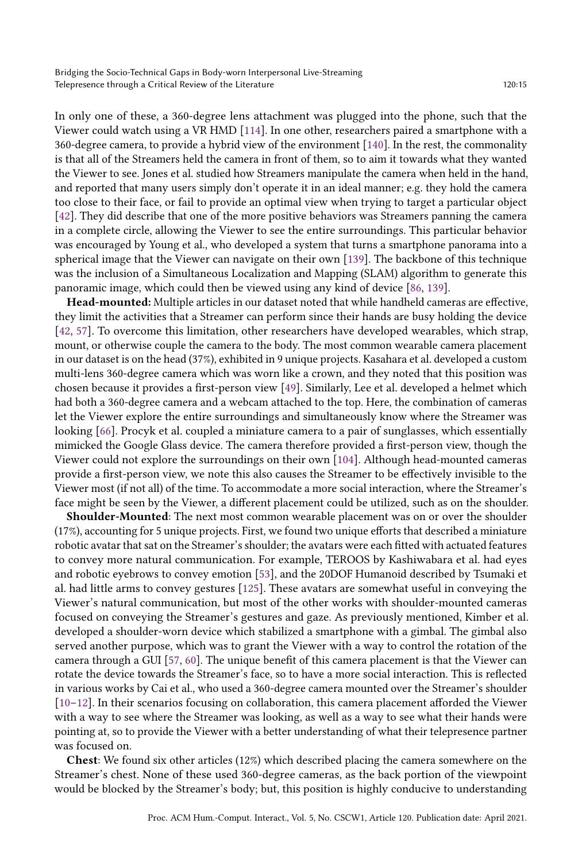In only one of these, a 360-degree lens attachment was plugged into the phone, such that the Viewer could watch using a VR HMD [\[114\]](#page-36-12). In one other, researchers paired a smartphone with a 360-degree camera, to provide a hybrid view of the environment [\[140\]](#page-38-7). In the rest, the commonality is that all of the Streamers held the camera in front of them, so to aim it towards what they wanted the Viewer to see. Jones et al. studied how Streamers manipulate the camera when held in the hand, and reported that many users simply don't operate it in an ideal manner; e.g. they hold the camera too close to their face, or fail to provide an optimal view when trying to target a particular object [\[42\]](#page-33-10). They did describe that one of the more positive behaviors was Streamers panning the camera in a complete circle, allowing the Viewer to see the entire surroundings. This particular behavior was encouraged by Young et al., who developed a system that turns a smartphone panorama into a spherical image that the Viewer can navigate on their own [\[139\]](#page-38-6). The backbone of this technique was the inclusion of a Simultaneous Localization and Mapping (SLAM) algorithm to generate this panoramic image, which could then be viewed using any kind of device [\[86,](#page-35-11) [139\]](#page-38-6).

Head-mounted: Multiple articles in our dataset noted that while handheld cameras are effective, they limit the activities that a Streamer can perform since their hands are busy holding the device [\[42,](#page-33-10) [57\]](#page-34-13). To overcome this limitation, other researchers have developed wearables, which strap, mount, or otherwise couple the camera to the body. The most common wearable camera placement in our dataset is on the head (37%), exhibited in 9 unique projects. Kasahara et al. developed a custom multi-lens 360-degree camera which was worn like a crown, and they noted that this position was chosen because it provides a first-person view [\[49\]](#page-33-16). Similarly, Lee et al. developed a helmet which had both a 360-degree camera and a webcam attached to the top. Here, the combination of cameras let the Viewer explore the entire surroundings and simultaneously know where the Streamer was looking [\[66\]](#page-34-9). Procyk et al. coupled a miniature camera to a pair of sunglasses, which essentially mimicked the Google Glass device. The camera therefore provided a first-person view, though the Viewer could not explore the surroundings on their own [\[104\]](#page-36-9). Although head-mounted cameras provide a first-person view, we note this also causes the Streamer to be effectively invisible to the Viewer most (if not all) of the time. To accommodate a more social interaction, where the Streamer's face might be seen by the Viewer, a different placement could be utilized, such as on the shoulder.

Shoulder-Mounted: The next most common wearable placement was on or over the shoulder (17%), accounting for 5 unique projects. First, we found two unique efforts that described a miniature robotic avatar that sat on the Streamer's shoulder; the avatars were each fitted with actuated features to convey more natural communication. For example, TEROOS by Kashiwabara et al. had eyes and robotic eyebrows to convey emotion [\[53\]](#page-33-14), and the 20DOF Humanoid described by Tsumaki et al. had little arms to convey gestures [\[125\]](#page-37-13). These avatars are somewhat useful in conveying the Viewer's natural communication, but most of the other works with shoulder-mounted cameras focused on conveying the Streamer's gestures and gaze. As previously mentioned, Kimber et al. developed a shoulder-worn device which stabilized a smartphone with a gimbal. The gimbal also served another purpose, which was to grant the Viewer with a way to control the rotation of the camera through a GUI [\[57,](#page-34-13) [60\]](#page-34-14). The unique benefit of this camera placement is that the Viewer can rotate the device towards the Streamer's face, so to have a more social interaction. This is reflected in various works by Cai et al., who used a 360-degree camera mounted over the Streamer's shoulder [\[10–](#page-31-8)[12\]](#page-31-9). In their scenarios focusing on collaboration, this camera placement afforded the Viewer with a way to see where the Streamer was looking, as well as a way to see what their hands were pointing at, so to provide the Viewer with a better understanding of what their telepresence partner was focused on.

Chest: We found six other articles (12%) which described placing the camera somewhere on the Streamer's chest. None of these used 360-degree cameras, as the back portion of the viewpoint would be blocked by the Streamer's body; but, this position is highly conducive to understanding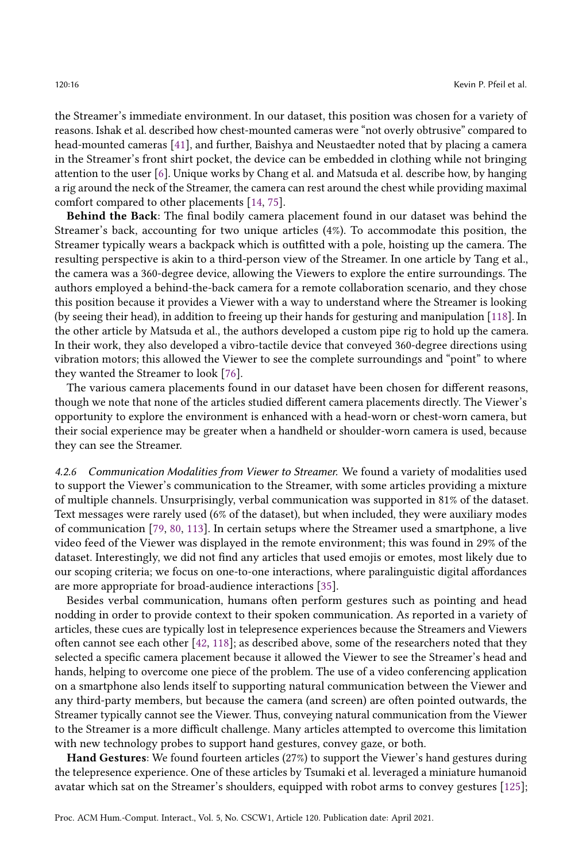the Streamer's immediate environment. In our dataset, this position was chosen for a variety of reasons. Ishak et al. described how chest-mounted cameras were "not overly obtrusive" compared to head-mounted cameras [\[41\]](#page-33-15), and further, Baishya and Neustaedter noted that by placing a camera in the Streamer's front shirt pocket, the device can be embedded in clothing while not bringing attention to the user [\[6\]](#page-31-11). Unique works by Chang et al. and Matsuda et al. describe how, by hanging a rig around the neck of the Streamer, the camera can rest around the chest while providing maximal comfort compared to other placements [\[14,](#page-31-10) [75\]](#page-34-18).

Behind the Back: The final bodily camera placement found in our dataset was behind the Streamer's back, accounting for two unique articles (4%). To accommodate this position, the Streamer typically wears a backpack which is outfitted with a pole, hoisting up the camera. The resulting perspective is akin to a third-person view of the Streamer. In one article by Tang et al., the camera was a 360-degree device, allowing the Viewers to explore the entire surroundings. The authors employed a behind-the-back camera for a remote collaboration scenario, and they chose this position because it provides a Viewer with a way to understand where the Streamer is looking (by seeing their head), in addition to freeing up their hands for gesturing and manipulation [\[118\]](#page-37-10). In the other article by Matsuda et al., the authors developed a custom pipe rig to hold up the camera. In their work, they also developed a vibro-tactile device that conveyed 360-degree directions using vibration motors; this allowed the Viewer to see the complete surroundings and "point" to where they wanted the Streamer to look [\[76\]](#page-34-15).

The various camera placements found in our dataset have been chosen for different reasons, though we note that none of the articles studied different camera placements directly. The Viewer's opportunity to explore the environment is enhanced with a head-worn or chest-worn camera, but their social experience may be greater when a handheld or shoulder-worn camera is used, because they can see the Streamer.

4.2.6 Communication Modalities from Viewer to Streamer. We found a variety of modalities used to support the Viewer's communication to the Streamer, with some articles providing a mixture of multiple channels. Unsurprisingly, verbal communication was supported in 81% of the dataset. Text messages were rarely used (6% of the dataset), but when included, they were auxiliary modes of communication [\[79,](#page-35-12) [80,](#page-35-17) [113\]](#page-36-10). In certain setups where the Streamer used a smartphone, a live video feed of the Viewer was displayed in the remote environment; this was found in 29% of the dataset. Interestingly, we did not find any articles that used emojis or emotes, most likely due to our scoping criteria; we focus on one-to-one interactions, where paralinguistic digital affordances are more appropriate for broad-audience interactions [\[35\]](#page-32-11).

Besides verbal communication, humans often perform gestures such as pointing and head nodding in order to provide context to their spoken communication. As reported in a variety of articles, these cues are typically lost in telepresence experiences because the Streamers and Viewers often cannot see each other [\[42,](#page-33-10) [118\]](#page-37-10); as described above, some of the researchers noted that they selected a specific camera placement because it allowed the Viewer to see the Streamer's head and hands, helping to overcome one piece of the problem. The use of a video conferencing application on a smartphone also lends itself to supporting natural communication between the Viewer and any third-party members, but because the camera (and screen) are often pointed outwards, the Streamer typically cannot see the Viewer. Thus, conveying natural communication from the Viewer to the Streamer is a more difficult challenge. Many articles attempted to overcome this limitation with new technology probes to support hand gestures, convey gaze, or both.

Hand Gestures: We found fourteen articles (27%) to support the Viewer's hand gestures during the telepresence experience. One of these articles by Tsumaki et al. leveraged a miniature humanoid avatar which sat on the Streamer's shoulders, equipped with robot arms to convey gestures [\[125\]](#page-37-13);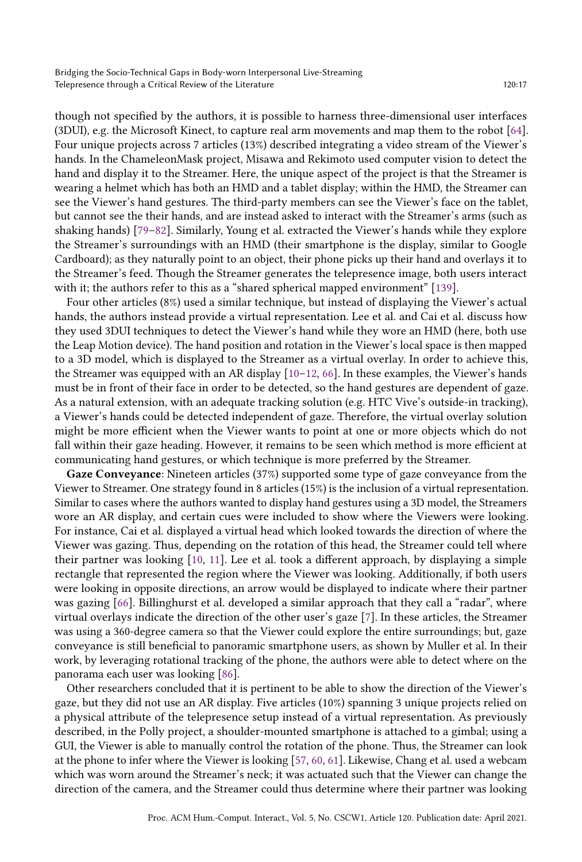though not specified by the authors, it is possible to harness three-dimensional user interfaces (3DUI), e.g. the Microsoft Kinect, to capture real arm movements and map them to the robot [\[64\]](#page-34-7). Four unique projects across 7 articles (13%) described integrating a video stream of the Viewer's hands. In the ChameleonMask project, Misawa and Rekimoto used computer vision to detect the hand and display it to the Streamer. Here, the unique aspect of the project is that the Streamer is wearing a helmet which has both an HMD and a tablet display; within the HMD, the Streamer can see the Viewer's hand gestures. The third-party members can see the Viewer's face on the tablet, but cannot see the their hands, and are instead asked to interact with the Streamer's arms (such as shaking hands) [\[79–](#page-35-12)[82\]](#page-35-10). Similarly, Young et al. extracted the Viewer's hands while they explore the Streamer's surroundings with an HMD (their smartphone is the display, similar to Google Cardboard); as they naturally point to an object, their phone picks up their hand and overlays it to the Streamer's feed. Though the Streamer generates the telepresence image, both users interact with it; the authors refer to this as a "shared spherical mapped environment" [\[139\]](#page-38-6).

Four other articles (8%) used a similar technique, but instead of displaying the Viewer's actual hands, the authors instead provide a virtual representation. Lee et al. and Cai et al. discuss how they used 3DUI techniques to detect the Viewer's hand while they wore an HMD (here, both use the Leap Motion device). The hand position and rotation in the Viewer's local space is then mapped to a 3D model, which is displayed to the Streamer as a virtual overlay. In order to achieve this, the Streamer was equipped with an AR display  $[10-12, 66]$  $[10-12, 66]$  $[10-12, 66]$ . In these examples, the Viewer's hands must be in front of their face in order to be detected, so the hand gestures are dependent of gaze. As a natural extension, with an adequate tracking solution (e.g. HTC Vive's outside-in tracking), a Viewer's hands could be detected independent of gaze. Therefore, the virtual overlay solution might be more efficient when the Viewer wants to point at one or more objects which do not fall within their gaze heading. However, it remains to be seen which method is more efficient at communicating hand gestures, or which technique is more preferred by the Streamer.

Gaze Conveyance: Nineteen articles (37%) supported some type of gaze conveyance from the Viewer to Streamer. One strategy found in 8 articles (15%) is the inclusion of a virtual representation. Similar to cases where the authors wanted to display hand gestures using a 3D model, the Streamers wore an AR display, and certain cues were included to show where the Viewers were looking. For instance, Cai et al. displayed a virtual head which looked towards the direction of where the Viewer was gazing. Thus, depending on the rotation of this head, the Streamer could tell where their partner was looking [\[10,](#page-31-8) [11\]](#page-31-14). Lee et al. took a different approach, by displaying a simple rectangle that represented the region where the Viewer was looking. Additionally, if both users were looking in opposite directions, an arrow would be displayed to indicate where their partner was gazing [\[66\]](#page-34-9). Billinghurst et al. developed a similar approach that they call a "radar", where virtual overlays indicate the direction of the other user's gaze [\[7\]](#page-31-13). In these articles, the Streamer was using a 360-degree camera so that the Viewer could explore the entire surroundings; but, gaze conveyance is still beneficial to panoramic smartphone users, as shown by Muller et al. In their work, by leveraging rotational tracking of the phone, the authors were able to detect where on the panorama each user was looking [\[86\]](#page-35-11).

Other researchers concluded that it is pertinent to be able to show the direction of the Viewer's gaze, but they did not use an AR display. Five articles (10%) spanning 3 unique projects relied on a physical attribute of the telepresence setup instead of a virtual representation. As previously described, in the Polly project, a shoulder-mounted smartphone is attached to a gimbal; using a GUI, the Viewer is able to manually control the rotation of the phone. Thus, the Streamer can look at the phone to infer where the Viewer is looking [\[57,](#page-34-13) [60,](#page-34-14) [61\]](#page-34-16). Likewise, Chang et al. used a webcam which was worn around the Streamer's neck; it was actuated such that the Viewer can change the direction of the camera, and the Streamer could thus determine where their partner was looking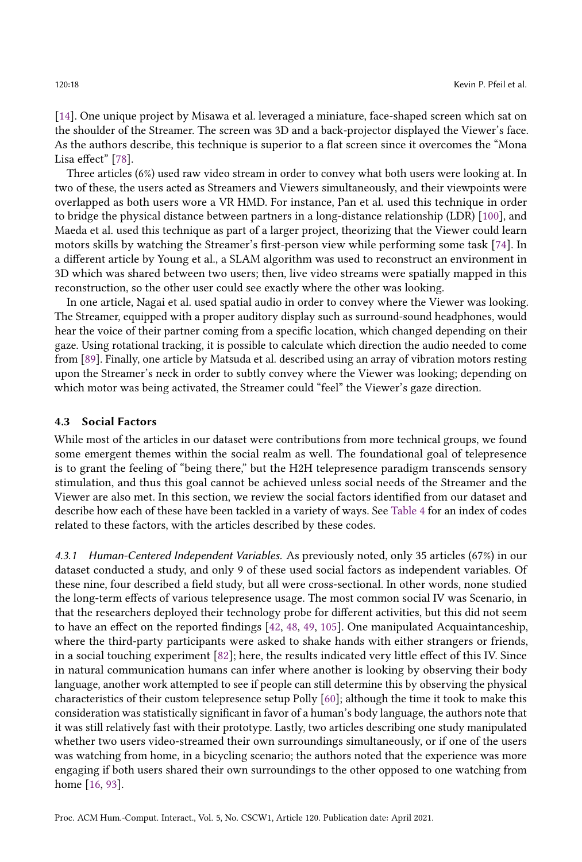[\[14\]](#page-31-10). One unique project by Misawa et al. leveraged a miniature, face-shaped screen which sat on the shoulder of the Streamer. The screen was 3D and a back-projector displayed the Viewer's face. As the authors describe, this technique is superior to a flat screen since it overcomes the "Mona Lisa effect" [\[78\]](#page-35-8).

Three articles (6%) used raw video stream in order to convey what both users were looking at. In two of these, the users acted as Streamers and Viewers simultaneously, and their viewpoints were overlapped as both users wore a VR HMD. For instance, Pan et al. used this technique in order to bridge the physical distance between partners in a long-distance relationship (LDR) [\[100\]](#page-36-8), and Maeda et al. used this technique as part of a larger project, theorizing that the Viewer could learn motors skills by watching the Streamer's first-person view while performing some task [\[74\]](#page-34-17). In a different article by Young et al., a SLAM algorithm was used to reconstruct an environment in 3D which was shared between two users; then, live video streams were spatially mapped in this reconstruction, so the other user could see exactly where the other was looking.

In one article, Nagai et al. used spatial audio in order to convey where the Viewer was looking. The Streamer, equipped with a proper auditory display such as surround-sound headphones, would hear the voice of their partner coming from a specific location, which changed depending on their gaze. Using rotational tracking, it is possible to calculate which direction the audio needed to come from [\[89\]](#page-35-16). Finally, one article by Matsuda et al. described using an array of vibration motors resting upon the Streamer's neck in order to subtly convey where the Viewer was looking; depending on which motor was being activated, the Streamer could "feel" the Viewer's gaze direction.

#### 4.3 Social Factors

While most of the articles in our dataset were contributions from more technical groups, we found some emergent themes within the social realm as well. The foundational goal of telepresence is to grant the feeling of "being there," but the H2H telepresence paradigm transcends sensory stimulation, and thus this goal cannot be achieved unless social needs of the Streamer and the Viewer are also met. In this section, we review the social factors identified from our dataset and describe how each of these have been tackled in a variety of ways. See [Table 4](#page-18-0) for an index of codes related to these factors, with the articles described by these codes.

4.3.1 Human-Centered Independent Variables. As previously noted, only 35 articles (67%) in our dataset conducted a study, and only 9 of these used social factors as independent variables. Of these nine, four described a field study, but all were cross-sectional. In other words, none studied the long-term effects of various telepresence usage. The most common social IV was Scenario, in that the researchers deployed their technology probe for different activities, but this did not seem to have an effect on the reported findings [\[42,](#page-33-10) [48,](#page-33-6) [49,](#page-33-16) [105\]](#page-36-7). One manipulated Acquaintanceship, where the third-party participants were asked to shake hands with either strangers or friends, in a social touching experiment [\[82\]](#page-35-10); here, the results indicated very little effect of this IV. Since in natural communication humans can infer where another is looking by observing their body language, another work attempted to see if people can still determine this by observing the physical characteristics of their custom telepresence setup Polly [\[60\]](#page-34-14); although the time it took to make this consideration was statistically significant in favor of a human's body language, the authors note that it was still relatively fast with their prototype. Lastly, two articles describing one study manipulated whether two users video-streamed their own surroundings simultaneously, or if one of the users was watching from home, in a bicycling scenario; the authors noted that the experience was more engaging if both users shared their own surroundings to the other opposed to one watching from home [\[16,](#page-31-12) [93\]](#page-35-15).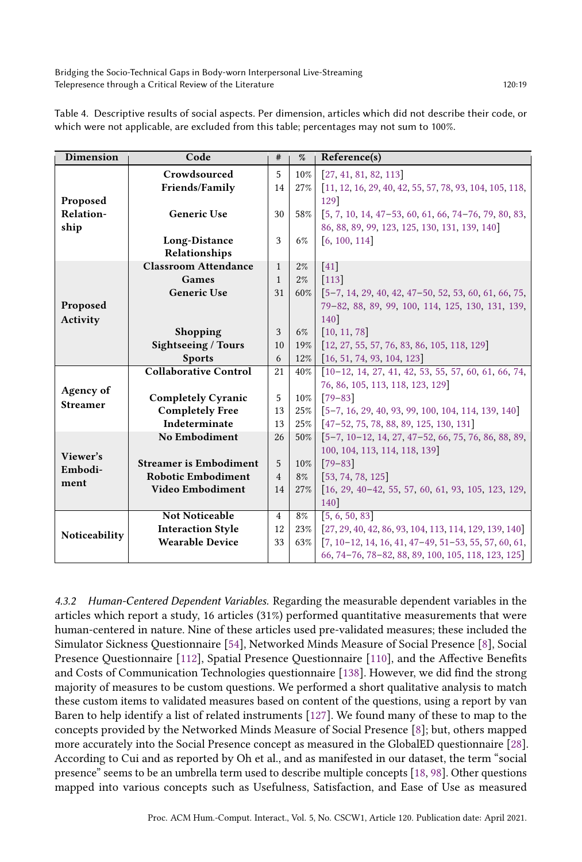Bridging the Socio-Technical Gaps in Body-worn Interpersonal Live-Streaming Telepresence through a Critical Review of the Literature 120:19 120:19

| <b>Dimension</b>            | Code                          | #              | $\%$   | Reference(s)                                              |  |  |
|-----------------------------|-------------------------------|----------------|--------|-----------------------------------------------------------|--|--|
|                             | Crowdsourced                  | 5              | $10\%$ | [27, 41, 81, 82, 113]                                     |  |  |
|                             | Friends/Family                | 14             | 27%    | $[11, 12, 16, 29, 40, 42, 55, 57, 78, 93, 104, 105, 118,$ |  |  |
| Proposed                    |                               |                |        | 129]                                                      |  |  |
| Relation-                   | <b>Generic Use</b>            | 30             | 58%    | $[5, 7, 10, 14, 47-53, 60, 61, 66, 74-76, 79, 80, 83,$    |  |  |
| ship                        |                               |                |        | 86, 88, 89, 99, 123, 125, 130, 131, 139, 140              |  |  |
|                             | Long-Distance                 | 3              | 6%     | [6, 100, 114]                                             |  |  |
|                             | Relationships                 |                |        |                                                           |  |  |
| Proposed<br>Activity        | <b>Classroom Attendance</b>   | $\mathbf{1}$   | $2\%$  | $[41]$                                                    |  |  |
|                             | Games                         | $\mathbf{1}$   | $2\%$  | $[113]$                                                   |  |  |
|                             | <b>Generic Use</b>            | 31             | 60%    | $[5-7, 14, 29, 40, 42, 47-50, 52, 53, 60, 61, 66, 75,$    |  |  |
|                             |                               |                |        | 79-82, 88, 89, 99, 100, 114, 125, 130, 131, 139,          |  |  |
|                             |                               |                |        | 140]                                                      |  |  |
|                             | <b>Shopping</b>               | 3              | 6%     | [10, 11, 78]                                              |  |  |
|                             | Sightseeing / Tours           | 10             | 19%    | $[12, 27, 55, 57, 76, 83, 86, 105, 118, 129]$             |  |  |
|                             | <b>Sports</b>                 | 6              | 12%    | $\begin{bmatrix} 16, 51, 74, 93, 104, 123 \end{bmatrix}$  |  |  |
|                             | <b>Collaborative Control</b>  | 21             | 40%    | $[10-12, 14, 27, 41, 42, 53, 55, 57, 60, 61, 66, 74,$     |  |  |
| Agency of                   |                               |                |        | 76, 86, 105, 113, 118, 123, 129                           |  |  |
| <b>Streamer</b>             | <b>Completely Cyranic</b>     | 5              | $10\%$ | $[79 - 83]$                                               |  |  |
|                             | <b>Completely Free</b>        | 13             | 25%    | [5-7, 16, 29, 40, 93, 99, 100, 104, 114, 139, 140]        |  |  |
|                             | Indeterminate                 | 13             | 25%    | $[47-52, 75, 78, 88, 89, 125, 130, 131]$                  |  |  |
| Viewer's<br>Embodi-<br>ment | <b>No Embodiment</b>          | 26             | 50%    | $[5-7, 10-12, 14, 27, 47-52, 66, 75, 76, 86, 88, 89,$     |  |  |
|                             |                               |                |        | 100, 104, 113, 114, 118, 139                              |  |  |
|                             | <b>Streamer is Embodiment</b> | 5              | $10\%$ | $[79 - 83]$                                               |  |  |
|                             | <b>Robotic Embodiment</b>     | $\overline{4}$ | 8%     | [53, 74, 78, 125]                                         |  |  |
|                             | Video Embodiment              | 14             | 27%    | $[16, 29, 40-42, 55, 57, 60, 61, 93, 105, 123, 129,$      |  |  |
|                             |                               |                |        | 140]                                                      |  |  |
|                             | <b>Not Noticeable</b>         | $\overline{4}$ | 8%     | [5, 6, 50, 83]                                            |  |  |
| Noticeability               | <b>Interaction Style</b>      | 12             | 23%    | $[27, 29, 40, 42, 86, 93, 104, 113, 114, 129, 139, 140]$  |  |  |
|                             | <b>Wearable Device</b>        | 33             | 63%    | $[7, 10-12, 14, 16, 41, 47-49, 51-53, 55, 57, 60, 61,$    |  |  |
|                             |                               |                |        | 66, 74-76, 78-82, 88, 89, 100, 105, 118, 123, 125         |  |  |

<span id="page-18-0"></span>Table 4. Descriptive results of social aspects. Per dimension, articles which did not describe their code, or which were not applicable, are excluded from this table; percentages may not sum to 100%.

4.3.2 Human-Centered Dependent Variables. Regarding the measurable dependent variables in the articles which report a study, 16 articles (31%) performed quantitative measurements that were human-centered in nature. Nine of these articles used pre-validated measures; these included the Simulator Sickness Questionnaire [\[54\]](#page-33-17), Networked Minds Measure of Social Presence [\[8\]](#page-31-15), Social Presence Questionnaire [\[112\]](#page-36-13), Spatial Presence Questionnaire [\[110\]](#page-36-14), and the Affective Benefits and Costs of Communication Technologies questionnaire [\[138\]](#page-38-8). However, we did find the strong majority of measures to be custom questions. We performed a short qualitative analysis to match these custom items to validated measures based on content of the questions, using a report by van Baren to help identify a list of related instruments [\[127\]](#page-37-16). We found many of these to map to the concepts provided by the Networked Minds Measure of Social Presence [\[8\]](#page-31-15); but, others mapped more accurately into the Social Presence concept as measured in the GlobalED questionnaire [\[28\]](#page-32-12). According to Cui and as reported by Oh et al., and as manifested in our dataset, the term "social presence" seems to be an umbrella term used to describe multiple concepts [\[18,](#page-31-16) [98\]](#page-36-15). Other questions mapped into various concepts such as Usefulness, Satisfaction, and Ease of Use as measured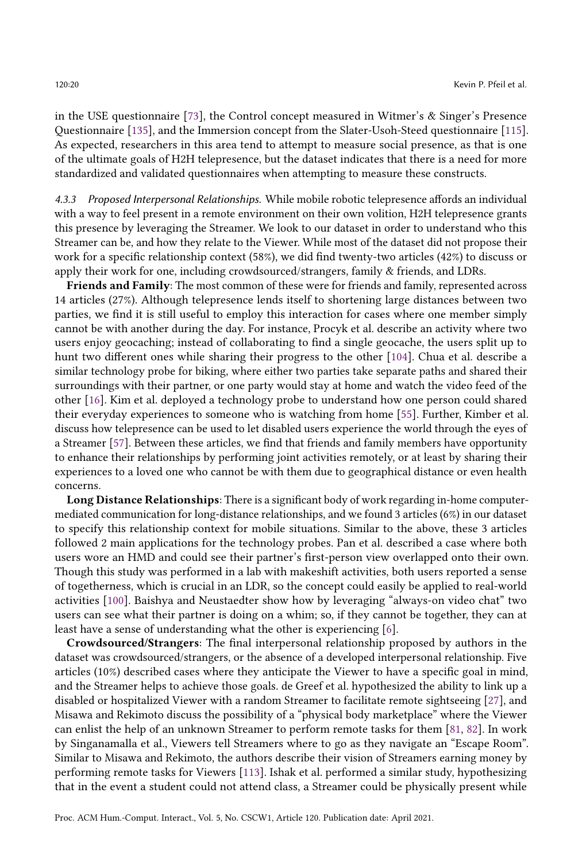in the USE questionnaire [\[73\]](#page-34-19), the Control concept measured in Witmer's & Singer's Presence Questionnaire [\[135\]](#page-38-2), and the Immersion concept from the Slater-Usoh-Steed questionnaire [\[115\]](#page-36-16). As expected, researchers in this area tend to attempt to measure social presence, as that is one of the ultimate goals of H2H telepresence, but the dataset indicates that there is a need for more standardized and validated questionnaires when attempting to measure these constructs.

4.3.3 Proposed Interpersonal Relationships. While mobile robotic telepresence affords an individual with a way to feel present in a remote environment on their own volition, H2H telepresence grants this presence by leveraging the Streamer. We look to our dataset in order to understand who this Streamer can be, and how they relate to the Viewer. While most of the dataset did not propose their work for a specific relationship context (58%), we did find twenty-two articles (42%) to discuss or apply their work for one, including crowdsourced/strangers, family & friends, and LDRs.

Friends and Family: The most common of these were for friends and family, represented across 14 articles (27%). Although telepresence lends itself to shortening large distances between two parties, we find it is still useful to employ this interaction for cases where one member simply cannot be with another during the day. For instance, Procyk et al. describe an activity where two users enjoy geocaching; instead of collaborating to find a single geocache, the users split up to hunt two different ones while sharing their progress to the other [\[104\]](#page-36-9). Chua et al. describe a similar technology probe for biking, where either two parties take separate paths and shared their surroundings with their partner, or one party would stay at home and watch the video feed of the other [\[16\]](#page-31-12). Kim et al. deployed a technology probe to understand how one person could shared their everyday experiences to someone who is watching from home [\[55\]](#page-33-11). Further, Kimber et al. discuss how telepresence can be used to let disabled users experience the world through the eyes of a Streamer [\[57\]](#page-34-13). Between these articles, we find that friends and family members have opportunity to enhance their relationships by performing joint activities remotely, or at least by sharing their experiences to a loved one who cannot be with them due to geographical distance or even health concerns.

Long Distance Relationships: There is a significant body of work regarding in-home computermediated communication for long-distance relationships, and we found 3 articles (6%) in our dataset to specify this relationship context for mobile situations. Similar to the above, these 3 articles followed 2 main applications for the technology probes. Pan et al. described a case where both users wore an HMD and could see their partner's first-person view overlapped onto their own. Though this study was performed in a lab with makeshift activities, both users reported a sense of togetherness, which is crucial in an LDR, so the concept could easily be applied to real-world activities [\[100\]](#page-36-8). Baishya and Neustaedter show how by leveraging "always-on video chat" two users can see what their partner is doing on a whim; so, if they cannot be together, they can at least have a sense of understanding what the other is experiencing [\[6\]](#page-31-11).

Crowdsourced/Strangers: The final interpersonal relationship proposed by authors in the dataset was crowdsourced/strangers, or the absence of a developed interpersonal relationship. Five articles (10%) described cases where they anticipate the Viewer to have a specific goal in mind, and the Streamer helps to achieve those goals. de Greef et al. hypothesized the ability to link up a disabled or hospitalized Viewer with a random Streamer to facilitate remote sightseeing [\[27\]](#page-32-10), and Misawa and Rekimoto discuss the possibility of a "physical body marketplace" where the Viewer can enlist the help of an unknown Streamer to perform remote tasks for them [\[81,](#page-35-9) [82\]](#page-35-10). In work by Singanamalla et al., Viewers tell Streamers where to go as they navigate an "Escape Room". Similar to Misawa and Rekimoto, the authors describe their vision of Streamers earning money by performing remote tasks for Viewers [\[113\]](#page-36-10). Ishak et al. performed a similar study, hypothesizing that in the event a student could not attend class, a Streamer could be physically present while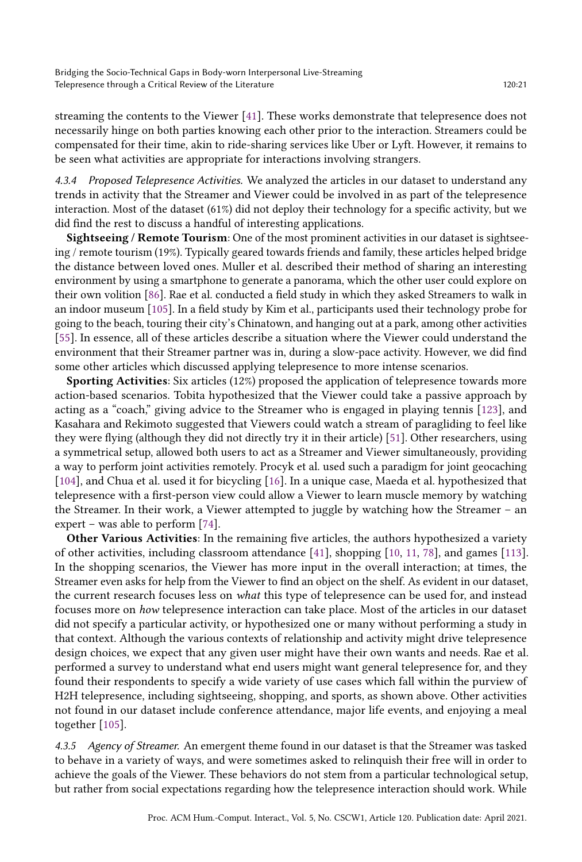streaming the contents to the Viewer [\[41\]](#page-33-15). These works demonstrate that telepresence does not necessarily hinge on both parties knowing each other prior to the interaction. Streamers could be compensated for their time, akin to ride-sharing services like Uber or Lyft. However, it remains to be seen what activities are appropriate for interactions involving strangers.

4.3.4 Proposed Telepresence Activities. We analyzed the articles in our dataset to understand any trends in activity that the Streamer and Viewer could be involved in as part of the telepresence interaction. Most of the dataset (61%) did not deploy their technology for a specific activity, but we did find the rest to discuss a handful of interesting applications.

Sightseeing / Remote Tourism: One of the most prominent activities in our dataset is sightseeing / remote tourism (19%). Typically geared towards friends and family, these articles helped bridge the distance between loved ones. Muller et al. described their method of sharing an interesting environment by using a smartphone to generate a panorama, which the other user could explore on their own volition [\[86\]](#page-35-11). Rae et al. conducted a field study in which they asked Streamers to walk in an indoor museum [\[105\]](#page-36-7). In a field study by Kim et al., participants used their technology probe for going to the beach, touring their city's Chinatown, and hanging out at a park, among other activities [\[55\]](#page-33-11). In essence, all of these articles describe a situation where the Viewer could understand the environment that their Streamer partner was in, during a slow-pace activity. However, we did find some other articles which discussed applying telepresence to more intense scenarios.

Sporting Activities: Six articles (12%) proposed the application of telepresence towards more action-based scenarios. Tobita hypothesized that the Viewer could take a passive approach by acting as a "coach," giving advice to the Streamer who is engaged in playing tennis [\[123\]](#page-37-12), and Kasahara and Rekimoto suggested that Viewers could watch a stream of paragliding to feel like they were flying (although they did not directly try it in their article) [\[51\]](#page-33-13). Other researchers, using a symmetrical setup, allowed both users to act as a Streamer and Viewer simultaneously, providing a way to perform joint activities remotely. Procyk et al. used such a paradigm for joint geocaching [\[104\]](#page-36-9), and Chua et al. used it for bicycling [\[16\]](#page-31-12). In a unique case, Maeda et al. hypothesized that telepresence with a first-person view could allow a Viewer to learn muscle memory by watching the Streamer. In their work, a Viewer attempted to juggle by watching how the Streamer – an expert – was able to perform [\[74\]](#page-34-17).

Other Various Activities: In the remaining five articles, the authors hypothesized a variety of other activities, including classroom attendance [\[41\]](#page-33-15), shopping [\[10,](#page-31-8) [11,](#page-31-14) [78\]](#page-35-8), and games [\[113\]](#page-36-10). In the shopping scenarios, the Viewer has more input in the overall interaction; at times, the Streamer even asks for help from the Viewer to find an object on the shelf. As evident in our dataset, the current research focuses less on what this type of telepresence can be used for, and instead focuses more on how telepresence interaction can take place. Most of the articles in our dataset did not specify a particular activity, or hypothesized one or many without performing a study in that context. Although the various contexts of relationship and activity might drive telepresence design choices, we expect that any given user might have their own wants and needs. Rae et al. performed a survey to understand what end users might want general telepresence for, and they found their respondents to specify a wide variety of use cases which fall within the purview of H2H telepresence, including sightseeing, shopping, and sports, as shown above. Other activities not found in our dataset include conference attendance, major life events, and enjoying a meal together [\[105\]](#page-36-7).

4.3.5 Agency of Streamer. An emergent theme found in our dataset is that the Streamer was tasked to behave in a variety of ways, and were sometimes asked to relinquish their free will in order to achieve the goals of the Viewer. These behaviors do not stem from a particular technological setup, but rather from social expectations regarding how the telepresence interaction should work. While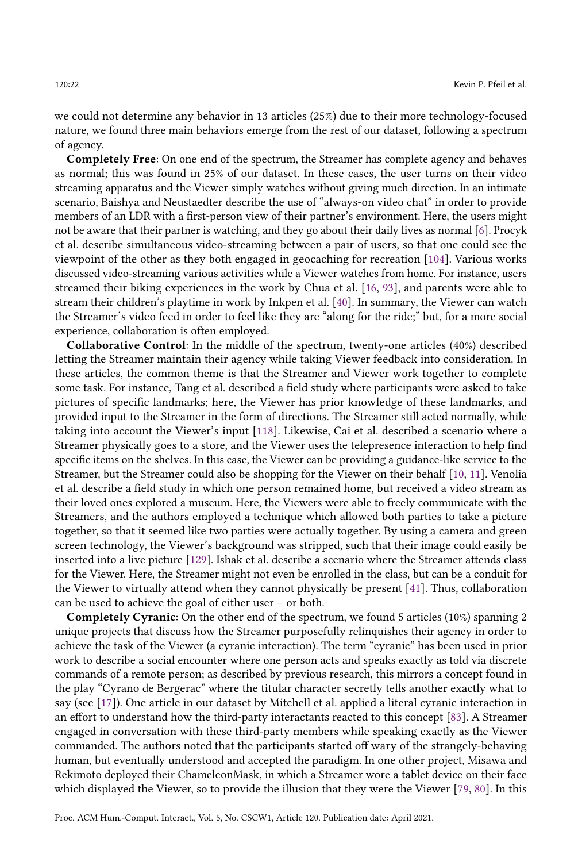we could not determine any behavior in 13 articles (25%) due to their more technology-focused nature, we found three main behaviors emerge from the rest of our dataset, following a spectrum of agency.

Completely Free: On one end of the spectrum, the Streamer has complete agency and behaves as normal; this was found in 25% of our dataset. In these cases, the user turns on their video streaming apparatus and the Viewer simply watches without giving much direction. In an intimate scenario, Baishya and Neustaedter describe the use of "always-on video chat" in order to provide members of an LDR with a first-person view of their partner's environment. Here, the users might not be aware that their partner is watching, and they go about their daily lives as normal [\[6\]](#page-31-11). Procyk et al. describe simultaneous video-streaming between a pair of users, so that one could see the viewpoint of the other as they both engaged in geocaching for recreation [\[104\]](#page-36-9). Various works discussed video-streaming various activities while a Viewer watches from home. For instance, users streamed their biking experiences in the work by Chua et al. [\[16,](#page-31-12) [93\]](#page-35-15), and parents were able to stream their children's playtime in work by Inkpen et al. [\[40\]](#page-33-9). In summary, the Viewer can watch the Streamer's video feed in order to feel like they are "along for the ride;" but, for a more social experience, collaboration is often employed.

Collaborative Control: In the middle of the spectrum, twenty-one articles (40%) described letting the Streamer maintain their agency while taking Viewer feedback into consideration. In these articles, the common theme is that the Streamer and Viewer work together to complete some task. For instance, Tang et al. described a field study where participants were asked to take pictures of specific landmarks; here, the Viewer has prior knowledge of these landmarks, and provided input to the Streamer in the form of directions. The Streamer still acted normally, while taking into account the Viewer's input [\[118\]](#page-37-10). Likewise, Cai et al. described a scenario where a Streamer physically goes to a store, and the Viewer uses the telepresence interaction to help find specific items on the shelves. In this case, the Viewer can be providing a guidance-like service to the Streamer, but the Streamer could also be shopping for the Viewer on their behalf [\[10,](#page-31-8) [11\]](#page-31-14). Venolia et al. describe a field study in which one person remained home, but received a video stream as their loved ones explored a museum. Here, the Viewers were able to freely communicate with the Streamers, and the authors employed a technique which allowed both parties to take a picture together, so that it seemed like two parties were actually together. By using a camera and green screen technology, the Viewer's background was stripped, such that their image could easily be inserted into a live picture [\[129\]](#page-37-11). Ishak et al. describe a scenario where the Streamer attends class for the Viewer. Here, the Streamer might not even be enrolled in the class, but can be a conduit for the Viewer to virtually attend when they cannot physically be present [\[41\]](#page-33-15). Thus, collaboration can be used to achieve the goal of either user – or both.

Completely Cyranic: On the other end of the spectrum, we found 5 articles (10%) spanning 2 unique projects that discuss how the Streamer purposefully relinquishes their agency in order to achieve the task of the Viewer (a cyranic interaction). The term "cyranic" has been used in prior work to describe a social encounter where one person acts and speaks exactly as told via discrete commands of a remote person; as described by previous research, this mirrors a concept found in the play "Cyrano de Bergerac" where the titular character secretly tells another exactly what to say (see [\[17\]](#page-31-17)). One article in our dataset by Mitchell et al. applied a literal cyranic interaction in an effort to understand how the third-party interactants reacted to this concept [\[83\]](#page-35-13). A Streamer engaged in conversation with these third-party members while speaking exactly as the Viewer commanded. The authors noted that the participants started off wary of the strangely-behaving human, but eventually understood and accepted the paradigm. In one other project, Misawa and Rekimoto deployed their ChameleonMask, in which a Streamer wore a tablet device on their face which displayed the Viewer, so to provide the illusion that they were the Viewer [\[79,](#page-35-12) [80\]](#page-35-17). In this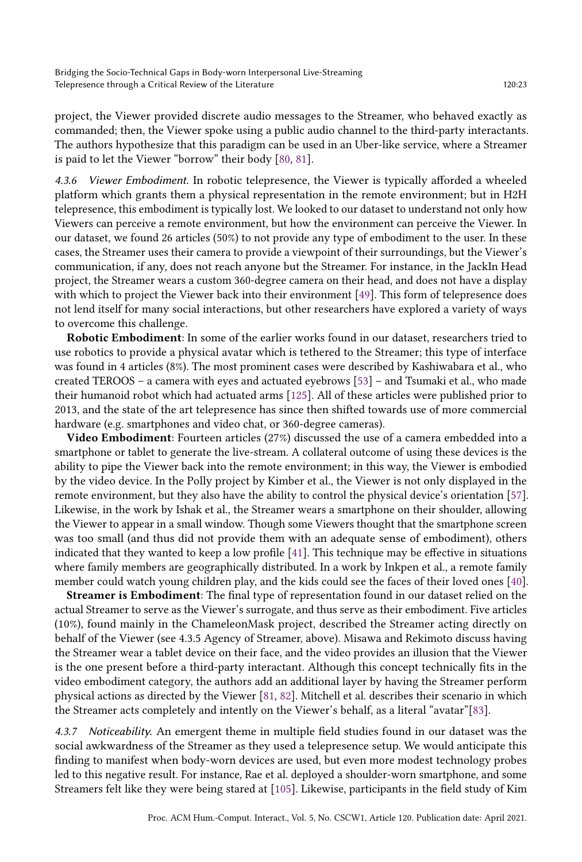project, the Viewer provided discrete audio messages to the Streamer, who behaved exactly as commanded; then, the Viewer spoke using a public audio channel to the third-party interactants. The authors hypothesize that this paradigm can be used in an Uber-like service, where a Streamer is paid to let the Viewer "borrow" their body [\[80,](#page-35-17) [81\]](#page-35-9).

Viewer Embodiment. In robotic telepresence, the Viewer is typically afforded a wheeled platform which grants them a physical representation in the remote environment; but in H2H telepresence, this embodiment is typically lost. We looked to our dataset to understand not only how Viewers can perceive a remote environment, but how the environment can perceive the Viewer. In our dataset, we found 26 articles (50%) to not provide any type of embodiment to the user. In these cases, the Streamer uses their camera to provide a viewpoint of their surroundings, but the Viewer's communication, if any, does not reach anyone but the Streamer. For instance, in the JackIn Head project, the Streamer wears a custom 360-degree camera on their head, and does not have a display with which to project the Viewer back into their environment [\[49\]](#page-33-16). This form of telepresence does not lend itself for many social interactions, but other researchers have explored a variety of ways to overcome this challenge.

Robotic Embodiment: In some of the earlier works found in our dataset, researchers tried to use robotics to provide a physical avatar which is tethered to the Streamer; this type of interface was found in 4 articles (8%). The most prominent cases were described by Kashiwabara et al., who created TEROOS – a camera with eyes and actuated eyebrows [\[53\]](#page-33-14) – and Tsumaki et al., who made their humanoid robot which had actuated arms [\[125\]](#page-37-13). All of these articles were published prior to 2013, and the state of the art telepresence has since then shifted towards use of more commercial hardware (e.g. smartphones and video chat, or 360-degree cameras).

Video Embodiment: Fourteen articles (27%) discussed the use of a camera embedded into a smartphone or tablet to generate the live-stream. A collateral outcome of using these devices is the ability to pipe the Viewer back into the remote environment; in this way, the Viewer is embodied by the video device. In the Polly project by Kimber et al., the Viewer is not only displayed in the remote environment, but they also have the ability to control the physical device's orientation [\[57\]](#page-34-13). Likewise, in the work by Ishak et al., the Streamer wears a smartphone on their shoulder, allowing the Viewer to appear in a small window. Though some Viewers thought that the smartphone screen was too small (and thus did not provide them with an adequate sense of embodiment), others indicated that they wanted to keep a low profile [\[41\]](#page-33-15). This technique may be effective in situations where family members are geographically distributed. In a work by Inkpen et al., a remote family member could watch young children play, and the kids could see the faces of their loved ones [\[40\]](#page-33-9).

Streamer is Embodiment: The final type of representation found in our dataset relied on the actual Streamer to serve as the Viewer's surrogate, and thus serve as their embodiment. Five articles (10%), found mainly in the ChameleonMask project, described the Streamer acting directly on behalf of the Viewer (see 4.3.5 Agency of Streamer, above). Misawa and Rekimoto discuss having the Streamer wear a tablet device on their face, and the video provides an illusion that the Viewer is the one present before a third-party interactant. Although this concept technically fits in the video embodiment category, the authors add an additional layer by having the Streamer perform physical actions as directed by the Viewer [\[81,](#page-35-9) [82\]](#page-35-10). Mitchell et al. describes their scenario in which the Streamer acts completely and intently on the Viewer's behalf, as a literal "avatar"[\[83\]](#page-35-13).

4.3.7 Noticeability. An emergent theme in multiple field studies found in our dataset was the social awkwardness of the Streamer as they used a telepresence setup. We would anticipate this finding to manifest when body-worn devices are used, but even more modest technology probes led to this negative result. For instance, Rae et al. deployed a shoulder-worn smartphone, and some Streamers felt like they were being stared at [\[105\]](#page-36-7). Likewise, participants in the field study of Kim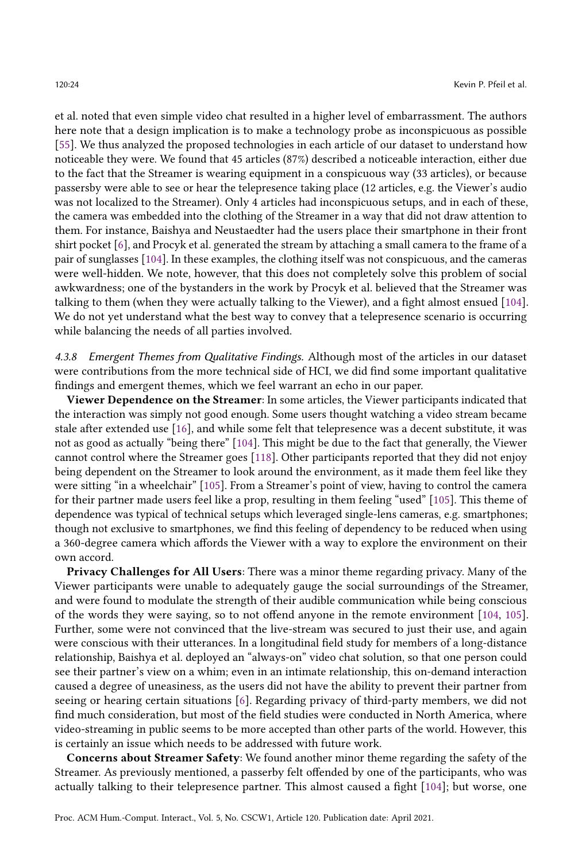et al. noted that even simple video chat resulted in a higher level of embarrassment. The authors here note that a design implication is to make a technology probe as inconspicuous as possible [\[55\]](#page-33-11). We thus analyzed the proposed technologies in each article of our dataset to understand how noticeable they were. We found that 45 articles (87%) described a noticeable interaction, either due to the fact that the Streamer is wearing equipment in a conspicuous way (33 articles), or because passersby were able to see or hear the telepresence taking place (12 articles, e.g. the Viewer's audio was not localized to the Streamer). Only 4 articles had inconspicuous setups, and in each of these, the camera was embedded into the clothing of the Streamer in a way that did not draw attention to them. For instance, Baishya and Neustaedter had the users place their smartphone in their front shirt pocket [\[6\]](#page-31-11), and Procyk et al. generated the stream by attaching a small camera to the frame of a pair of sunglasses [\[104\]](#page-36-9). In these examples, the clothing itself was not conspicuous, and the cameras were well-hidden. We note, however, that this does not completely solve this problem of social awkwardness; one of the bystanders in the work by Procyk et al. believed that the Streamer was talking to them (when they were actually talking to the Viewer), and a fight almost ensued [\[104\]](#page-36-9). We do not yet understand what the best way to convey that a telepresence scenario is occurring while balancing the needs of all parties involved.

4.3.8 Emergent Themes from Qualitative Findings. Although most of the articles in our dataset were contributions from the more technical side of HCI, we did find some important qualitative findings and emergent themes, which we feel warrant an echo in our paper.

Viewer Dependence on the Streamer: In some articles, the Viewer participants indicated that the interaction was simply not good enough. Some users thought watching a video stream became stale after extended use [\[16\]](#page-31-12), and while some felt that telepresence was a decent substitute, it was not as good as actually "being there" [\[104\]](#page-36-9). This might be due to the fact that generally, the Viewer cannot control where the Streamer goes [\[118\]](#page-37-10). Other participants reported that they did not enjoy being dependent on the Streamer to look around the environment, as it made them feel like they were sitting "in a wheelchair" [\[105\]](#page-36-7). From a Streamer's point of view, having to control the camera for their partner made users feel like a prop, resulting in them feeling "used" [\[105\]](#page-36-7). This theme of dependence was typical of technical setups which leveraged single-lens cameras, e.g. smartphones; though not exclusive to smartphones, we find this feeling of dependency to be reduced when using a 360-degree camera which affords the Viewer with a way to explore the environment on their own accord.

Privacy Challenges for All Users: There was a minor theme regarding privacy. Many of the Viewer participants were unable to adequately gauge the social surroundings of the Streamer, and were found to modulate the strength of their audible communication while being conscious of the words they were saying, so to not offend anyone in the remote environment [\[104,](#page-36-9) [105\]](#page-36-7). Further, some were not convinced that the live-stream was secured to just their use, and again were conscious with their utterances. In a longitudinal field study for members of a long-distance relationship, Baishya et al. deployed an "always-on" video chat solution, so that one person could see their partner's view on a whim; even in an intimate relationship, this on-demand interaction caused a degree of uneasiness, as the users did not have the ability to prevent their partner from seeing or hearing certain situations [\[6\]](#page-31-11). Regarding privacy of third-party members, we did not find much consideration, but most of the field studies were conducted in North America, where video-streaming in public seems to be more accepted than other parts of the world. However, this is certainly an issue which needs to be addressed with future work.

Concerns about Streamer Safety: We found another minor theme regarding the safety of the Streamer. As previously mentioned, a passerby felt offended by one of the participants, who was actually talking to their telepresence partner. This almost caused a fight [\[104\]](#page-36-9); but worse, one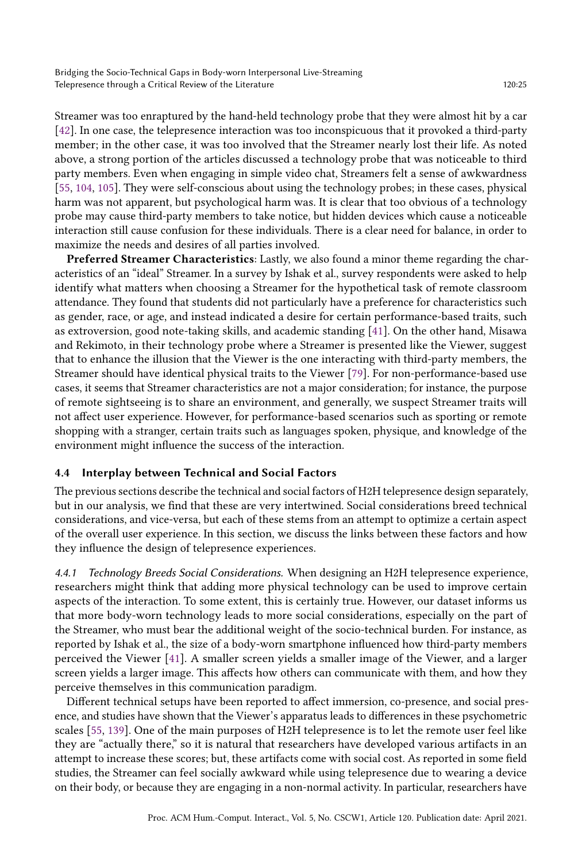Streamer was too enraptured by the hand-held technology probe that they were almost hit by a car [\[42\]](#page-33-10). In one case, the telepresence interaction was too inconspicuous that it provoked a third-party member; in the other case, it was too involved that the Streamer nearly lost their life. As noted above, a strong portion of the articles discussed a technology probe that was noticeable to third party members. Even when engaging in simple video chat, Streamers felt a sense of awkwardness [\[55,](#page-33-11) [104,](#page-36-9) [105\]](#page-36-7). They were self-conscious about using the technology probes; in these cases, physical harm was not apparent, but psychological harm was. It is clear that too obvious of a technology probe may cause third-party members to take notice, but hidden devices which cause a noticeable interaction still cause confusion for these individuals. There is a clear need for balance, in order to maximize the needs and desires of all parties involved.

Preferred Streamer Characteristics: Lastly, we also found a minor theme regarding the characteristics of an "ideal" Streamer. In a survey by Ishak et al., survey respondents were asked to help identify what matters when choosing a Streamer for the hypothetical task of remote classroom attendance. They found that students did not particularly have a preference for characteristics such as gender, race, or age, and instead indicated a desire for certain performance-based traits, such as extroversion, good note-taking skills, and academic standing [\[41\]](#page-33-15). On the other hand, Misawa and Rekimoto, in their technology probe where a Streamer is presented like the Viewer, suggest that to enhance the illusion that the Viewer is the one interacting with third-party members, the Streamer should have identical physical traits to the Viewer [\[79\]](#page-35-12). For non-performance-based use cases, it seems that Streamer characteristics are not a major consideration; for instance, the purpose of remote sightseeing is to share an environment, and generally, we suspect Streamer traits will not affect user experience. However, for performance-based scenarios such as sporting or remote shopping with a stranger, certain traits such as languages spoken, physique, and knowledge of the environment might influence the success of the interaction.

## 4.4 Interplay between Technical and Social Factors

The previous sections describe the technical and social factors of H2H telepresence design separately, but in our analysis, we find that these are very intertwined. Social considerations breed technical considerations, and vice-versa, but each of these stems from an attempt to optimize a certain aspect of the overall user experience. In this section, we discuss the links between these factors and how they influence the design of telepresence experiences.

4.4.1 Technology Breeds Social Considerations. When designing an H2H telepresence experience, researchers might think that adding more physical technology can be used to improve certain aspects of the interaction. To some extent, this is certainly true. However, our dataset informs us that more body-worn technology leads to more social considerations, especially on the part of the Streamer, who must bear the additional weight of the socio-technical burden. For instance, as reported by Ishak et al., the size of a body-worn smartphone influenced how third-party members perceived the Viewer [\[41\]](#page-33-15). A smaller screen yields a smaller image of the Viewer, and a larger screen yields a larger image. This affects how others can communicate with them, and how they perceive themselves in this communication paradigm.

Different technical setups have been reported to affect immersion, co-presence, and social presence, and studies have shown that the Viewer's apparatus leads to differences in these psychometric scales [\[55,](#page-33-11) [139\]](#page-38-6). One of the main purposes of H2H telepresence is to let the remote user feel like they are "actually there," so it is natural that researchers have developed various artifacts in an attempt to increase these scores; but, these artifacts come with social cost. As reported in some field studies, the Streamer can feel socially awkward while using telepresence due to wearing a device on their body, or because they are engaging in a non-normal activity. In particular, researchers have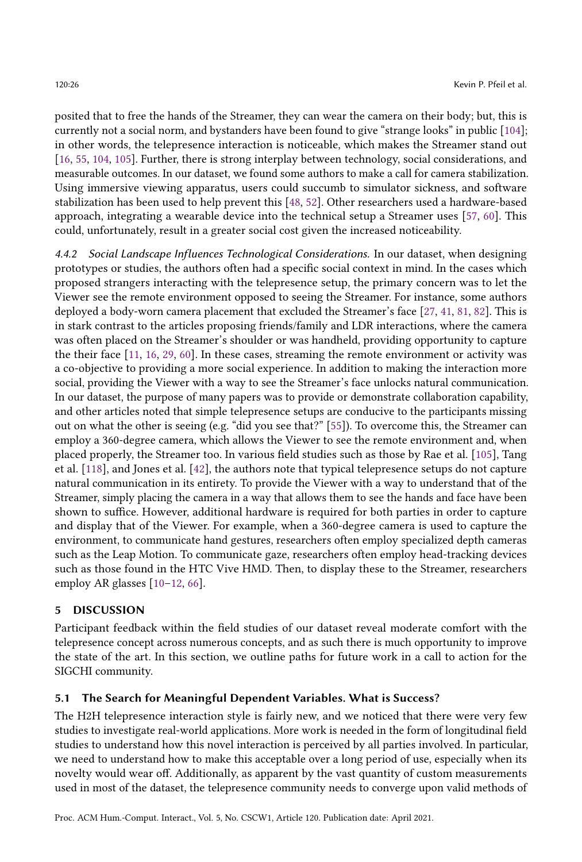posited that to free the hands of the Streamer, they can wear the camera on their body; but, this is currently not a social norm, and bystanders have been found to give "strange looks" in public [\[104\]](#page-36-9); in other words, the telepresence interaction is noticeable, which makes the Streamer stand out [\[16,](#page-31-12) [55,](#page-33-11) [104,](#page-36-9) [105\]](#page-36-7). Further, there is strong interplay between technology, social considerations, and measurable outcomes. In our dataset, we found some authors to make a call for camera stabilization. Using immersive viewing apparatus, users could succumb to simulator sickness, and software stabilization has been used to help prevent this [\[48,](#page-33-6) [52\]](#page-33-8). Other researchers used a hardware-based approach, integrating a wearable device into the technical setup a Streamer uses [\[57,](#page-34-13) [60\]](#page-34-14). This could, unfortunately, result in a greater social cost given the increased noticeability.

4.4.2 Social Landscape Influences Technological Considerations. In our dataset, when designing prototypes or studies, the authors often had a specific social context in mind. In the cases which proposed strangers interacting with the telepresence setup, the primary concern was to let the Viewer see the remote environment opposed to seeing the Streamer. For instance, some authors deployed a body-worn camera placement that excluded the Streamer's face [\[27,](#page-32-10) [41,](#page-33-15) [81,](#page-35-9) [82\]](#page-35-10). This is in stark contrast to the articles proposing friends/family and LDR interactions, where the camera was often placed on the Streamer's shoulder or was handheld, providing opportunity to capture the their face [\[11,](#page-31-14) [16,](#page-31-12) [29,](#page-32-9) [60\]](#page-34-14). In these cases, streaming the remote environment or activity was a co-objective to providing a more social experience. In addition to making the interaction more social, providing the Viewer with a way to see the Streamer's face unlocks natural communication. In our dataset, the purpose of many papers was to provide or demonstrate collaboration capability, and other articles noted that simple telepresence setups are conducive to the participants missing out on what the other is seeing (e.g. "did you see that?" [\[55\]](#page-33-11)). To overcome this, the Streamer can employ a 360-degree camera, which allows the Viewer to see the remote environment and, when placed properly, the Streamer too. In various field studies such as those by Rae et al. [\[105\]](#page-36-7), Tang et al. [\[118\]](#page-37-10), and Jones et al. [\[42\]](#page-33-10), the authors note that typical telepresence setups do not capture natural communication in its entirety. To provide the Viewer with a way to understand that of the Streamer, simply placing the camera in a way that allows them to see the hands and face have been shown to suffice. However, additional hardware is required for both parties in order to capture and display that of the Viewer. For example, when a 360-degree camera is used to capture the environment, to communicate hand gestures, researchers often employ specialized depth cameras such as the Leap Motion. To communicate gaze, researchers often employ head-tracking devices such as those found in the HTC Vive HMD. Then, to display these to the Streamer, researchers employ AR glasses [\[10](#page-31-8)[–12,](#page-31-9) [66\]](#page-34-9).

## 5 DISCUSSION

Participant feedback within the field studies of our dataset reveal moderate comfort with the telepresence concept across numerous concepts, and as such there is much opportunity to improve the state of the art. In this section, we outline paths for future work in a call to action for the SIGCHI community.

## 5.1 The Search for Meaningful Dependent Variables. What is Success?

The H2H telepresence interaction style is fairly new, and we noticed that there were very few studies to investigate real-world applications. More work is needed in the form of longitudinal field studies to understand how this novel interaction is perceived by all parties involved. In particular, we need to understand how to make this acceptable over a long period of use, especially when its novelty would wear off. Additionally, as apparent by the vast quantity of custom measurements used in most of the dataset, the telepresence community needs to converge upon valid methods of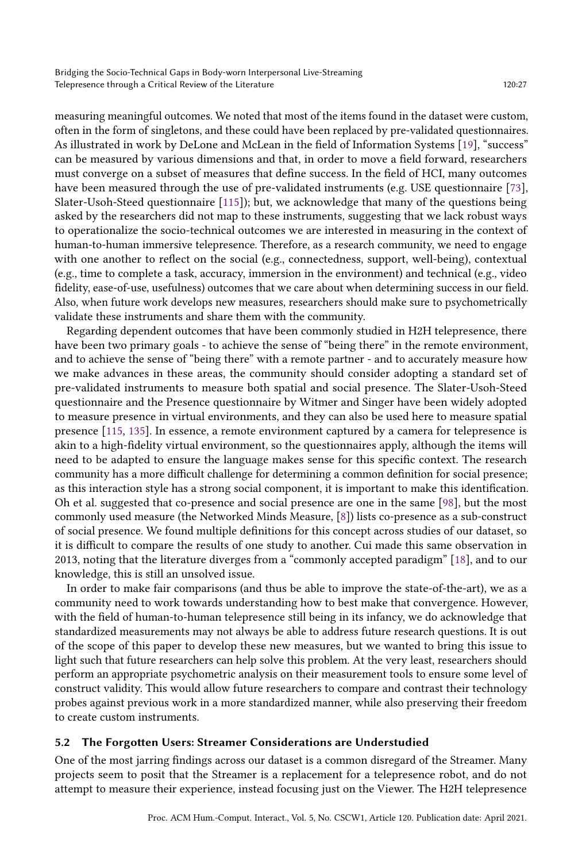measuring meaningful outcomes. We noted that most of the items found in the dataset were custom, often in the form of singletons, and these could have been replaced by pre-validated questionnaires. As illustrated in work by DeLone and McLean in the field of Information Systems [\[19\]](#page-31-18), "success" can be measured by various dimensions and that, in order to move a field forward, researchers must converge on a subset of measures that define success. In the field of HCI, many outcomes have been measured through the use of pre-validated instruments (e.g. USE questionnaire [\[73\]](#page-34-19), Slater-Usoh-Steed questionnaire [\[115\]](#page-36-16)); but, we acknowledge that many of the questions being asked by the researchers did not map to these instruments, suggesting that we lack robust ways to operationalize the socio-technical outcomes we are interested in measuring in the context of human-to-human immersive telepresence. Therefore, as a research community, we need to engage with one another to reflect on the social (e.g., connectedness, support, well-being), contextual (e.g., time to complete a task, accuracy, immersion in the environment) and technical (e.g., video fidelity, ease-of-use, usefulness) outcomes that we care about when determining success in our field. Also, when future work develops new measures, researchers should make sure to psychometrically validate these instruments and share them with the community.

Regarding dependent outcomes that have been commonly studied in H2H telepresence, there have been two primary goals - to achieve the sense of "being there" in the remote environment, and to achieve the sense of "being there" with a remote partner - and to accurately measure how we make advances in these areas, the community should consider adopting a standard set of pre-validated instruments to measure both spatial and social presence. The Slater-Usoh-Steed questionnaire and the Presence questionnaire by Witmer and Singer have been widely adopted to measure presence in virtual environments, and they can also be used here to measure spatial presence [\[115,](#page-36-16) [135\]](#page-38-2). In essence, a remote environment captured by a camera for telepresence is akin to a high-fidelity virtual environment, so the questionnaires apply, although the items will need to be adapted to ensure the language makes sense for this specific context. The research community has a more difficult challenge for determining a common definition for social presence; as this interaction style has a strong social component, it is important to make this identification. Oh et al. suggested that co-presence and social presence are one in the same [\[98\]](#page-36-15), but the most commonly used measure (the Networked Minds Measure, [\[8\]](#page-31-15)) lists co-presence as a sub-construct of social presence. We found multiple definitions for this concept across studies of our dataset, so it is difficult to compare the results of one study to another. Cui made this same observation in 2013, noting that the literature diverges from a "commonly accepted paradigm" [\[18\]](#page-31-16), and to our knowledge, this is still an unsolved issue.

In order to make fair comparisons (and thus be able to improve the state-of-the-art), we as a community need to work towards understanding how to best make that convergence. However, with the field of human-to-human telepresence still being in its infancy, we do acknowledge that standardized measurements may not always be able to address future research questions. It is out of the scope of this paper to develop these new measures, but we wanted to bring this issue to light such that future researchers can help solve this problem. At the very least, researchers should perform an appropriate psychometric analysis on their measurement tools to ensure some level of construct validity. This would allow future researchers to compare and contrast their technology probes against previous work in a more standardized manner, while also preserving their freedom to create custom instruments.

## 5.2 The Forgotten Users: Streamer Considerations are Understudied

One of the most jarring findings across our dataset is a common disregard of the Streamer. Many projects seem to posit that the Streamer is a replacement for a telepresence robot, and do not attempt to measure their experience, instead focusing just on the Viewer. The H2H telepresence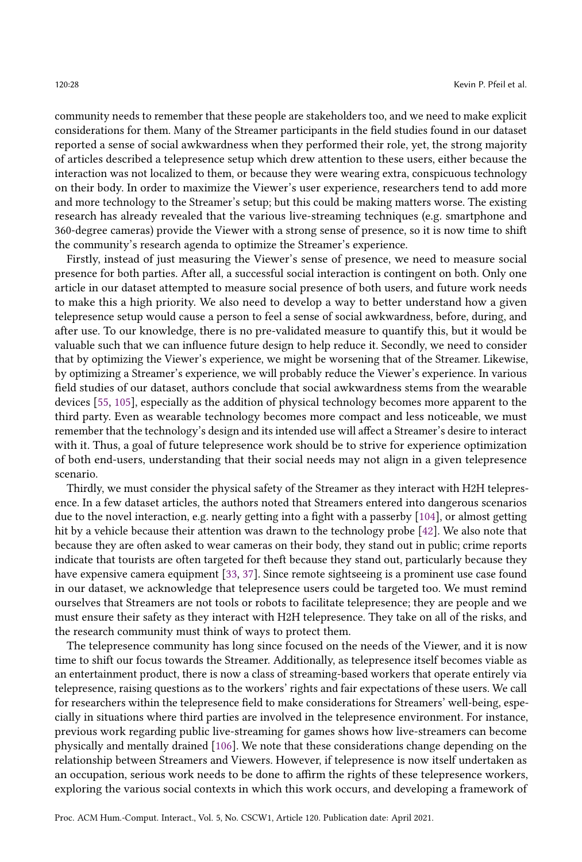community needs to remember that these people are stakeholders too, and we need to make explicit considerations for them. Many of the Streamer participants in the field studies found in our dataset reported a sense of social awkwardness when they performed their role, yet, the strong majority of articles described a telepresence setup which drew attention to these users, either because the interaction was not localized to them, or because they were wearing extra, conspicuous technology on their body. In order to maximize the Viewer's user experience, researchers tend to add more and more technology to the Streamer's setup; but this could be making matters worse. The existing research has already revealed that the various live-streaming techniques (e.g. smartphone and 360-degree cameras) provide the Viewer with a strong sense of presence, so it is now time to shift the community's research agenda to optimize the Streamer's experience.

Firstly, instead of just measuring the Viewer's sense of presence, we need to measure social presence for both parties. After all, a successful social interaction is contingent on both. Only one article in our dataset attempted to measure social presence of both users, and future work needs to make this a high priority. We also need to develop a way to better understand how a given telepresence setup would cause a person to feel a sense of social awkwardness, before, during, and after use. To our knowledge, there is no pre-validated measure to quantify this, but it would be valuable such that we can influence future design to help reduce it. Secondly, we need to consider that by optimizing the Viewer's experience, we might be worsening that of the Streamer. Likewise, by optimizing a Streamer's experience, we will probably reduce the Viewer's experience. In various field studies of our dataset, authors conclude that social awkwardness stems from the wearable devices [\[55,](#page-33-11) [105\]](#page-36-7), especially as the addition of physical technology becomes more apparent to the third party. Even as wearable technology becomes more compact and less noticeable, we must remember that the technology's design and its intended use will affect a Streamer's desire to interact with it. Thus, a goal of future telepresence work should be to strive for experience optimization of both end-users, understanding that their social needs may not align in a given telepresence scenario.

Thirdly, we must consider the physical safety of the Streamer as they interact with H2H telepresence. In a few dataset articles, the authors noted that Streamers entered into dangerous scenarios due to the novel interaction, e.g. nearly getting into a fight with a passerby [\[104\]](#page-36-9), or almost getting hit by a vehicle because their attention was drawn to the technology probe [\[42\]](#page-33-10). We also note that because they are often asked to wear cameras on their body, they stand out in public; crime reports indicate that tourists are often targeted for theft because they stand out, particularly because they have expensive camera equipment [\[33,](#page-32-13) [37\]](#page-32-14). Since remote sightseeing is a prominent use case found in our dataset, we acknowledge that telepresence users could be targeted too. We must remind ourselves that Streamers are not tools or robots to facilitate telepresence; they are people and we must ensure their safety as they interact with H2H telepresence. They take on all of the risks, and the research community must think of ways to protect them.

The telepresence community has long since focused on the needs of the Viewer, and it is now time to shift our focus towards the Streamer. Additionally, as telepresence itself becomes viable as an entertainment product, there is now a class of streaming-based workers that operate entirely via telepresence, raising questions as to the workers' rights and fair expectations of these users. We call for researchers within the telepresence field to make considerations for Streamers' well-being, especially in situations where third parties are involved in the telepresence environment. For instance, previous work regarding public live-streaming for games shows how live-streamers can become physically and mentally drained [\[106\]](#page-36-17). We note that these considerations change depending on the relationship between Streamers and Viewers. However, if telepresence is now itself undertaken as an occupation, serious work needs to be done to affirm the rights of these telepresence workers, exploring the various social contexts in which this work occurs, and developing a framework of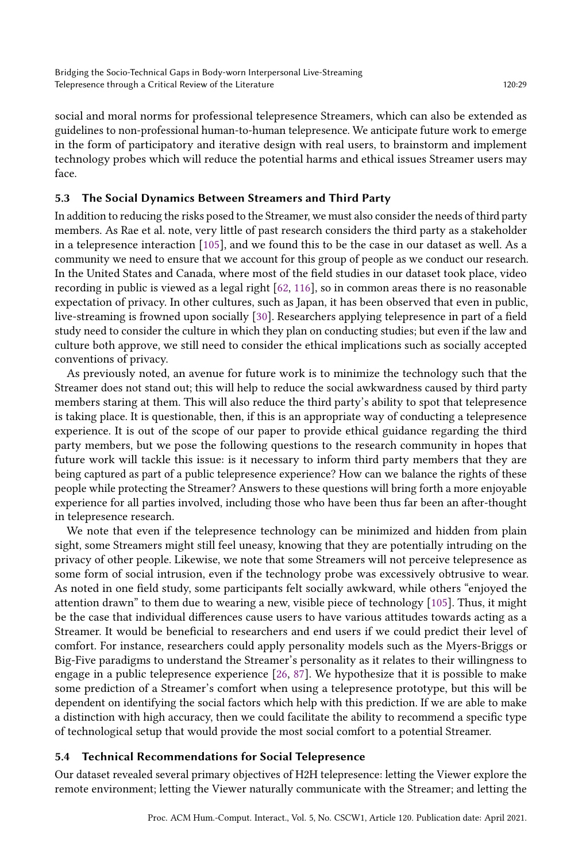social and moral norms for professional telepresence Streamers, which can also be extended as guidelines to non-professional human-to-human telepresence. We anticipate future work to emerge in the form of participatory and iterative design with real users, to brainstorm and implement technology probes which will reduce the potential harms and ethical issues Streamer users may face.

## 5.3 The Social Dynamics Between Streamers and Third Party

In addition to reducing the risks posed to the Streamer, we must also consider the needs of third party members. As Rae et al. note, very little of past research considers the third party as a stakeholder in a telepresence interaction [\[105\]](#page-36-7), and we found this to be the case in our dataset as well. As a community we need to ensure that we account for this group of people as we conduct our research. In the United States and Canada, where most of the field studies in our dataset took place, video recording in public is viewed as a legal right [\[62,](#page-34-20) [116\]](#page-37-17), so in common areas there is no reasonable expectation of privacy. In other cultures, such as Japan, it has been observed that even in public, live-streaming is frowned upon socially [\[30\]](#page-32-15). Researchers applying telepresence in part of a field study need to consider the culture in which they plan on conducting studies; but even if the law and culture both approve, we still need to consider the ethical implications such as socially accepted conventions of privacy.

As previously noted, an avenue for future work is to minimize the technology such that the Streamer does not stand out; this will help to reduce the social awkwardness caused by third party members staring at them. This will also reduce the third party's ability to spot that telepresence is taking place. It is questionable, then, if this is an appropriate way of conducting a telepresence experience. It is out of the scope of our paper to provide ethical guidance regarding the third party members, but we pose the following questions to the research community in hopes that future work will tackle this issue: is it necessary to inform third party members that they are being captured as part of a public telepresence experience? How can we balance the rights of these people while protecting the Streamer? Answers to these questions will bring forth a more enjoyable experience for all parties involved, including those who have been thus far been an after-thought in telepresence research.

We note that even if the telepresence technology can be minimized and hidden from plain sight, some Streamers might still feel uneasy, knowing that they are potentially intruding on the privacy of other people. Likewise, we note that some Streamers will not perceive telepresence as some form of social intrusion, even if the technology probe was excessively obtrusive to wear. As noted in one field study, some participants felt socially awkward, while others "enjoyed the attention drawn" to them due to wearing a new, visible piece of technology [\[105\]](#page-36-7). Thus, it might be the case that individual differences cause users to have various attitudes towards acting as a Streamer. It would be beneficial to researchers and end users if we could predict their level of comfort. For instance, researchers could apply personality models such as the Myers-Briggs or Big-Five paradigms to understand the Streamer's personality as it relates to their willingness to engage in a public telepresence experience [\[26,](#page-32-16) [87\]](#page-35-18). We hypothesize that it is possible to make some prediction of a Streamer's comfort when using a telepresence prototype, but this will be dependent on identifying the social factors which help with this prediction. If we are able to make a distinction with high accuracy, then we could facilitate the ability to recommend a specific type of technological setup that would provide the most social comfort to a potential Streamer.

## 5.4 Technical Recommendations for Social Telepresence

Our dataset revealed several primary objectives of H2H telepresence: letting the Viewer explore the remote environment; letting the Viewer naturally communicate with the Streamer; and letting the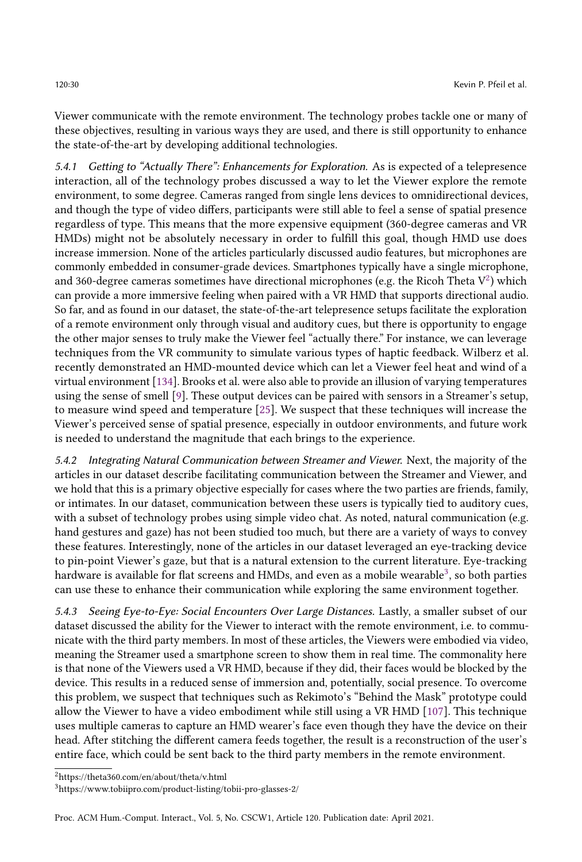Viewer communicate with the remote environment. The technology probes tackle one or many of these objectives, resulting in various ways they are used, and there is still opportunity to enhance the state-of-the-art by developing additional technologies.

5.4.1 Getting to "Actually There": Enhancements for Exploration. As is expected of a telepresence interaction, all of the technology probes discussed a way to let the Viewer explore the remote environment, to some degree. Cameras ranged from single lens devices to omnidirectional devices, and though the type of video differs, participants were still able to feel a sense of spatial presence regardless of type. This means that the more expensive equipment (360-degree cameras and VR HMDs) might not be absolutely necessary in order to fulfill this goal, though HMD use does increase immersion. None of the articles particularly discussed audio features, but microphones are commonly embedded in consumer-grade devices. Smartphones typically have a single microphone, and 360-degree cameras sometimes have directional microphones (e.g. the Ricoh Theta  $\rm V^2)$  $\rm V^2)$  $\rm V^2)$  which can provide a more immersive feeling when paired with a VR HMD that supports directional audio. So far, and as found in our dataset, the state-of-the-art telepresence setups facilitate the exploration of a remote environment only through visual and auditory cues, but there is opportunity to engage the other major senses to truly make the Viewer feel "actually there." For instance, we can leverage techniques from the VR community to simulate various types of haptic feedback. Wilberz et al. recently demonstrated an HMD-mounted device which can let a Viewer feel heat and wind of a virtual environment [\[134\]](#page-37-18). Brooks et al. were also able to provide an illusion of varying temperatures using the sense of smell [\[9\]](#page-31-19). These output devices can be paired with sensors in a Streamer's setup, to measure wind speed and temperature [\[25\]](#page-32-17). We suspect that these techniques will increase the Viewer's perceived sense of spatial presence, especially in outdoor environments, and future work is needed to understand the magnitude that each brings to the experience.

5.4.2 Integrating Natural Communication between Streamer and Viewer. Next, the majority of the articles in our dataset describe facilitating communication between the Streamer and Viewer, and we hold that this is a primary objective especially for cases where the two parties are friends, family, or intimates. In our dataset, communication between these users is typically tied to auditory cues, with a subset of technology probes using simple video chat. As noted, natural communication (e.g. hand gestures and gaze) has not been studied too much, but there are a variety of ways to convey these features. Interestingly, none of the articles in our dataset leveraged an eye-tracking device to pin-point Viewer's gaze, but that is a natural extension to the current literature. Eye-tracking hardware is available for flat screens and HMDs, and even as a mobile wearable $^3$  $^3$ , so both parties can use these to enhance their communication while exploring the same environment together.

5.4.3 Seeing Eye-to-Eye: Social Encounters Over Large Distances. Lastly, a smaller subset of our dataset discussed the ability for the Viewer to interact with the remote environment, i.e. to communicate with the third party members. In most of these articles, the Viewers were embodied via video, meaning the Streamer used a smartphone screen to show them in real time. The commonality here is that none of the Viewers used a VR HMD, because if they did, their faces would be blocked by the device. This results in a reduced sense of immersion and, potentially, social presence. To overcome this problem, we suspect that techniques such as Rekimoto's "Behind the Mask" prototype could allow the Viewer to have a video embodiment while still using a VR HMD [\[107\]](#page-36-18). This technique uses multiple cameras to capture an HMD wearer's face even though they have the device on their head. After stitching the different camera feeds together, the result is a reconstruction of the user's entire face, which could be sent back to the third party members in the remote environment.

<span id="page-29-0"></span><sup>2</sup>https://theta360.com/en/about/theta/v.html

<span id="page-29-1"></span><sup>3</sup>https://www.tobiipro.com/product-listing/tobii-pro-glasses-2/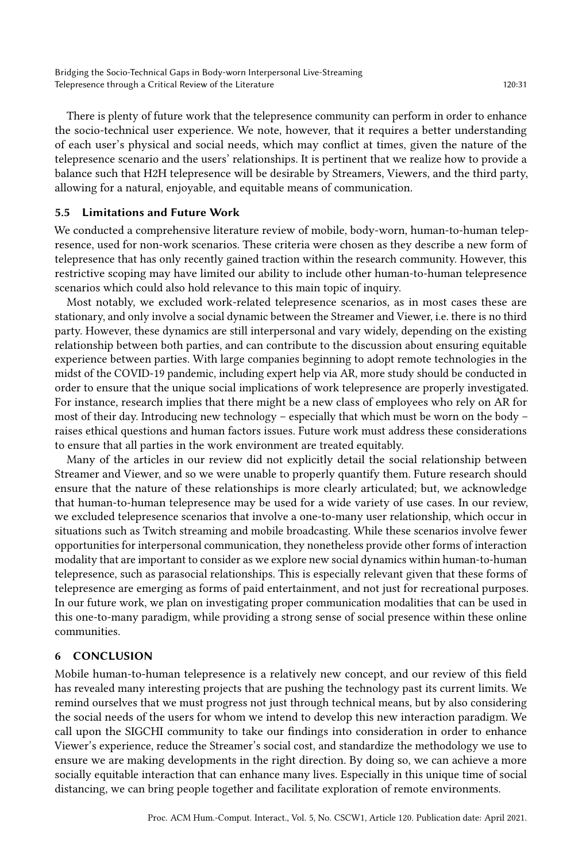There is plenty of future work that the telepresence community can perform in order to enhance the socio-technical user experience. We note, however, that it requires a better understanding of each user's physical and social needs, which may conflict at times, given the nature of the telepresence scenario and the users' relationships. It is pertinent that we realize how to provide a balance such that H2H telepresence will be desirable by Streamers, Viewers, and the third party, allowing for a natural, enjoyable, and equitable means of communication.

## 5.5 Limitations and Future Work

We conducted a comprehensive literature review of mobile, body-worn, human-to-human telepresence, used for non-work scenarios. These criteria were chosen as they describe a new form of telepresence that has only recently gained traction within the research community. However, this restrictive scoping may have limited our ability to include other human-to-human telepresence scenarios which could also hold relevance to this main topic of inquiry.

Most notably, we excluded work-related telepresence scenarios, as in most cases these are stationary, and only involve a social dynamic between the Streamer and Viewer, i.e. there is no third party. However, these dynamics are still interpersonal and vary widely, depending on the existing relationship between both parties, and can contribute to the discussion about ensuring equitable experience between parties. With large companies beginning to adopt remote technologies in the midst of the COVID-19 pandemic, including expert help via AR, more study should be conducted in order to ensure that the unique social implications of work telepresence are properly investigated. For instance, research implies that there might be a new class of employees who rely on AR for most of their day. Introducing new technology – especially that which must be worn on the body – raises ethical questions and human factors issues. Future work must address these considerations to ensure that all parties in the work environment are treated equitably.

Many of the articles in our review did not explicitly detail the social relationship between Streamer and Viewer, and so we were unable to properly quantify them. Future research should ensure that the nature of these relationships is more clearly articulated; but, we acknowledge that human-to-human telepresence may be used for a wide variety of use cases. In our review, we excluded telepresence scenarios that involve a one-to-many user relationship, which occur in situations such as Twitch streaming and mobile broadcasting. While these scenarios involve fewer opportunities for interpersonal communication, they nonetheless provide other forms of interaction modality that are important to consider as we explore new social dynamics within human-to-human telepresence, such as parasocial relationships. This is especially relevant given that these forms of telepresence are emerging as forms of paid entertainment, and not just for recreational purposes. In our future work, we plan on investigating proper communication modalities that can be used in this one-to-many paradigm, while providing a strong sense of social presence within these online communities.

## 6 CONCLUSION

Mobile human-to-human telepresence is a relatively new concept, and our review of this field has revealed many interesting projects that are pushing the technology past its current limits. We remind ourselves that we must progress not just through technical means, but by also considering the social needs of the users for whom we intend to develop this new interaction paradigm. We call upon the SIGCHI community to take our findings into consideration in order to enhance Viewer's experience, reduce the Streamer's social cost, and standardize the methodology we use to ensure we are making developments in the right direction. By doing so, we can achieve a more socially equitable interaction that can enhance many lives. Especially in this unique time of social distancing, we can bring people together and facilitate exploration of remote environments.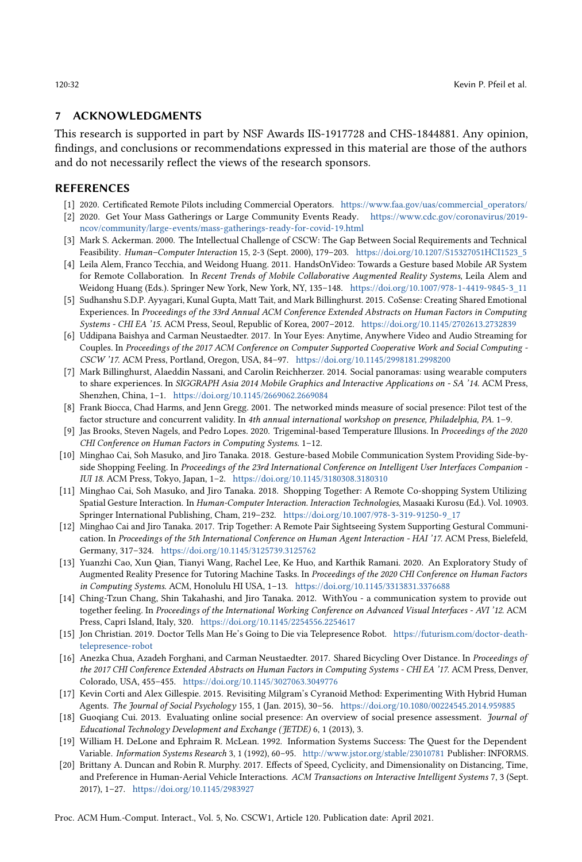#### 7 ACKNOWLEDGMENTS

This research is supported in part by NSF Awards IIS-1917728 and CHS-1844881. Any opinion, findings, and conclusions or recommendations expressed in this material are those of the authors and do not necessarily reflect the views of the research sponsors.

### REFERENCES

- <span id="page-31-4"></span>[1] 2020. Certificated Remote Pilots including Commercial Operators. [https://www.faa.gov/uas/commercial\\_operators/](https://www.faa.gov/uas/commercial_operators/)
- <span id="page-31-0"></span>[2] 2020. Get Your Mass Gatherings or Large Community Events Ready. [https://www.cdc.gov/coronavirus/2019](https://www.cdc.gov/coronavirus/2019-ncov/community/large-events/mass-gatherings-ready-for-covid-19.html) [ncov/community/large-events/mass-gatherings-ready-for-covid-19.html](https://www.cdc.gov/coronavirus/2019-ncov/community/large-events/mass-gatherings-ready-for-covid-19.html)
- <span id="page-31-1"></span>[3] Mark S. Ackerman. 2000. The Intellectual Challenge of CSCW: The Gap Between Social Requirements and Technical Feasibility. Human–Computer Interaction 15, 2-3 (Sept. 2000), 179–203. [https://doi.org/10.1207/S15327051HCI1523\\_5](https://doi.org/10.1207/S15327051HCI1523_5)
- <span id="page-31-5"></span>[4] Leila Alem, Franco Tecchia, and Weidong Huang. 2011. HandsOnVideo: Towards a Gesture based Mobile AR System for Remote Collaboration. In Recent Trends of Mobile Collaborative Augmented Reality Systems, Leila Alem and Weidong Huang (Eds.). Springer New York, New York, NY, 135–148. [https://doi.org/10.1007/978-1-4419-9845-3\\_11](https://doi.org/10.1007/978-1-4419-9845-3_11)
- <span id="page-31-7"></span>[5] Sudhanshu S.D.P. Ayyagari, Kunal Gupta, Matt Tait, and Mark Billinghurst. 2015. CoSense: Creating Shared Emotional Experiences. In Proceedings of the 33rd Annual ACM Conference Extended Abstracts on Human Factors in Computing Systems - CHI EA '15. ACM Press, Seoul, Republic of Korea, 2007–2012. <https://doi.org/10.1145/2702613.2732839>
- <span id="page-31-11"></span>[6] Uddipana Baishya and Carman Neustaedter. 2017. In Your Eyes: Anytime, Anywhere Video and Audio Streaming for Couples. In Proceedings of the 2017 ACM Conference on Computer Supported Cooperative Work and Social Computing - CSCW '17. ACM Press, Portland, Oregon, USA, 84–97. <https://doi.org/10.1145/2998181.2998200>
- <span id="page-31-13"></span>[7] Mark Billinghurst, Alaeddin Nassani, and Carolin Reichherzer. 2014. Social panoramas: using wearable computers to share experiences. In SIGGRAPH Asia 2014 Mobile Graphics and Interactive Applications on - SA '14. ACM Press, Shenzhen, China, 1–1. <https://doi.org/10.1145/2669062.2669084>
- <span id="page-31-15"></span>[8] Frank Biocca, Chad Harms, and Jenn Gregg. 2001. The networked minds measure of social presence: Pilot test of the factor structure and concurrent validity. In 4th annual international workshop on presence, Philadelphia, PA. 1-9.
- <span id="page-31-19"></span>[9] Jas Brooks, Steven Nagels, and Pedro Lopes. 2020. Trigeminal-based Temperature Illusions. In Proceedings of the 2020 CHI Conference on Human Factors in Computing Systems. 1–12.
- <span id="page-31-8"></span>[10] Minghao Cai, Soh Masuko, and Jiro Tanaka. 2018. Gesture-based Mobile Communication System Providing Side-byside Shopping Feeling. In Proceedings of the 23rd International Conference on Intelligent User Interfaces Companion -IUI 18. ACM Press, Tokyo, Japan, 1–2. <https://doi.org/10.1145/3180308.3180310>
- <span id="page-31-14"></span>[11] Minghao Cai, Soh Masuko, and Jiro Tanaka. 2018. Shopping Together: A Remote Co-shopping System Utilizing Spatial Gesture Interaction. In Human-Computer Interaction. Interaction Technologies, Masaaki Kurosu (Ed.). Vol. 10903. Springer International Publishing, Cham, 219–232. [https://doi.org/10.1007/978-3-319-91250-9\\_17](https://doi.org/10.1007/978-3-319-91250-9_17)
- <span id="page-31-9"></span>[12] Minghao Cai and Jiro Tanaka. 2017. Trip Together: A Remote Pair Sightseeing System Supporting Gestural Communication. In Proceedings of the 5th International Conference on Human Agent Interaction - HAI '17. ACM Press, Bielefeld, Germany, 317–324. <https://doi.org/10.1145/3125739.3125762>
- <span id="page-31-6"></span>[13] Yuanzhi Cao, Xun Qian, Tianyi Wang, Rachel Lee, Ke Huo, and Karthik Ramani. 2020. An Exploratory Study of Augmented Reality Presence for Tutoring Machine Tasks. In Proceedings of the 2020 CHI Conference on Human Factors in Computing Systems. ACM, Honolulu HI USA, 1–13. <https://doi.org/10.1145/3313831.3376688>
- <span id="page-31-10"></span>[14] Ching-Tzun Chang, Shin Takahashi, and Jiro Tanaka. 2012. WithYou - a communication system to provide out together feeling. In Proceedings of the International Working Conference on Advanced Visual Interfaces - AVI '12. ACM Press, Capri Island, Italy, 320. <https://doi.org/10.1145/2254556.2254617>
- <span id="page-31-2"></span>[15] Jon Christian. 2019. Doctor Tells Man He's Going to Die via Telepresence Robot. [https://futurism.com/doctor-death](https://futurism.com/doctor-death-telepresence-robot)[telepresence-robot](https://futurism.com/doctor-death-telepresence-robot)
- <span id="page-31-12"></span>[16] Anezka Chua, Azadeh Forghani, and Carman Neustaedter. 2017. Shared Bicycling Over Distance. In Proceedings of the 2017 CHI Conference Extended Abstracts on Human Factors in Computing Systems - CHI EA '17. ACM Press, Denver, Colorado, USA, 455–455. <https://doi.org/10.1145/3027063.3049776>
- <span id="page-31-17"></span>[17] Kevin Corti and Alex Gillespie. 2015. Revisiting Milgram's Cyranoid Method: Experimenting With Hybrid Human Agents. The Journal of Social Psychology 155, 1 (Jan. 2015), 30–56. <https://doi.org/10.1080/00224545.2014.959885>
- <span id="page-31-16"></span>[18] Guoqiang Cui. 2013. Evaluating online social presence: An overview of social presence assessment. Journal of Educational Technology Development and Exchange (JETDE) 6, 1 (2013), 3.
- <span id="page-31-18"></span>[19] William H. DeLone and Ephraim R. McLean. 1992. Information Systems Success: The Quest for the Dependent Variable. Information Systems Research 3, 1 (1992), 60–95. <http://www.jstor.org/stable/23010781> Publisher: INFORMS.
- <span id="page-31-3"></span>[20] Brittany A. Duncan and Robin R. Murphy. 2017. Effects of Speed, Cyclicity, and Dimensionality on Distancing, Time, and Preference in Human-Aerial Vehicle Interactions. ACM Transactions on Interactive Intelligent Systems 7, 3 (Sept. 2017), 1–27. <https://doi.org/10.1145/2983927>

Proc. ACM Hum.-Comput. Interact., Vol. 5, No. CSCW1, Article 120. Publication date: April 2021.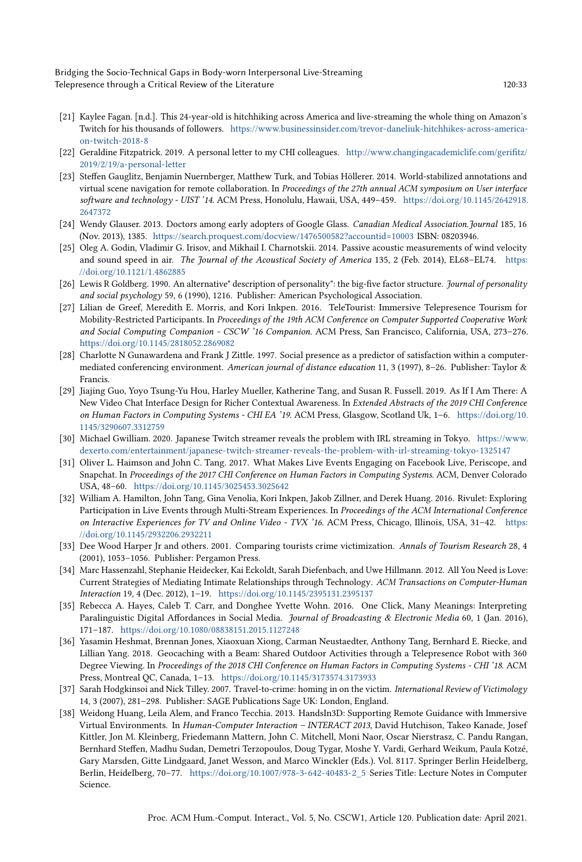Bridging the Socio-Technical Gaps in Body-worn Interpersonal Live-Streaming Telepresence through a Critical Review of the Literature 120:33 120:33

- <span id="page-32-1"></span>[21] Kaylee Fagan. [n.d.]. This 24-year-old is hitchhiking across America and live-streaming the whole thing on Amazon's Twitch for his thousands of followers. [https://www.businessinsider.com/trevor-daneliuk-hitchhikes-across-america](https://www.businessinsider.com/trevor-daneliuk-hitchhikes-across-america-on-twitch-2018-8)[on-twitch-2018-8](https://www.businessinsider.com/trevor-daneliuk-hitchhikes-across-america-on-twitch-2018-8)
- <span id="page-32-5"></span>[22] Geraldine Fitzpatrick. 2019. A personal letter to my CHI colleagues. [http://www.changingacademiclife.com/gerifitz/](http://www.changingacademiclife.com/gerifitz/2019/2/19/a-personal-letter) [2019/2/19/a-personal-letter](http://www.changingacademiclife.com/gerifitz/2019/2/19/a-personal-letter)
- <span id="page-32-8"></span>[23] Steffen Gauglitz, Benjamin Nuernberger, Matthew Turk, and Tobias Höllerer. 2014. World-stabilized annotations and virtual scene navigation for remote collaboration. In Proceedings of the 27th annual ACM symposium on User interface software and technology - UIST '14. ACM Press, Honolulu, Hawaii, USA, 449–459. [https://doi.org/10.1145/2642918.](https://doi.org/10.1145/2642918.2647372) [2647372](https://doi.org/10.1145/2642918.2647372)
- <span id="page-32-3"></span>[24] Wendy Glauser. 2013. Doctors among early adopters of Google Glass. Canadian Medical Association.Journal 185, 16 (Nov. 2013), 1385. <https://search.proquest.com/docview/1476500582?accountid=10003> ISBN: 08203946.
- <span id="page-32-17"></span>[25] Oleg A. Godin, Vladimir G. Irisov, and Mikhail I. Charnotskii. 2014. Passive acoustic measurements of wind velocity and sound speed in air. The Journal of the Acoustical Society of America 135, 2 (Feb. 2014), EL68-EL74. [https:](https://doi.org/10.1121/1.4862885) [//doi.org/10.1121/1.4862885](https://doi.org/10.1121/1.4862885)
- <span id="page-32-16"></span>[26] Lewis R Goldberg. 1990. An alternative" description of personality": the big-five factor structure. Journal of personality and social psychology 59, 6 (1990), 1216. Publisher: American Psychological Association.
- <span id="page-32-10"></span>[27] Lilian de Greef, Meredith E. Morris, and Kori Inkpen. 2016. TeleTourist: Immersive Telepresence Tourism for Mobility-Restricted Participants. In Proceedings of the 19th ACM Conference on Computer Supported Cooperative Work and Social Computing Companion - CSCW '16 Companion. ACM Press, San Francisco, California, USA, 273–276. <https://doi.org/10.1145/2818052.2869082>
- <span id="page-32-12"></span>[28] Charlotte N Gunawardena and Frank J Zittle. 1997. Social presence as a predictor of satisfaction within a computermediated conferencing environment. American journal of distance education 11, 3 (1997), 8–26. Publisher: Taylor & Francis.
- <span id="page-32-9"></span>[29] Jiajing Guo, Yoyo Tsung-Yu Hou, Harley Mueller, Katherine Tang, and Susan R. Fussell. 2019. As If I Am There: A New Video Chat Interface Design for Richer Contextual Awareness. In Extended Abstracts of the 2019 CHI Conference on Human Factors in Computing Systems - CHI EA '19. ACM Press, Glasgow, Scotland Uk, 1–6. [https://doi.org/10.](https://doi.org/10.1145/3290607.3312759) [1145/3290607.3312759](https://doi.org/10.1145/3290607.3312759)
- <span id="page-32-15"></span>[30] Michael Gwilliam. 2020. Japanese Twitch streamer reveals the problem with IRL streaming in Tokyo. [https://www.](https://www.dexerto.com/entertainment/japanese-twitch-streamer-reveals-the-problem-with-irl-streaming-tokyo-1325147) [dexerto.com/entertainment/japanese-twitch-streamer-reveals-the-problem-with-irl-streaming-tokyo-1325147](https://www.dexerto.com/entertainment/japanese-twitch-streamer-reveals-the-problem-with-irl-streaming-tokyo-1325147)
- <span id="page-32-2"></span>[31] Oliver L. Haimson and John C. Tang. 2017. What Makes Live Events Engaging on Facebook Live, Periscope, and Snapchat. In Proceedings of the 2017 CHI Conference on Human Factors in Computing Systems. ACM, Denver Colorado USA, 48–60. <https://doi.org/10.1145/3025453.3025642>
- <span id="page-32-0"></span>[32] William A. Hamilton, John Tang, Gina Venolia, Kori Inkpen, Jakob Zillner, and Derek Huang. 2016. Rivulet: Exploring Participation in Live Events through Multi-Stream Experiences. In Proceedings of the ACM International Conference on Interactive Experiences for TV and Online Video - TVX '16. ACM Press, Chicago, Illinois, USA, 31–42. [https:](https://doi.org/10.1145/2932206.2932211) [//doi.org/10.1145/2932206.2932211](https://doi.org/10.1145/2932206.2932211)
- <span id="page-32-13"></span>[33] Dee Wood Harper Jr and others. 2001. Comparing tourists crime victimization. Annals of Tourism Research 28, 4 (2001), 1053–1056. Publisher: Pergamon Press.
- <span id="page-32-7"></span>[34] Marc Hassenzahl, Stephanie Heidecker, Kai Eckoldt, Sarah Diefenbach, and Uwe Hillmann. 2012. All You Need is Love: Current Strategies of Mediating Intimate Relationships through Technology. ACM Transactions on Computer-Human Interaction 19, 4 (Dec. 2012), 1–19. <https://doi.org/10.1145/2395131.2395137>
- <span id="page-32-11"></span>[35] Rebecca A. Hayes, Caleb T. Carr, and Donghee Yvette Wohn. 2016. One Click, Many Meanings: Interpreting Paralinguistic Digital Affordances in Social Media. Journal of Broadcasting & Electronic Media 60, 1 (Jan. 2016), 171–187. <https://doi.org/10.1080/08838151.2015.1127248>
- <span id="page-32-6"></span>[36] Yasamin Heshmat, Brennan Jones, Xiaoxuan Xiong, Carman Neustaedter, Anthony Tang, Bernhard E. Riecke, and Lillian Yang. 2018. Geocaching with a Beam: Shared Outdoor Activities through a Telepresence Robot with 360 Degree Viewing. In Proceedings of the 2018 CHI Conference on Human Factors in Computing Systems - CHI '18. ACM Press, Montreal QC, Canada, 1–13. <https://doi.org/10.1145/3173574.3173933>
- <span id="page-32-14"></span>[37] Sarah Hodgkinsoi and Nick Tilley. 2007. Travel-to-crime: homing in on the victim. International Review of Victimology 14, 3 (2007), 281–298. Publisher: SAGE Publications Sage UK: London, England.
- <span id="page-32-4"></span>[38] Weidong Huang, Leila Alem, and Franco Tecchia. 2013. HandsIn3D: Supporting Remote Guidance with Immersive Virtual Environments. In Human-Computer Interaction – INTERACT 2013, David Hutchison, Takeo Kanade, Josef Kittler, Jon M. Kleinberg, Friedemann Mattern, John C. Mitchell, Moni Naor, Oscar Nierstrasz, C. Pandu Rangan, Bernhard Steffen, Madhu Sudan, Demetri Terzopoulos, Doug Tygar, Moshe Y. Vardi, Gerhard Weikum, Paula Kotzé, Gary Marsden, Gitte Lindgaard, Janet Wesson, and Marco Winckler (Eds.). Vol. 8117. Springer Berlin Heidelberg, Berlin, Heidelberg, 70–77. [https://doi.org/10.1007/978-3-642-40483-2\\_5](https://doi.org/10.1007/978-3-642-40483-2_5) Series Title: Lecture Notes in Computer Science.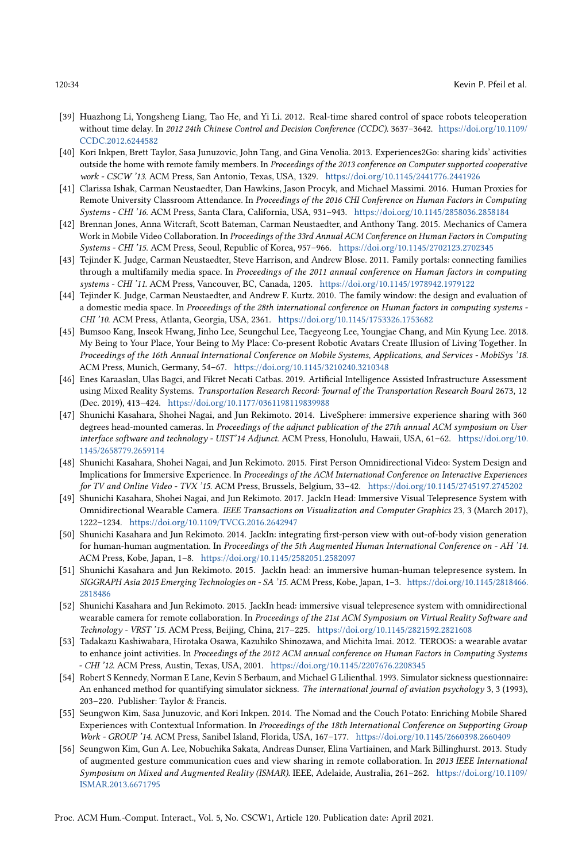- <span id="page-33-0"></span>[39] Huazhong Li, Yongsheng Liang, Tao He, and Yi Li. 2012. Real-time shared control of space robots teleoperation without time delay. In 2012 24th Chinese Control and Decision Conference (CCDC). 3637–3642. [https://doi.org/10.1109/](https://doi.org/10.1109/CCDC.2012.6244582) [CCDC.2012.6244582](https://doi.org/10.1109/CCDC.2012.6244582)
- <span id="page-33-9"></span>[40] Kori Inkpen, Brett Taylor, Sasa Junuzovic, John Tang, and Gina Venolia. 2013. Experiences2Go: sharing kids' activities outside the home with remote family members. In Proceedings of the 2013 conference on Computer supported cooperative work - CSCW '13. ACM Press, San Antonio, Texas, USA, 1329. <https://doi.org/10.1145/2441776.2441926>
- <span id="page-33-15"></span>[41] Clarissa Ishak, Carman Neustaedter, Dan Hawkins, Jason Procyk, and Michael Massimi. 2016. Human Proxies for Remote University Classroom Attendance. In Proceedings of the 2016 CHI Conference on Human Factors in Computing Systems - CHI '16. ACM Press, Santa Clara, California, USA, 931–943. <https://doi.org/10.1145/2858036.2858184>
- <span id="page-33-10"></span>[42] Brennan Jones, Anna Witcraft, Scott Bateman, Carman Neustaedter, and Anthony Tang. 2015. Mechanics of Camera Work in Mobile Video Collaboration. In Proceedings of the 33rd Annual ACM Conference on Human Factors in Computing Systems - CHI '15. ACM Press, Seoul, Republic of Korea, 957–966. <https://doi.org/10.1145/2702123.2702345>
- <span id="page-33-2"></span>[43] Tejinder K. Judge, Carman Neustaedter, Steve Harrison, and Andrew Blose. 2011. Family portals: connecting families through a multifamily media space. In Proceedings of the 2011 annual conference on Human factors in computing systems - CHI '11. ACM Press, Vancouver, BC, Canada, 1205. <https://doi.org/10.1145/1978942.1979122>
- <span id="page-33-3"></span>[44] Tejinder K. Judge, Carman Neustaedter, and Andrew F. Kurtz. 2010. The family window: the design and evaluation of a domestic media space. In Proceedings of the 28th international conference on Human factors in computing systems - CHI '10. ACM Press, Atlanta, Georgia, USA, 2361. <https://doi.org/10.1145/1753326.1753682>
- <span id="page-33-1"></span>[45] Bumsoo Kang, Inseok Hwang, Jinho Lee, Seungchul Lee, Taegyeong Lee, Youngjae Chang, and Min Kyung Lee. 2018. My Being to Your Place, Your Being to My Place: Co-present Robotic Avatars Create Illusion of Living Together. In Proceedings of the 16th Annual International Conference on Mobile Systems, Applications, and Services - MobiSys '18. ACM Press, Munich, Germany, 54–67. <https://doi.org/10.1145/3210240.3210348>
- <span id="page-33-4"></span>[46] Enes Karaaslan, Ulas Bagci, and Fikret Necati Catbas. 2019. Artificial Intelligence Assisted Infrastructure Assessment using Mixed Reality Systems. Transportation Research Record: Journal of the Transportation Research Board 2673, 12 (Dec. 2019), 413–424. <https://doi.org/10.1177/0361198119839988>
- <span id="page-33-12"></span>[47] Shunichi Kasahara, Shohei Nagai, and Jun Rekimoto. 2014. LiveSphere: immersive experience sharing with 360 degrees head-mounted cameras. In Proceedings of the adjunct publication of the 27th annual ACM symposium on User interface software and technology - UIST'14 Adjunct. ACM Press, Honolulu, Hawaii, USA, 61–62. [https://doi.org/10.](https://doi.org/10.1145/2658779.2659114) [1145/2658779.2659114](https://doi.org/10.1145/2658779.2659114)
- <span id="page-33-6"></span>[48] Shunichi Kasahara, Shohei Nagai, and Jun Rekimoto. 2015. First Person Omnidirectional Video: System Design and Implications for Immersive Experience. In Proceedings of the ACM International Conference on Interactive Experiences for TV and Online Video - TVX '15. ACM Press, Brussels, Belgium, 33–42. <https://doi.org/10.1145/2745197.2745202>
- <span id="page-33-16"></span>[49] Shunichi Kasahara, Shohei Nagai, and Jun Rekimoto. 2017. JackIn Head: Immersive Visual Telepresence System with Omnidirectional Wearable Camera. IEEE Transactions on Visualization and Computer Graphics 23, 3 (March 2017), 1222–1234. <https://doi.org/10.1109/TVCG.2016.2642947>
- <span id="page-33-7"></span>[50] Shunichi Kasahara and Jun Rekimoto. 2014. JackIn: integrating first-person view with out-of-body vision generation for human-human augmentation. In Proceedings of the 5th Augmented Human International Conference on - AH '14. ACM Press, Kobe, Japan, 1–8. <https://doi.org/10.1145/2582051.2582097>
- <span id="page-33-13"></span>[51] Shunichi Kasahara and Jun Rekimoto. 2015. JackIn head: an immersive human-human telepresence system. In SIGGRAPH Asia 2015 Emerging Technologies on - SA '15. ACM Press, Kobe, Japan, 1–3. [https://doi.org/10.1145/2818466.](https://doi.org/10.1145/2818466.2818486) [2818486](https://doi.org/10.1145/2818466.2818486)
- <span id="page-33-8"></span>[52] Shunichi Kasahara and Jun Rekimoto. 2015. JackIn head: immersive visual telepresence system with omnidirectional wearable camera for remote collaboration. In Proceedings of the 21st ACM Symposium on Virtual Reality Software and Technology - VRST '15. ACM Press, Beijing, China, 217–225. <https://doi.org/10.1145/2821592.2821608>
- <span id="page-33-14"></span>[53] Tadakazu Kashiwabara, Hirotaka Osawa, Kazuhiko Shinozawa, and Michita Imai. 2012. TEROOS: a wearable avatar to enhance joint activities. In Proceedings of the 2012 ACM annual conference on Human Factors in Computing Systems - CHI '12. ACM Press, Austin, Texas, USA, 2001. <https://doi.org/10.1145/2207676.2208345>
- <span id="page-33-17"></span>[54] Robert S Kennedy, Norman E Lane, Kevin S Berbaum, and Michael G Lilienthal. 1993. Simulator sickness questionnaire: An enhanced method for quantifying simulator sickness. The international journal of aviation psychology 3, 3 (1993), 203–220. Publisher: Taylor & Francis.
- <span id="page-33-11"></span>[55] Seungwon Kim, Sasa Junuzovic, and Kori Inkpen. 2014. The Nomad and the Couch Potato: Enriching Mobile Shared Experiences with Contextual Information. In Proceedings of the 18th International Conference on Supporting Group Work - GROUP '14. ACM Press, Sanibel Island, Florida, USA, 167–177. <https://doi.org/10.1145/2660398.2660409>
- <span id="page-33-5"></span>[56] Seungwon Kim, Gun A. Lee, Nobuchika Sakata, Andreas Dunser, Elina Vartiainen, and Mark Billinghurst. 2013. Study of augmented gesture communication cues and view sharing in remote collaboration. In 2013 IEEE International Symposium on Mixed and Augmented Reality (ISMAR). IEEE, Adelaide, Australia, 261–262. [https://doi.org/10.1109/](https://doi.org/10.1109/ISMAR.2013.6671795) [ISMAR.2013.6671795](https://doi.org/10.1109/ISMAR.2013.6671795)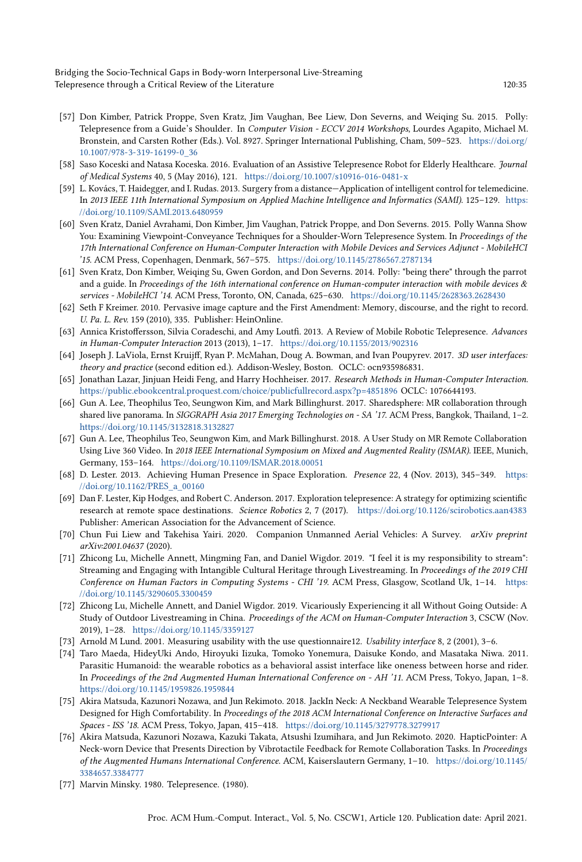Bridging the Socio-Technical Gaps in Body-worn Interpersonal Live-Streaming Telepresence through a Critical Review of the Literature 120:35

- <span id="page-34-13"></span>[57] Don Kimber, Patrick Proppe, Sven Kratz, Jim Vaughan, Bee Liew, Don Severns, and Weiqing Su. 2015. Polly: Telepresence from a Guide's Shoulder. In Computer Vision - ECCV 2014 Workshops, Lourdes Agapito, Michael M. Bronstein, and Carsten Rother (Eds.). Vol. 8927. Springer International Publishing, Cham, 509–523. [https://doi.org/](https://doi.org/10.1007/978-3-319-16199-0_36) [10.1007/978-3-319-16199-0\\_36](https://doi.org/10.1007/978-3-319-16199-0_36)
- <span id="page-34-8"></span>[58] Saso Koceski and Natasa Koceska. 2016. Evaluation of an Assistive Telepresence Robot for Elderly Healthcare. Journal of Medical Systems 40, 5 (May 2016), 121. <https://doi.org/10.1007/s10916-016-0481-x>
- <span id="page-34-1"></span>[59] L. Kovács, T. Haidegger, and I. Rudas. 2013. Surgery from a distance—Application of intelligent control for telemedicine. In 2013 IEEE 11th International Symposium on Applied Machine Intelligence and Informatics (SAMI). 125–129. [https:](https://doi.org/10.1109/SAMI.2013.6480959) [//doi.org/10.1109/SAMI.2013.6480959](https://doi.org/10.1109/SAMI.2013.6480959)
- <span id="page-34-14"></span>[60] Sven Kratz, Daniel Avrahami, Don Kimber, Jim Vaughan, Patrick Proppe, and Don Severns. 2015. Polly Wanna Show You: Examining Viewpoint-Conveyance Techniques for a Shoulder-Worn Telepresence System. In Proceedings of the 17th International Conference on Human-Computer Interaction with Mobile Devices and Services Adjunct - MobileHCI '15. ACM Press, Copenhagen, Denmark, 567–575. <https://doi.org/10.1145/2786567.2787134>
- <span id="page-34-16"></span>[61] Sven Kratz, Don Kimber, Weiqing Su, Gwen Gordon, and Don Severns. 2014. Polly: "being there" through the parrot and a guide. In Proceedings of the 16th international conference on Human-computer interaction with mobile devices & services - MobileHCI '14. ACM Press, Toronto, ON, Canada, 625–630. <https://doi.org/10.1145/2628363.2628430>
- <span id="page-34-20"></span>[62] Seth F Kreimer. 2010. Pervasive image capture and the First Amendment: Memory, discourse, and the right to record. U. Pa. L. Rev. 159 (2010), 335. Publisher: HeinOnline.
- <span id="page-34-6"></span>[63] Annica Kristoffersson, Silvia Coradeschi, and Amy Loutfi. 2013. A Review of Mobile Robotic Telepresence. Advances in Human-Computer Interaction 2013 (2013), 1–17. <https://doi.org/10.1155/2013/902316>
- <span id="page-34-7"></span>[64] Joseph J. LaViola, Ernst Kruijff, Ryan P. McMahan, Doug A. Bowman, and Ivan Poupyrev. 2017. 3D user interfaces: theory and practice (second edition ed.). Addison-Wesley, Boston. OCLC: ocn935986831.
- <span id="page-34-12"></span>[65] Jonathan Lazar, Jinjuan Heidi Feng, and Harry Hochheiser. 2017. Research Methods in Human-Computer Interaction. <https://public.ebookcentral.proquest.com/choice/publicfullrecord.aspx?p=4851896> OCLC: 1076644193.
- <span id="page-34-9"></span>[66] Gun A. Lee, Theophilus Teo, Seungwon Kim, and Mark Billinghurst. 2017. Sharedsphere: MR collaboration through shared live panorama. In SIGGRAPH Asia 2017 Emerging Technologies on - SA '17. ACM Press, Bangkok, Thailand, 1-2. <https://doi.org/10.1145/3132818.3132827>
- <span id="page-34-11"></span>[67] Gun A. Lee, Theophilus Teo, Seungwon Kim, and Mark Billinghurst. 2018. A User Study on MR Remote Collaboration Using Live 360 Video. In 2018 IEEE International Symposium on Mixed and Augmented Reality (ISMAR). IEEE, Munich, Germany, 153–164. <https://doi.org/10.1109/ISMAR.2018.00051>
- <span id="page-34-2"></span>[68] D. Lester. 2013. Achieving Human Presence in Space Exploration. Presence 22, 4 (Nov. 2013), 345–349. [https:](https://doi.org/10.1162/PRES_a_00160) [//doi.org/10.1162/PRES\\_a\\_00160](https://doi.org/10.1162/PRES_a_00160)
- <span id="page-34-3"></span>[69] Dan F. Lester, Kip Hodges, and Robert C. Anderson. 2017. Exploration telepresence: A strategy for optimizing scientific research at remote space destinations. Science Robotics 2, 7 (2017). <https://doi.org/10.1126/scirobotics.aan4383> Publisher: American Association for the Advancement of Science.
- <span id="page-34-10"></span>[70] Chun Fui Liew and Takehisa Yairi. 2020. Companion Unmanned Aerial Vehicles: A Survey. arXiv preprint arXiv:2001.04637 (2020).
- <span id="page-34-4"></span>[71] Zhicong Lu, Michelle Annett, Mingming Fan, and Daniel Wigdor. 2019. "I feel it is my responsibility to stream": Streaming and Engaging with Intangible Cultural Heritage through Livestreaming. In Proceedings of the 2019 CHI Conference on Human Factors in Computing Systems - CHI '19. ACM Press, Glasgow, Scotland Uk, 1–14. [https:](https://doi.org/10.1145/3290605.3300459) [//doi.org/10.1145/3290605.3300459](https://doi.org/10.1145/3290605.3300459)
- <span id="page-34-5"></span>[72] Zhicong Lu, Michelle Annett, and Daniel Wigdor. 2019. Vicariously Experiencing it all Without Going Outside: A Study of Outdoor Livestreaming in China. Proceedings of the ACM on Human-Computer Interaction 3, CSCW (Nov. 2019), 1–28. <https://doi.org/10.1145/3359127>
- <span id="page-34-19"></span>[73] Arnold M Lund. 2001. Measuring usability with the use questionnaire12. Usability interface 8, 2 (2001), 3–6.
- <span id="page-34-17"></span>[74] Taro Maeda, HideyUki Ando, Hiroyuki Iizuka, Tomoko Yonemura, Daisuke Kondo, and Masataka Niwa. 2011. Parasitic Humanoid: the wearable robotics as a behavioral assist interface like oneness between horse and rider. In Proceedings of the 2nd Augmented Human International Conference on - AH '11. ACM Press, Tokyo, Japan, 1–8. <https://doi.org/10.1145/1959826.1959844>
- <span id="page-34-18"></span>[75] Akira Matsuda, Kazunori Nozawa, and Jun Rekimoto. 2018. JackIn Neck: A Neckband Wearable Telepresence System Designed for High Comfortability. In Proceedings of the 2018 ACM International Conference on Interactive Surfaces and Spaces - ISS '18. ACM Press, Tokyo, Japan, 415–418. <https://doi.org/10.1145/3279778.3279917>
- <span id="page-34-15"></span>[76] Akira Matsuda, Kazunori Nozawa, Kazuki Takata, Atsushi Izumihara, and Jun Rekimoto. 2020. HapticPointer: A Neck-worn Device that Presents Direction by Vibrotactile Feedback for Remote Collaboration Tasks. In Proceedings of the Augmented Humans International Conference. ACM, Kaiserslautern Germany, 1–10. [https://doi.org/10.1145/](https://doi.org/10.1145/3384657.3384777) [3384657.3384777](https://doi.org/10.1145/3384657.3384777)
- <span id="page-34-0"></span>[77] Marvin Minsky. 1980. Telepresence. (1980).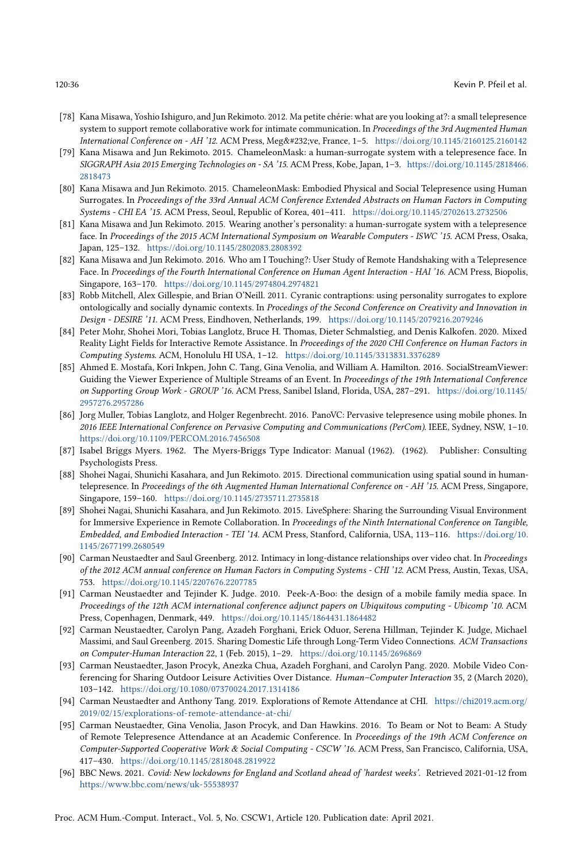- <span id="page-35-8"></span>[78] Kana Misawa, Yoshio Ishiguro, and Jun Rekimoto. 2012. Ma petite chérie: what are you looking at?: a small telepresence system to support remote collaborative work for intimate communication. In Proceedings of the 3rd Augmented Human International Conference on - AH '12. ACM Press, Megève, France, 1-5. <https://doi.org/10.1145/2160125.2160142>
- <span id="page-35-12"></span>[79] Kana Misawa and Jun Rekimoto. 2015. ChameleonMask: a human-surrogate system with a telepresence face. In SIGGRAPH Asia 2015 Emerging Technologies on - SA '15. ACM Press, Kobe, Japan, 1–3. [https://doi.org/10.1145/2818466.](https://doi.org/10.1145/2818466.2818473) [2818473](https://doi.org/10.1145/2818466.2818473)
- <span id="page-35-17"></span>[80] Kana Misawa and Jun Rekimoto. 2015. ChameleonMask: Embodied Physical and Social Telepresence using Human Surrogates. In Proceedings of the 33rd Annual ACM Conference Extended Abstracts on Human Factors in Computing Systems - CHI EA '15. ACM Press, Seoul, Republic of Korea, 401–411. <https://doi.org/10.1145/2702613.2732506>
- <span id="page-35-9"></span>[81] Kana Misawa and Jun Rekimoto. 2015. Wearing another's personality: a human-surrogate system with a telepresence face. In Proceedings of the 2015 ACM International Symposium on Wearable Computers - ISWC '15. ACM Press, Osaka, Japan, 125–132. <https://doi.org/10.1145/2802083.2808392>
- <span id="page-35-10"></span>[82] Kana Misawa and Jun Rekimoto. 2016. Who am I Touching?: User Study of Remote Handshaking with a Telepresence Face. In Proceedings of the Fourth International Conference on Human Agent Interaction - HAI '16. ACM Press, Biopolis, Singapore, 163–170. <https://doi.org/10.1145/2974804.2974821>
- <span id="page-35-13"></span>[83] Robb Mitchell, Alex Gillespie, and Brian O'Neill. 2011. Cyranic contraptions: using personality surrogates to explore ontologically and socially dynamic contexts. In Procedings of the Second Conference on Creativity and Innovation in Design - DESIRE '11. ACM Press, Eindhoven, Netherlands, 199. <https://doi.org/10.1145/2079216.2079246>
- <span id="page-35-7"></span>[84] Peter Mohr, Shohei Mori, Tobias Langlotz, Bruce H. Thomas, Dieter Schmalstieg, and Denis Kalkofen. 2020. Mixed Reality Light Fields for Interactive Remote Assistance. In Proceedings of the 2020 CHI Conference on Human Factors in Computing Systems. ACM, Honolulu HI USA, 1–12. <https://doi.org/10.1145/3313831.3376289>
- <span id="page-35-4"></span>[85] Ahmed E. Mostafa, Kori Inkpen, John C. Tang, Gina Venolia, and William A. Hamilton. 2016. SocialStreamViewer: Guiding the Viewer Experience of Multiple Streams of an Event. In Proceedings of the 19th International Conference on Supporting Group Work - GROUP '16. ACM Press, Sanibel Island, Florida, USA, 287–291. [https://doi.org/10.1145/](https://doi.org/10.1145/2957276.2957286) [2957276.2957286](https://doi.org/10.1145/2957276.2957286)
- <span id="page-35-11"></span>[86] Jorg Muller, Tobias Langlotz, and Holger Regenbrecht. 2016. PanoVC: Pervasive telepresence using mobile phones. In 2016 IEEE International Conference on Pervasive Computing and Communications (PerCom). IEEE, Sydney, NSW, 1–10. <https://doi.org/10.1109/PERCOM.2016.7456508>
- <span id="page-35-18"></span>[87] Isabel Briggs Myers. 1962. The Myers-Briggs Type Indicator: Manual (1962). (1962). Publisher: Consulting Psychologists Press.
- <span id="page-35-14"></span>[88] Shohei Nagai, Shunichi Kasahara, and Jun Rekimoto. 2015. Directional communication using spatial sound in humantelepresence. In Proceedings of the 6th Augmented Human International Conference on - AH '15. ACM Press, Singapore, Singapore, 159–160. <https://doi.org/10.1145/2735711.2735818>
- <span id="page-35-16"></span>[89] Shohei Nagai, Shunichi Kasahara, and Jun Rekimoto. 2015. LiveSphere: Sharing the Surrounding Visual Environment for Immersive Experience in Remote Collaboration. In Proceedings of the Ninth International Conference on Tangible, Embedded, and Embodied Interaction - TEI '14. ACM Press, Stanford, California, USA, 113–116. [https://doi.org/10.](https://doi.org/10.1145/2677199.2680549) [1145/2677199.2680549](https://doi.org/10.1145/2677199.2680549)
- <span id="page-35-2"></span>[90] Carman Neustaedter and Saul Greenberg. 2012. Intimacy in long-distance relationships over video chat. In Proceedings of the 2012 ACM annual conference on Human Factors in Computing Systems - CHI '12. ACM Press, Austin, Texas, USA, 753. <https://doi.org/10.1145/2207676.2207785>
- <span id="page-35-3"></span>[91] Carman Neustaedter and Tejinder K. Judge. 2010. Peek-A-Boo: the design of a mobile family media space. In Proceedings of the 12th ACM international conference adjunct papers on Ubiquitous computing - Ubicomp '10. ACM Press, Copenhagen, Denmark, 449. <https://doi.org/10.1145/1864431.1864482>
- <span id="page-35-6"></span>[92] Carman Neustaedter, Carolyn Pang, Azadeh Forghani, Erick Oduor, Serena Hillman, Tejinder K. Judge, Michael Massimi, and Saul Greenberg. 2015. Sharing Domestic Life through Long-Term Video Connections. ACM Transactions on Computer-Human Interaction 22, 1 (Feb. 2015), 1–29. <https://doi.org/10.1145/2696869>
- <span id="page-35-15"></span>[93] Carman Neustaedter, Jason Procyk, Anezka Chua, Azadeh Forghani, and Carolyn Pang. 2020. Mobile Video Conferencing for Sharing Outdoor Leisure Activities Over Distance. Human–Computer Interaction 35, 2 (March 2020), 103–142. <https://doi.org/10.1080/07370024.2017.1314186>
- <span id="page-35-5"></span>[94] Carman Neustaedter and Anthony Tang. 2019. Explorations of Remote Attendance at CHI. [https://chi2019.acm.org/](https://chi2019.acm.org/2019/02/15/explorations-of-remote-attendance-at-chi/) [2019/02/15/explorations-of-remote-attendance-at-chi/](https://chi2019.acm.org/2019/02/15/explorations-of-remote-attendance-at-chi/)
- <span id="page-35-1"></span>[95] Carman Neustaedter, Gina Venolia, Jason Procyk, and Dan Hawkins. 2016. To Beam or Not to Beam: A Study of Remote Telepresence Attendance at an Academic Conference. In Proceedings of the 19th ACM Conference on Computer-Supported Cooperative Work & Social Computing - CSCW '16. ACM Press, San Francisco, California, USA, 417–430. <https://doi.org/10.1145/2818048.2819922>
- <span id="page-35-0"></span>[96] BBC News. 2021. Covid: New lockdowns for England and Scotland ahead of 'hardest weeks'. Retrieved 2021-01-12 from <https://www.bbc.com/news/uk-55538937>

Proc. ACM Hum.-Comput. Interact., Vol. 5, No. CSCW1, Article 120. Publication date: April 2021.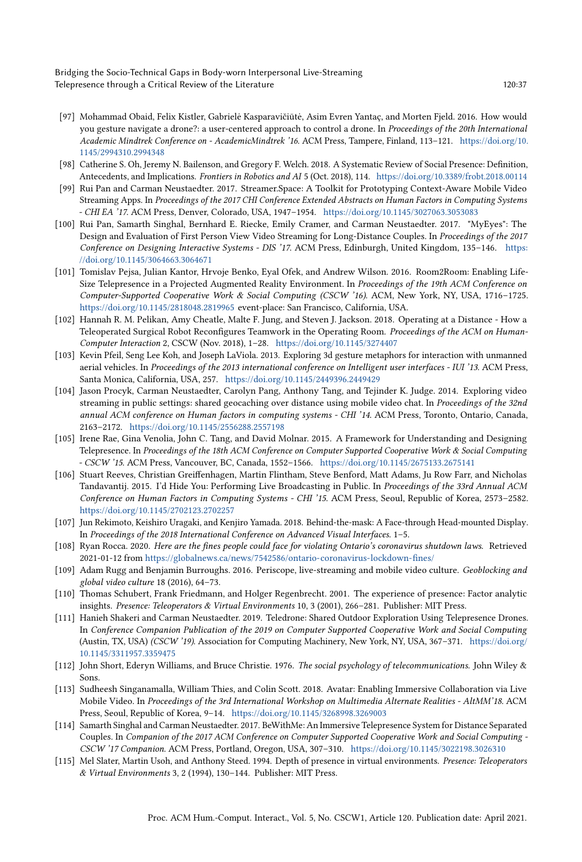Bridging the Socio-Technical Gaps in Body-worn Interpersonal Live-Streaming Telepresence through a Critical Review of the Literature 120:37 120:37

- <span id="page-36-2"></span>[97] Mohammad Obaid, Felix Kistler, Gabrielė Kasparavičiūtė, Asim Evren Yantaç, and Morten Fjeld. 2016. How would you gesture navigate a drone?: a user-centered approach to control a drone. In Proceedings of the 20th International Academic Mindtrek Conference on - AcademicMindtrek '16. ACM Press, Tampere, Finland, 113–121. [https://doi.org/10.](https://doi.org/10.1145/2994310.2994348) [1145/2994310.2994348](https://doi.org/10.1145/2994310.2994348)
- <span id="page-36-15"></span>[98] Catherine S. Oh, Jeremy N. Bailenson, and Gregory F. Welch. 2018. A Systematic Review of Social Presence: Definition, Antecedents, and Implications. Frontiers in Robotics and AI 5 (Oct. 2018), 114. <https://doi.org/10.3389/frobt.2018.00114>
- <span id="page-36-11"></span>[99] Rui Pan and Carman Neustaedter. 2017. Streamer.Space: A Toolkit for Prototyping Context-Aware Mobile Video Streaming Apps. In Proceedings of the 2017 CHI Conference Extended Abstracts on Human Factors in Computing Systems - CHI EA '17. ACM Press, Denver, Colorado, USA, 1947–1954. <https://doi.org/10.1145/3027063.3053083>
- <span id="page-36-8"></span>[100] Rui Pan, Samarth Singhal, Bernhard E. Riecke, Emily Cramer, and Carman Neustaedter. 2017. "MyEyes": The Design and Evaluation of First Person View Video Streaming for Long-Distance Couples. In Proceedings of the 2017 Conference on Designing Interactive Systems - DIS '17. ACM Press, Edinburgh, United Kingdom, 135–146. [https:](https://doi.org/10.1145/3064663.3064671) [//doi.org/10.1145/3064663.3064671](https://doi.org/10.1145/3064663.3064671)
- <span id="page-36-4"></span>[101] Tomislav Pejsa, Julian Kantor, Hrvoje Benko, Eyal Ofek, and Andrew Wilson. 2016. Room2Room: Enabling Life-Size Telepresence in a Projected Augmented Reality Environment. In Proceedings of the 19th ACM Conference on Computer-Supported Cooperative Work & Social Computing (CSCW '16). ACM, New York, NY, USA, 1716–1725. <https://doi.org/10.1145/2818048.2819965> event-place: San Francisco, California, USA.
- <span id="page-36-1"></span>[102] Hannah R. M. Pelikan, Amy Cheatle, Malte F. Jung, and Steven J. Jackson. 2018. Operating at a Distance - How a Teleoperated Surgical Robot Reconfigures Teamwork in the Operating Room. Proceedings of the ACM on Human-Computer Interaction 2, CSCW (Nov. 2018), 1–28. <https://doi.org/10.1145/3274407>
- <span id="page-36-3"></span>[103] Kevin Pfeil, Seng Lee Koh, and Joseph LaViola. 2013. Exploring 3d gesture metaphors for interaction with unmanned aerial vehicles. In Proceedings of the 2013 international conference on Intelligent user interfaces - IUI '13. ACM Press, Santa Monica, California, USA, 257. <https://doi.org/10.1145/2449396.2449429>
- <span id="page-36-9"></span>[104] Jason Procyk, Carman Neustaedter, Carolyn Pang, Anthony Tang, and Tejinder K. Judge. 2014. Exploring video streaming in public settings: shared geocaching over distance using mobile video chat. In Proceedings of the 32nd annual ACM conference on Human factors in computing systems - CHI '14. ACM Press, Toronto, Ontario, Canada, 2163–2172. <https://doi.org/10.1145/2556288.2557198>
- <span id="page-36-7"></span>[105] Irene Rae, Gina Venolia, John C. Tang, and David Molnar. 2015. A Framework for Understanding and Designing Telepresence. In Proceedings of the 18th ACM Conference on Computer Supported Cooperative Work & Social Computing - CSCW '15. ACM Press, Vancouver, BC, Canada, 1552–1566. <https://doi.org/10.1145/2675133.2675141>
- <span id="page-36-17"></span>[106] Stuart Reeves, Christian Greiffenhagen, Martin Flintham, Steve Benford, Matt Adams, Ju Row Farr, and Nicholas Tandavantij. 2015. I'd Hide You: Performing Live Broadcasting in Public. In Proceedings of the 33rd Annual ACM Conference on Human Factors in Computing Systems - CHI '15. ACM Press, Seoul, Republic of Korea, 2573–2582. <https://doi.org/10.1145/2702123.2702257>
- <span id="page-36-18"></span>[107] Jun Rekimoto, Keishiro Uragaki, and Kenjiro Yamada. 2018. Behind-the-mask: A Face-through Head-mounted Display. In Proceedings of the 2018 International Conference on Advanced Visual Interfaces. 1–5.
- <span id="page-36-0"></span>[108] Ryan Rocca. 2020. Here are the fines people could face for violating Ontario's coronavirus shutdown laws. Retrieved 2021-01-12 from <https://globalnews.ca/news/7542586/ontario-coronavirus-lockdown-fines/>
- <span id="page-36-6"></span>[109] Adam Rugg and Benjamin Burroughs. 2016. Periscope, live-streaming and mobile video culture. Geoblocking and global video culture 18 (2016), 64–73.
- <span id="page-36-14"></span>[110] Thomas Schubert, Frank Friedmann, and Holger Regenbrecht. 2001. The experience of presence: Factor analytic insights. Presence: Teleoperators & Virtual Environments 10, 3 (2001), 266–281. Publisher: MIT Press.
- <span id="page-36-5"></span>[111] Hanieh Shakeri and Carman Neustaedter. 2019. Teledrone: Shared Outdoor Exploration Using Telepresence Drones. In Conference Companion Publication of the 2019 on Computer Supported Cooperative Work and Social Computing (Austin, TX, USA) (CSCW '19). Association for Computing Machinery, New York, NY, USA, 367–371. [https://doi.org/](https://doi.org/10.1145/3311957.3359475) [10.1145/3311957.3359475](https://doi.org/10.1145/3311957.3359475)
- <span id="page-36-13"></span>[112] John Short, Ederyn Williams, and Bruce Christie. 1976. The social psychology of telecommunications. John Wiley & Sons.
- <span id="page-36-10"></span>[113] Sudheesh Singanamalla, William Thies, and Colin Scott. 2018. Avatar: Enabling Immersive Collaboration via Live Mobile Video. In Proceedings of the 3rd International Workshop on Multimedia Alternate Realities - AltMM'18. ACM Press, Seoul, Republic of Korea, 9–14. <https://doi.org/10.1145/3268998.3269003>
- <span id="page-36-12"></span>[114] Samarth Singhal and Carman Neustaedter. 2017. BeWithMe: An Immersive Telepresence System for Distance Separated Couples. In Companion of the 2017 ACM Conference on Computer Supported Cooperative Work and Social Computing - CSCW '17 Companion. ACM Press, Portland, Oregon, USA, 307–310. <https://doi.org/10.1145/3022198.3026310>
- <span id="page-36-16"></span>[115] Mel Slater, Martin Usoh, and Anthony Steed. 1994. Depth of presence in virtual environments. Presence: Teleoperators & Virtual Environments 3, 2 (1994), 130–144. Publisher: MIT Press.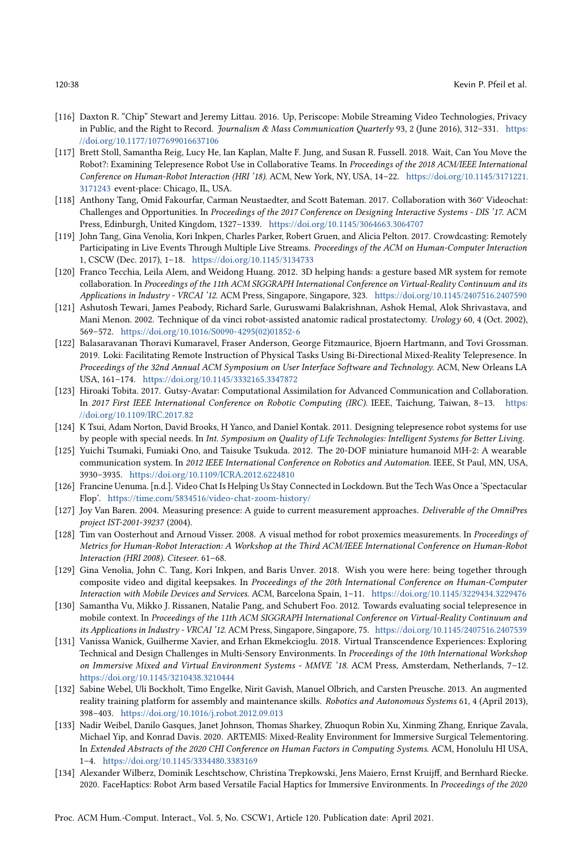- <span id="page-37-17"></span>[116] Daxton R. "Chip" Stewart and Jeremy Littau. 2016. Up, Periscope: Mobile Streaming Video Technologies, Privacy in Public, and the Right to Record. Journalism & Mass Communication Quarterly 93, 2 (June 2016), 312-331. [https:](https://doi.org/10.1177/1077699016637106) [//doi.org/10.1177/1077699016637106](https://doi.org/10.1177/1077699016637106)
- <span id="page-37-5"></span>[117] Brett Stoll, Samantha Reig, Lucy He, Ian Kaplan, Malte F. Jung, and Susan R. Fussell. 2018. Wait, Can You Move the Robot?: Examining Telepresence Robot Use in Collaborative Teams. In Proceedings of the 2018 ACM/IEEE International Conference on Human-Robot Interaction (HRI '18). ACM, New York, NY, USA, 14–22. [https://doi.org/10.1145/3171221.](https://doi.org/10.1145/3171221.3171243) [3171243](https://doi.org/10.1145/3171221.3171243) event-place: Chicago, IL, USA.
- <span id="page-37-10"></span>[118] Anthony Tang, Omid Fakourfar, Carman Neustaedter, and Scott Bateman. 2017. Collaboration with 360° Videochat: Challenges and Opportunities. In Proceedings of the 2017 Conference on Designing Interactive Systems - DIS '17. ACM Press, Edinburgh, United Kingdom, 1327–1339. <https://doi.org/10.1145/3064663.3064707>
- <span id="page-37-0"></span>[119] John Tang, Gina Venolia, Kori Inkpen, Charles Parker, Robert Gruen, and Alicia Pelton. 2017. Crowdcasting: Remotely Participating in Live Events Through Multiple Live Streams. Proceedings of the ACM on Human-Computer Interaction 1, CSCW (Dec. 2017), 1–18. <https://doi.org/10.1145/3134733>
- <span id="page-37-9"></span>[120] Franco Tecchia, Leila Alem, and Weidong Huang. 2012. 3D helping hands: a gesture based MR system for remote collaboration. In Proceedings of the 11th ACM SIGGRAPH International Conference on Virtual-Reality Continuum and its Applications in Industry - VRCAI '12. ACM Press, Singapore, Singapore, 323. <https://doi.org/10.1145/2407516.2407590>
- <span id="page-37-3"></span>[121] Ashutosh Tewari, James Peabody, Richard Sarle, Guruswami Balakrishnan, Ashok Hemal, Alok Shrivastava, and Mani Menon. 2002. Technique of da vinci robot-assisted anatomic radical prostatectomy. Urology 60, 4 (Oct. 2002), 569–572. [https://doi.org/10.1016/S0090-4295\(02\)01852-6](https://doi.org/10.1016/S0090-4295(02)01852-6)
- <span id="page-37-1"></span>[122] Balasaravanan Thoravi Kumaravel, Fraser Anderson, George Fitzmaurice, Bjoern Hartmann, and Tovi Grossman. 2019. Loki: Facilitating Remote Instruction of Physical Tasks Using Bi-Directional Mixed-Reality Telepresence. In Proceedings of the 32nd Annual ACM Symposium on User Interface Software and Technology. ACM, New Orleans LA USA, 161–174. <https://doi.org/10.1145/3332165.3347872>
- <span id="page-37-12"></span>[123] Hiroaki Tobita. 2017. Gutsy-Avatar: Computational Assimilation for Advanced Communication and Collaboration. In 2017 First IEEE International Conference on Robotic Computing (IRC). IEEE, Taichung, Taiwan, 8–13. [https:](https://doi.org/10.1109/IRC.2017.82) [//doi.org/10.1109/IRC.2017.82](https://doi.org/10.1109/IRC.2017.82)
- <span id="page-37-4"></span>[124] K Tsui, Adam Norton, David Brooks, H Yanco, and Daniel Kontak. 2011. Designing telepresence robot systems for use by people with special needs. In Int. Symposium on Quality of Life Technologies: Intelligent Systems for Better Living.
- <span id="page-37-13"></span>[125] Yuichi Tsumaki, Fumiaki Ono, and Taisuke Tsukuda. 2012. The 20-DOF miniature humanoid MH-2: A wearable communication system. In 2012 IEEE International Conference on Robotics and Automation. IEEE, St Paul, MN, USA, 3930–3935. <https://doi.org/10.1109/ICRA.2012.6224810>
- <span id="page-37-2"></span>[126] Francine Uenuma. [n.d.]. Video Chat Is Helping Us Stay Connected in Lockdown. But the Tech Was Once a 'Spectacular Flop'. <https://time.com/5834516/video-chat-zoom-history/>
- <span id="page-37-16"></span>[127] Joy Van Baren. 2004. Measuring presence: A guide to current measurement approaches. Deliverable of the OmniPres project IST-2001-39237 (2004).
- <span id="page-37-6"></span>[128] Tim van Oosterhout and Arnoud Visser. 2008. A visual method for robot proxemics measurements. In Proceedings of Metrics for Human-Robot Interaction: A Workshop at the Third ACM/IEEE International Conference on Human-Robot Interaction (HRI 2008). Citeseer. 61–68.
- <span id="page-37-11"></span>[129] Gina Venolia, John C. Tang, Kori Inkpen, and Baris Unver. 2018. Wish you were here: being together through composite video and digital keepsakes. In Proceedings of the 20th International Conference on Human-Computer Interaction with Mobile Devices and Services. ACM, Barcelona Spain, 1–11. <https://doi.org/10.1145/3229434.3229476>
- <span id="page-37-14"></span>[130] Samantha Vu, Mikko J. Rissanen, Natalie Pang, and Schubert Foo. 2012. Towards evaluating social telepresence in mobile context. In Proceedings of the 11th ACM SIGGRAPH International Conference on Virtual-Reality Continuum and its Applications in Industry - VRCAI '12. ACM Press, Singapore, Singapore, 75. <https://doi.org/10.1145/2407516.2407539>
- <span id="page-37-15"></span>[131] Vanissa Wanick, Guilherme Xavier, and Erhan Ekmekcioglu. 2018. Virtual Transcendence Experiences: Exploring Technical and Design Challenges in Multi-Sensory Environments. In Proceedings of the 10th International Workshop on Immersive Mixed and Virtual Environment Systems - MMVE '18. ACM Press, Amsterdam, Netherlands, 7–12. <https://doi.org/10.1145/3210438.3210444>
- <span id="page-37-7"></span>[132] Sabine Webel, Uli Bockholt, Timo Engelke, Nirit Gavish, Manuel Olbrich, and Carsten Preusche. 2013. An augmented reality training platform for assembly and maintenance skills. Robotics and Autonomous Systems 61, 4 (April 2013), 398–403. <https://doi.org/10.1016/j.robot.2012.09.013>
- <span id="page-37-8"></span>[133] Nadir Weibel, Danilo Gasques, Janet Johnson, Thomas Sharkey, Zhuoqun Robin Xu, Xinming Zhang, Enrique Zavala, Michael Yip, and Konrad Davis. 2020. ARTEMIS: Mixed-Reality Environment for Immersive Surgical Telementoring. In Extended Abstracts of the 2020 CHI Conference on Human Factors in Computing Systems. ACM, Honolulu HI USA, 1–4. <https://doi.org/10.1145/3334480.3383169>
- <span id="page-37-18"></span>[134] Alexander Wilberz, Dominik Leschtschow, Christina Trepkowski, Jens Maiero, Ernst Kruijff, and Bernhard Riecke. 2020. FaceHaptics: Robot Arm based Versatile Facial Haptics for Immersive Environments. In Proceedings of the 2020